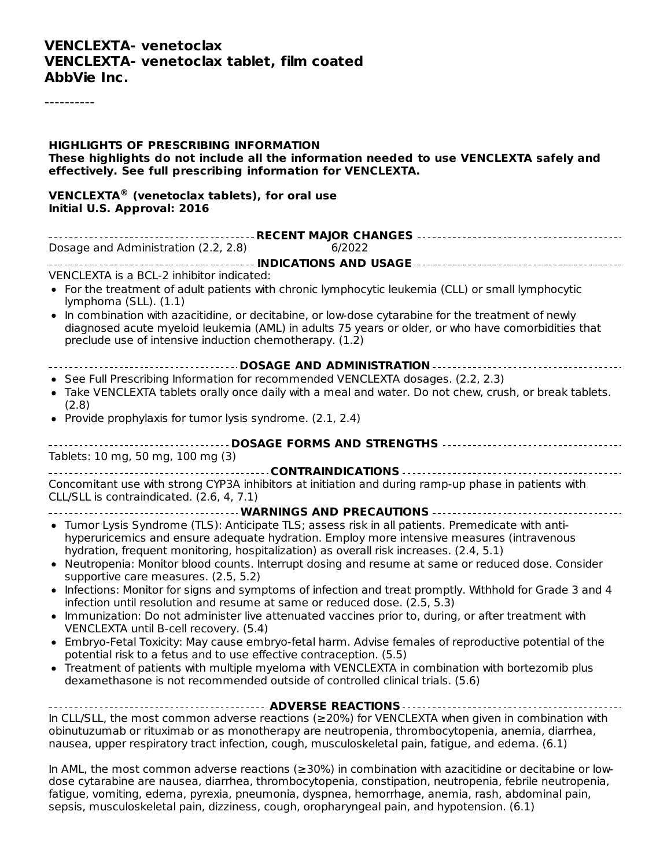#### **VENCLEXTA- venetoclax VENCLEXTA- venetoclax tablet, film coated AbbVie Inc.**

----------

| <b>HIGHLIGHTS OF PRESCRIBING INFORMATION</b><br>These highlights do not include all the information needed to use VENCLEXTA safely and<br>effectively. See full prescribing information for VENCLEXTA.                                                                                                                                                                                                                                                                                                                                                                                                                                                                                                                                                                                                                                                                                                                                                                                                                                                                                                                                               |
|------------------------------------------------------------------------------------------------------------------------------------------------------------------------------------------------------------------------------------------------------------------------------------------------------------------------------------------------------------------------------------------------------------------------------------------------------------------------------------------------------------------------------------------------------------------------------------------------------------------------------------------------------------------------------------------------------------------------------------------------------------------------------------------------------------------------------------------------------------------------------------------------------------------------------------------------------------------------------------------------------------------------------------------------------------------------------------------------------------------------------------------------------|
| VENCLEXTA® (venetoclax tablets), for oral use<br>Initial U.S. Approval: 2016                                                                                                                                                                                                                                                                                                                                                                                                                                                                                                                                                                                                                                                                                                                                                                                                                                                                                                                                                                                                                                                                         |
| Dosage and Administration (2.2, 2.8) 6/2022                                                                                                                                                                                                                                                                                                                                                                                                                                                                                                                                                                                                                                                                                                                                                                                                                                                                                                                                                                                                                                                                                                          |
| VENCLEXTA is a BCL-2 inhibitor indicated:<br>• For the treatment of adult patients with chronic lymphocytic leukemia (CLL) or small lymphocytic<br>lymphoma (SLL). (1.1)<br>• In combination with azacitidine, or decitabine, or low-dose cytarabine for the treatment of newly<br>diagnosed acute myeloid leukemia (AML) in adults 75 years or older, or who have comorbidities that<br>preclude use of intensive induction chemotherapy. (1.2)                                                                                                                                                                                                                                                                                                                                                                                                                                                                                                                                                                                                                                                                                                     |
| -----------------------------------DOSAGE AND ADMINISTRATION ---------------------------------<br>• See Full Prescribing Information for recommended VENCLEXTA dosages. (2.2, 2.3)<br>• Take VENCLEXTA tablets orally once daily with a meal and water. Do not chew, crush, or break tablets.<br>(2.8)<br>• Provide prophylaxis for tumor lysis syndrome. (2.1, 2.4)                                                                                                                                                                                                                                                                                                                                                                                                                                                                                                                                                                                                                                                                                                                                                                                 |
| ----------------------------------- DOSAGE FORMS AND STRENGTHS ----------------------------------<br>Tablets: 10 mg, 50 mg, 100 mg (3)                                                                                                                                                                                                                                                                                                                                                                                                                                                                                                                                                                                                                                                                                                                                                                                                                                                                                                                                                                                                               |
| Concomitant use with strong CYP3A inhibitors at initiation and during ramp-up phase in patients with<br>CLL/SLL is contraindicated. (2.6, 4, 7.1)                                                                                                                                                                                                                                                                                                                                                                                                                                                                                                                                                                                                                                                                                                                                                                                                                                                                                                                                                                                                    |
| • Tumor Lysis Syndrome (TLS): Anticipate TLS; assess risk in all patients. Premedicate with anti-<br>hyperuricemics and ensure adequate hydration. Employ more intensive measures (intravenous<br>hydration, frequent monitoring, hospitalization) as overall risk increases. (2.4, 5.1)<br>• Neutropenia: Monitor blood counts. Interrupt dosing and resume at same or reduced dose. Consider<br>supportive care measures. (2.5, 5.2)<br>• Infections: Monitor for signs and symptoms of infection and treat promptly. Withhold for Grade 3 and 4<br>infection until resolution and resume at same or reduced dose. (2.5, 5.3)<br>• Immunization: Do not administer live attenuated vaccines prior to, during, or after treatment with<br>VENCLEXTA until B-cell recovery. (5.4)<br>Embryo-Fetal Toxicity: May cause embryo-fetal harm. Advise females of reproductive potential of the<br>potential risk to a fetus and to use effective contraception. (5.5)<br>• Treatment of patients with multiple myeloma with VENCLEXTA in combination with bortezomib plus<br>dexamethasone is not recommended outside of controlled clinical trials. (5.6) |
| In CLL/SLL, the most common adverse reactions ( $\geq$ 20%) for VENCLEXTA when given in combination with<br>obinutuzumab or rituximab or as monotherapy are neutropenia, thrombocytopenia, anemia, diarrhea,                                                                                                                                                                                                                                                                                                                                                                                                                                                                                                                                                                                                                                                                                                                                                                                                                                                                                                                                         |
| nausea, upper respiratory tract infection, cough, musculoskeletal pain, fatigue, and edema. (6.1)                                                                                                                                                                                                                                                                                                                                                                                                                                                                                                                                                                                                                                                                                                                                                                                                                                                                                                                                                                                                                                                    |
| In AML, the most common adverse reactions ( $\geq$ 30%) in combination with azacitidine or decitabine or low-<br>dose cytarabine are nausea diarrhea thrombocytonenia constination neutronenia febrile neutronenia                                                                                                                                                                                                                                                                                                                                                                                                                                                                                                                                                                                                                                                                                                                                                                                                                                                                                                                                   |

dose cytarabine are nausea, diarrhea, thrombocytopenia, constipation, neutropenia, febrile neutropenia, fatigue, vomiting, edema, pyrexia, pneumonia, dyspnea, hemorrhage, anemia, rash, abdominal pain, sepsis, musculoskeletal pain, dizziness, cough, oropharyngeal pain, and hypotension. (6.1)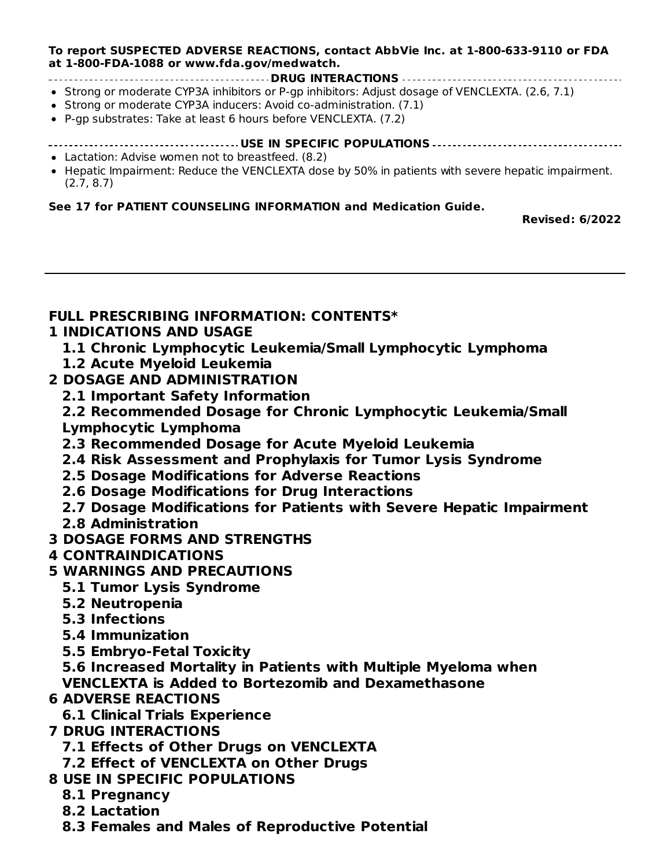#### **To report SUSPECTED ADVERSE REACTIONS, contact AbbVie Inc. at 1-800-633-9110 or FDA at 1-800-FDA-1088 or www.fda.gov/medwatch.**

- **DRUG INTERACTIONS** • Strong or moderate CYP3A inhibitors or P-gp inhibitors: Adjust dosage of VENCLEXTA. (2.6, 7.1)
- Strong or moderate CYP3A inducers: Avoid co-administration. (7.1)
- P-gp substrates: Take at least 6 hours before VENCLEXTA. (7.2)
- **USE IN SPECIFIC POPULATIONS**
- Lactation: Advise women not to breastfeed. (8.2)
- Hepatic Impairment: Reduce the VENCLEXTA dose by 50% in patients with severe hepatic impairment. (2.7, 8.7)

#### **See 17 for PATIENT COUNSELING INFORMATION and Medication Guide.**

**Revised: 6/2022**

#### **FULL PRESCRIBING INFORMATION: CONTENTS\***

#### **1 INDICATIONS AND USAGE**

- **1.1 Chronic Lymphocytic Leukemia/Small Lymphocytic Lymphoma**
- **1.2 Acute Myeloid Leukemia**
- **2 DOSAGE AND ADMINISTRATION**
	- **2.1 Important Safety Information**
	- **2.2 Recommended Dosage for Chronic Lymphocytic Leukemia/Small Lymphocytic Lymphoma**
	- **2.3 Recommended Dosage for Acute Myeloid Leukemia**
	- **2.4 Risk Assessment and Prophylaxis for Tumor Lysis Syndrome**
	- **2.5 Dosage Modifications for Adverse Reactions**
	- **2.6 Dosage Modifications for Drug Interactions**
	- **2.7 Dosage Modifications for Patients with Severe Hepatic Impairment**
	- **2.8 Administration**
- **3 DOSAGE FORMS AND STRENGTHS**

## **4 CONTRAINDICATIONS**

- **5 WARNINGS AND PRECAUTIONS**
	- **5.1 Tumor Lysis Syndrome**
	- **5.2 Neutropenia**
	- **5.3 Infections**
	- **5.4 Immunization**
	- **5.5 Embryo-Fetal Toxicity**

**5.6 Increased Mortality in Patients with Multiple Myeloma when VENCLEXTA is Added to Bortezomib and Dexamethasone**

#### **6 ADVERSE REACTIONS**

**6.1 Clinical Trials Experience**

#### **7 DRUG INTERACTIONS**

- **7.1 Effects of Other Drugs on VENCLEXTA**
- **7.2 Effect of VENCLEXTA on Other Drugs**
- **8 USE IN SPECIFIC POPULATIONS**
	- **8.1 Pregnancy**
	- **8.2 Lactation**
	- **8.3 Females and Males of Reproductive Potential**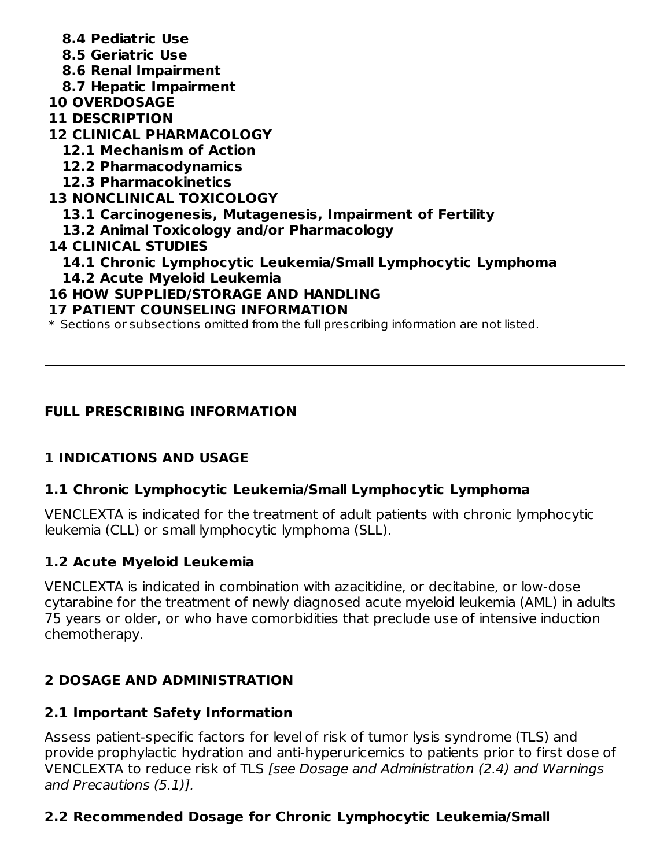- **8.4 Pediatric Use**
- **8.5 Geriatric Use**
- **8.6 Renal Impairment**
- **8.7 Hepatic Impairment**
- **10 OVERDOSAGE**
- **11 DESCRIPTION**
- **12 CLINICAL PHARMACOLOGY**
	- **12.1 Mechanism of Action**
	- **12.2 Pharmacodynamics**
	- **12.3 Pharmacokinetics**
- **13 NONCLINICAL TOXICOLOGY**
	- **13.1 Carcinogenesis, Mutagenesis, Impairment of Fertility**
	- **13.2 Animal Toxicology and/or Pharmacology**
- **14 CLINICAL STUDIES**
	- **14.1 Chronic Lymphocytic Leukemia/Small Lymphocytic Lymphoma**
	- **14.2 Acute Myeloid Leukemia**
- **16 HOW SUPPLIED/STORAGE AND HANDLING**
- **17 PATIENT COUNSELING INFORMATION**
- $\ast$  Sections or subsections omitted from the full prescribing information are not listed.

# **FULL PRESCRIBING INFORMATION**

# **1 INDICATIONS AND USAGE**

## **1.1 Chronic Lymphocytic Leukemia/Small Lymphocytic Lymphoma**

VENCLEXTA is indicated for the treatment of adult patients with chronic lymphocytic leukemia (CLL) or small lymphocytic lymphoma (SLL).

# **1.2 Acute Myeloid Leukemia**

VENCLEXTA is indicated in combination with azacitidine, or decitabine, or low-dose cytarabine for the treatment of newly diagnosed acute myeloid leukemia (AML) in adults 75 years or older, or who have comorbidities that preclude use of intensive induction chemotherapy.

# **2 DOSAGE AND ADMINISTRATION**

## **2.1 Important Safety Information**

Assess patient-specific factors for level of risk of tumor lysis syndrome (TLS) and provide prophylactic hydration and anti-hyperuricemics to patients prior to first dose of VENCLEXTA to reduce risk of TLS [see Dosage and Administration (2.4) and Warnings and Precautions (5.1)].

# **2.2 Recommended Dosage for Chronic Lymphocytic Leukemia/Small**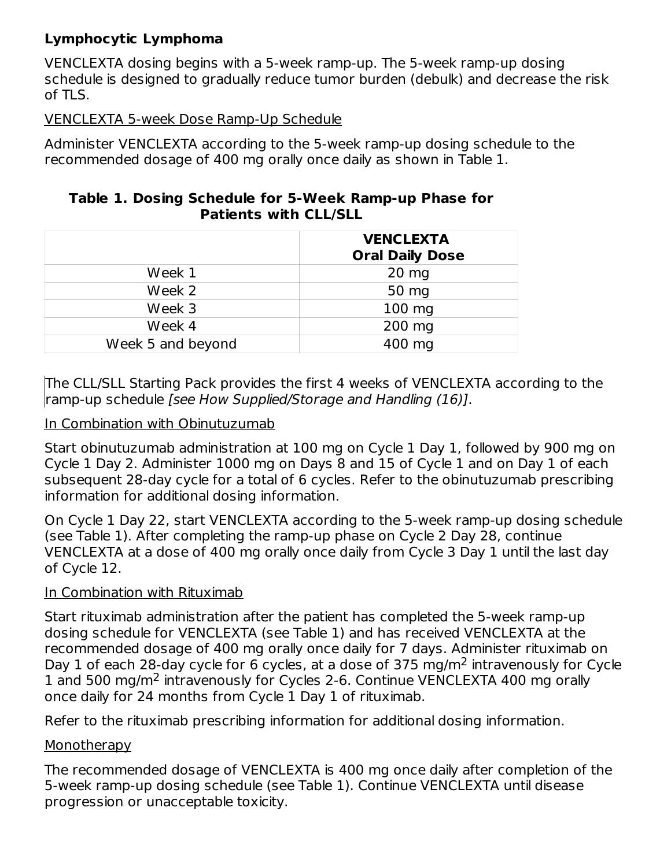## **Lymphocytic Lymphoma**

VENCLEXTA dosing begins with a 5-week ramp-up. The 5-week ramp-up dosing schedule is designed to gradually reduce tumor burden (debulk) and decrease the risk of TLS.

### VENCLEXTA 5-week Dose Ramp-Up Schedule

Administer VENCLEXTA according to the 5-week ramp-up dosing schedule to the recommended dosage of 400 mg orally once daily as shown in Table 1.

#### **Table 1. Dosing Schedule for 5-Week Ramp-up Phase for Patients with CLL/SLL**

|                   | <b>VENCLEXTA</b><br><b>Oral Daily Dose</b> |
|-------------------|--------------------------------------------|
| Week 1            | $20$ mg                                    |
| Week 2            | 50 mg                                      |
| Week 3            | $100$ mg                                   |
| Week 4            | 200 mg                                     |
| Week 5 and beyond | 400 mg                                     |

The CLL/SLL Starting Pack provides the first 4 weeks of VENCLEXTA according to the ramp-up schedule [see How Supplied/Storage and Handling (16)].

#### In Combination with Obinutuzumab

Start obinutuzumab administration at 100 mg on Cycle 1 Day 1, followed by 900 mg on Cycle 1 Day 2. Administer 1000 mg on Days 8 and 15 of Cycle 1 and on Day 1 of each subsequent 28-day cycle for a total of 6 cycles. Refer to the obinutuzumab prescribing information for additional dosing information.

On Cycle 1 Day 22, start VENCLEXTA according to the 5-week ramp-up dosing schedule (see Table 1). After completing the ramp-up phase on Cycle 2 Day 28, continue VENCLEXTA at a dose of 400 mg orally once daily from Cycle 3 Day 1 until the last day of Cycle 12.

#### In Combination with Rituximab

Start rituximab administration after the patient has completed the 5-week ramp-up dosing schedule for VENCLEXTA (see Table 1) and has received VENCLEXTA at the recommended dosage of 400 mg orally once daily for 7 days. Administer rituximab on Day 1 of each 28-day cycle for 6 cycles, at a dose of 375 mg/m<sup>2</sup> intravenously for Cycle 1 and 500 mg/m<sup>2</sup> intravenously for Cycles 2-6. Continue VENCLEXTA 400 mg orally once daily for 24 months from Cycle 1 Day 1 of rituximab.

Refer to the rituximab prescribing information for additional dosing information.

## Monotherapy

The recommended dosage of VENCLEXTA is 400 mg once daily after completion of the 5-week ramp-up dosing schedule (see Table 1). Continue VENCLEXTA until disease progression or unacceptable toxicity.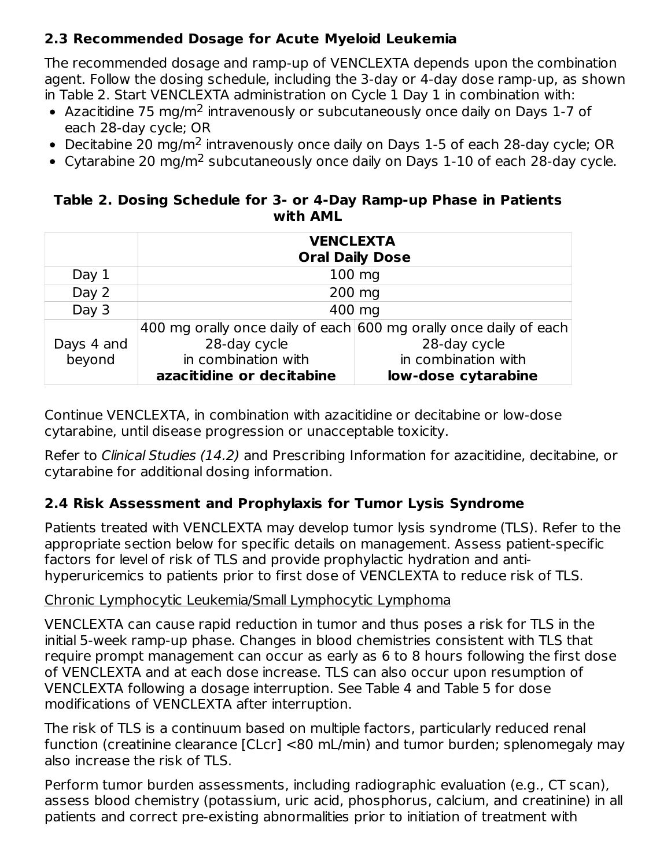## **2.3 Recommended Dosage for Acute Myeloid Leukemia**

The recommended dosage and ramp-up of VENCLEXTA depends upon the combination agent. Follow the dosing schedule, including the 3-day or 4-day dose ramp-up, as shown in Table 2. Start VENCLEXTA administration on Cycle 1 Day 1 in combination with:

- Azacitidine 75 mg/m $^2$  intravenously or subcutaneously once daily on Days 1-7 of each 28-day cycle; OR
- Decitabine 20 mg/m<sup>2</sup> intravenously once daily on Days 1-5 of each 28-day cycle; OR
- Cytarabine 20 mg/m<sup>2</sup> subcutaneously once daily on Days  $1-10$  of each 28-day cycle.

#### **Table 2. Dosing Schedule for 3- or 4-Day Ramp-up Phase in Patients with AML**

|            | <b>VENCLEXTA</b><br><b>Oral Daily Dose</b> |                                                                   |  |  |  |
|------------|--------------------------------------------|-------------------------------------------------------------------|--|--|--|
| Day $1$    |                                            | 100 mg                                                            |  |  |  |
| Day 2      |                                            | 200 mg                                                            |  |  |  |
| Day 3      | 400 mg                                     |                                                                   |  |  |  |
|            |                                            | 400 mg orally once daily of each 600 mg orally once daily of each |  |  |  |
| Days 4 and | 28-day cycle                               | 28-day cycle                                                      |  |  |  |
| beyond     | in combination with<br>in combination with |                                                                   |  |  |  |
|            | azacitidine or decitabine                  | low-dose cytarabine                                               |  |  |  |

Continue VENCLEXTA, in combination with azacitidine or decitabine or low-dose cytarabine, until disease progression or unacceptable toxicity.

Refer to Clinical Studies (14.2) and Prescribing Information for azacitidine, decitabine, or cytarabine for additional dosing information.

## **2.4 Risk Assessment and Prophylaxis for Tumor Lysis Syndrome**

Patients treated with VENCLEXTA may develop tumor lysis syndrome (TLS). Refer to the appropriate section below for specific details on management. Assess patient-specific factors for level of risk of TLS and provide prophylactic hydration and antihyperuricemics to patients prior to first dose of VENCLEXTA to reduce risk of TLS.

## Chronic Lymphocytic Leukemia/Small Lymphocytic Lymphoma

VENCLEXTA can cause rapid reduction in tumor and thus poses a risk for TLS in the initial 5-week ramp-up phase. Changes in blood chemistries consistent with TLS that require prompt management can occur as early as 6 to 8 hours following the first dose of VENCLEXTA and at each dose increase. TLS can also occur upon resumption of VENCLEXTA following a dosage interruption. See Table 4 and Table 5 for dose modifications of VENCLEXTA after interruption.

The risk of TLS is a continuum based on multiple factors, particularly reduced renal function (creatinine clearance [CLcr] <80 mL/min) and tumor burden; splenomegaly may also increase the risk of TLS.

Perform tumor burden assessments, including radiographic evaluation (e.g., CT scan), assess blood chemistry (potassium, uric acid, phosphorus, calcium, and creatinine) in all patients and correct pre-existing abnormalities prior to initiation of treatment with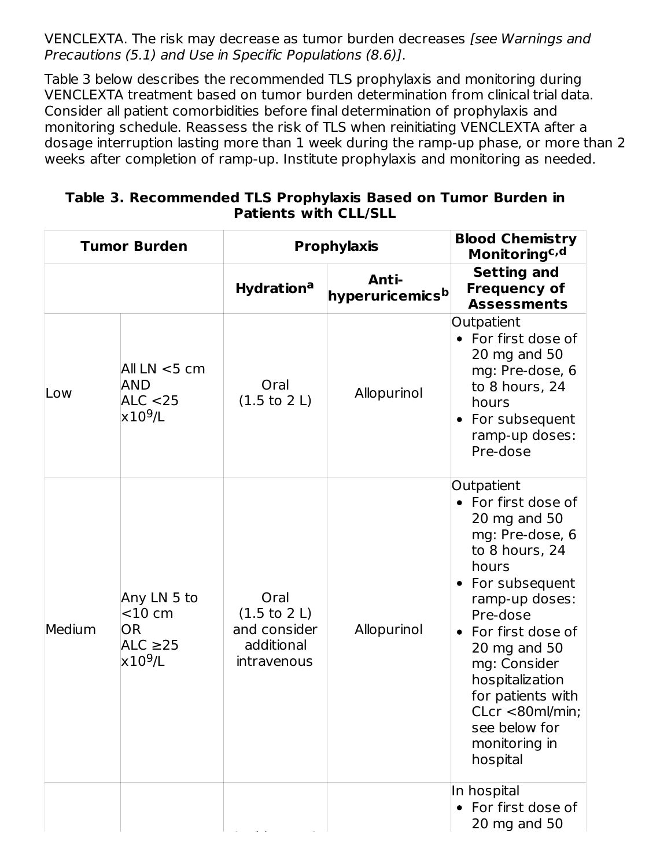VENCLEXTA. The risk may decrease as tumor burden decreases [see Warnings and Precautions (5.1) and Use in Specific Populations (8.6)].

Table 3 below describes the recommended TLS prophylaxis and monitoring during VENCLEXTA treatment based on tumor burden determination from clinical trial data. Consider all patient comorbidities before final determination of prophylaxis and monitoring schedule. Reassess the risk of TLS when reinitiating VENCLEXTA after a dosage interruption lasting more than 1 week during the ramp-up phase, or more than 2 weeks after completion of ramp-up. Institute prophylaxis and monitoring as needed.

| <b>Tumor Burden</b> |                                                                            | <b>Prophylaxis</b>                                                                   |                                      | <b>Blood Chemistry</b><br>Monitoringc, d                                                                                                                                                                                                                                                                        |  |
|---------------------|----------------------------------------------------------------------------|--------------------------------------------------------------------------------------|--------------------------------------|-----------------------------------------------------------------------------------------------------------------------------------------------------------------------------------------------------------------------------------------------------------------------------------------------------------------|--|
|                     |                                                                            | <b>Hydration<sup>a</sup></b>                                                         | Anti-<br>hyperuricemics <sup>b</sup> | <b>Setting and</b><br><b>Frequency of</b><br><b>Assessments</b>                                                                                                                                                                                                                                                 |  |
| Low                 | All $LN < 5$ cm<br>AND<br>ALC $<$ 25<br>$\times 10^9$ /L                   | Oral<br>$(1.5 \text{ to } 2 \text{ L})$                                              | Allopurinol                          | Outpatient<br>• For first dose of<br>20 mg and 50<br>mg: Pre-dose, 6<br>to 8 hours, 24<br>hours<br>For subsequent<br>ramp-up doses:<br>Pre-dose                                                                                                                                                                 |  |
| Medium              | Any LN 5 to<br>$<$ 10 cm<br><b>OR</b><br>ALC $\geq$ 25<br>$\times 10^9$ /L | Oral<br>$(1.5 \text{ to } 2 \text{ L})$<br>and consider<br>additional<br>intravenous | Allopurinol                          | Outpatient<br>• For first dose of<br>20 mg and 50<br>mg: Pre-dose, 6<br>to 8 hours, 24<br>hours<br>For subsequent<br>ramp-up doses:<br>Pre-dose<br>• For first dose of<br>20 mg and 50<br>mg: Consider<br>hospitalization<br>for patients with<br>CLcr <80ml/min;<br>see below for<br>monitoring in<br>hospital |  |
|                     |                                                                            |                                                                                      |                                      | In hospital<br>• For first dose of<br>20 mg and 50                                                                                                                                                                                                                                                              |  |

**Table 3. Recommended TLS Prophylaxis Based on Tumor Burden in Patients with CLL/SLL**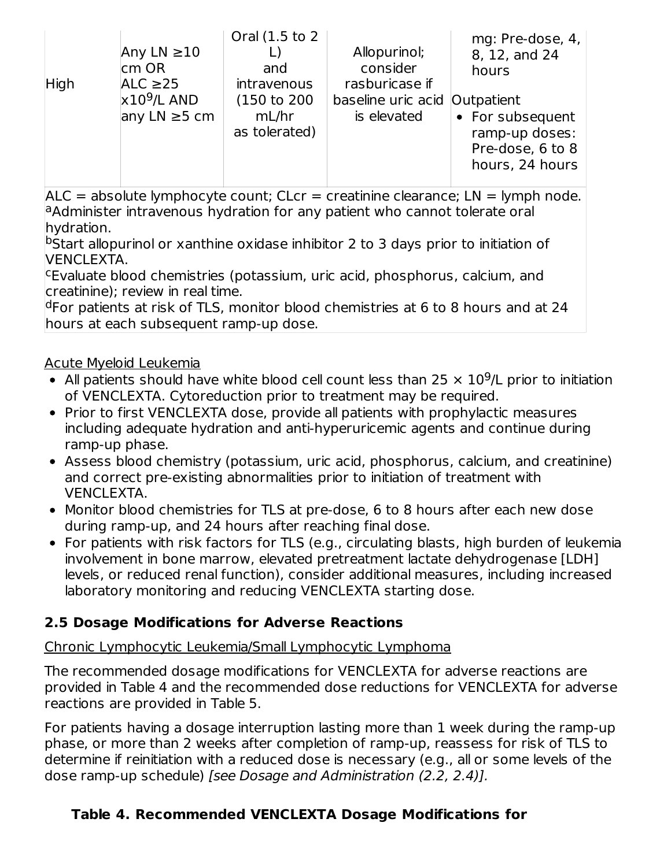| Any LN $\geq$ 10<br>$\mathsf{cm}$ OR<br>ALC $\geq$ 25<br>High<br>$\times 10^9$ /L AND<br>any LN $\geq$ 5 cm | Oral (1.5 to 2)<br>and<br>intravenous<br>(150 to 200<br>mL/hr<br>as tolerated) | Allopurinol;<br>consider<br>rasburicase if<br>baseline uric acid Outpatient<br>is elevated | mg: Pre-dose, 4,<br>8, 12, and 24<br>hours<br>• For subsequent<br>ramp-up doses:<br>Pre-dose, 6 to 8<br>hours, 24 hours |
|-------------------------------------------------------------------------------------------------------------|--------------------------------------------------------------------------------|--------------------------------------------------------------------------------------------|-------------------------------------------------------------------------------------------------------------------------|
|-------------------------------------------------------------------------------------------------------------|--------------------------------------------------------------------------------|--------------------------------------------------------------------------------------------|-------------------------------------------------------------------------------------------------------------------------|

 $ALC =$  absolute lymphocyte count;  $CLcr =$  creatinine clearance;  $LN =$  lymph node. a Administer intravenous hydration for any patient who cannot tolerate oral hydration.

<sup>b</sup>Start allopurinol or xanthine oxidase inhibitor 2 to 3 days prior to initiation of VENCLEXTA.

<sup>c</sup>Evaluate blood chemistries (potassium, uric acid, phosphorus, calcium, and creatinine); review in real time.

<sup>d</sup>For patients at risk of TLS, monitor blood chemistries at 6 to 8 hours and at 24 hours at each subsequent ramp-up dose.

## Acute Myeloid Leukemia

- All patients should have white blood cell count less than 25  $\times$  10<sup>9</sup>/L prior to initiation of VENCLEXTA. Cytoreduction prior to treatment may be required.
- Prior to first VENCLEXTA dose, provide all patients with prophylactic measures including adequate hydration and anti-hyperuricemic agents and continue during ramp-up phase.
- Assess blood chemistry (potassium, uric acid, phosphorus, calcium, and creatinine) and correct pre-existing abnormalities prior to initiation of treatment with VENCLEXTA.
- Monitor blood chemistries for TLS at pre-dose, 6 to 8 hours after each new dose during ramp-up, and 24 hours after reaching final dose.
- For patients with risk factors for TLS (e.g., circulating blasts, high burden of leukemia involvement in bone marrow, elevated pretreatment lactate dehydrogenase [LDH] levels, or reduced renal function), consider additional measures, including increased laboratory monitoring and reducing VENCLEXTA starting dose.

## **2.5 Dosage Modifications for Adverse Reactions**

## Chronic Lymphocytic Leukemia/Small Lymphocytic Lymphoma

The recommended dosage modifications for VENCLEXTA for adverse reactions are provided in Table 4 and the recommended dose reductions for VENCLEXTA for adverse reactions are provided in Table 5.

For patients having a dosage interruption lasting more than 1 week during the ramp-up phase, or more than 2 weeks after completion of ramp-up, reassess for risk of TLS to determine if reinitiation with a reduced dose is necessary (e.g., all or some levels of the dose ramp-up schedule) [see Dosage and Administration (2.2, 2.4)].

## **Table 4. Recommended VENCLEXTA Dosage Modifications for**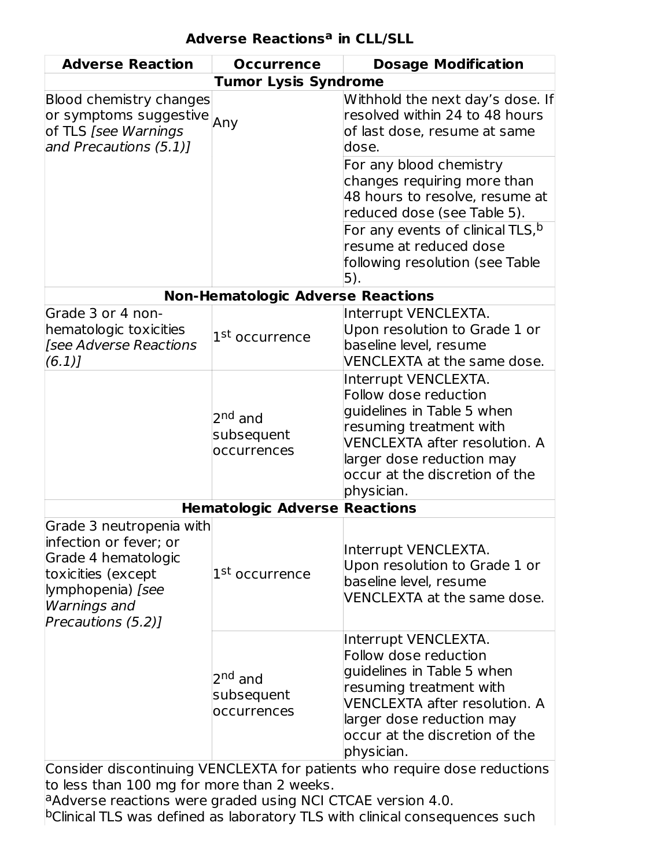| <b>Adverse Reaction</b>                                                                                                                                    | <b>Occurrence</b>                                | <b>Dosage Modification</b>                                                                                                                                                                                                                                                  |  |  |  |  |  |
|------------------------------------------------------------------------------------------------------------------------------------------------------------|--------------------------------------------------|-----------------------------------------------------------------------------------------------------------------------------------------------------------------------------------------------------------------------------------------------------------------------------|--|--|--|--|--|
|                                                                                                                                                            | <b>Tumor Lysis Syndrome</b>                      |                                                                                                                                                                                                                                                                             |  |  |  |  |  |
| <b>Blood chemistry changes</b><br>or symptoms suggestive $_{\mathsf{Any}}$<br>of TLS [see Warnings<br>and Precautions (5.1)]                               |                                                  | Withhold the next day's dose. If<br>resolved within 24 to 48 hours<br>of last dose, resume at same<br>dose.<br>For any blood chemistry<br>changes requiring more than<br>48 hours to resolve, resume at<br>reduced dose (see Table 5).<br>For any events of clinical TLS, b |  |  |  |  |  |
|                                                                                                                                                            |                                                  | resume at reduced dose<br>following resolution (see Table<br>5).                                                                                                                                                                                                            |  |  |  |  |  |
|                                                                                                                                                            | <b>Non-Hematologic Adverse Reactions</b>         |                                                                                                                                                                                                                                                                             |  |  |  |  |  |
| Grade 3 or 4 non-<br>hematologic toxicities<br>[see Adverse Reactions<br>(6.1)                                                                             | 1 <sup>st</sup> occurrence                       | Interrupt VENCLEXTA.<br>Upon resolution to Grade 1 or<br>baseline level, resume<br>VENCLEXTA at the same dose.                                                                                                                                                              |  |  |  |  |  |
|                                                                                                                                                            | 2 <sup>nd</sup> and<br>subsequent<br>occurrences | Interrupt VENCLEXTA.<br>Follow dose reduction<br>guidelines in Table 5 when<br>resuming treatment with<br><b>VENCLEXTA after resolution. A</b><br>larger dose reduction may<br>occur at the discretion of the<br>physician.                                                 |  |  |  |  |  |
|                                                                                                                                                            | <b>Hematologic Adverse Reactions</b>             |                                                                                                                                                                                                                                                                             |  |  |  |  |  |
| Grade 3 neutropenia with<br>infection or fever; or<br>Grade 4 hematologic<br>toxicities (except<br>lymphopenia) [see<br>Warnings and<br>Precautions (5.2)] | 1 <sup>st</sup> occurrence                       | Interrupt VENCLEXTA.<br>Upon resolution to Grade 1 or<br>baseline level, resume<br>VENCLEXTA at the same dose.                                                                                                                                                              |  |  |  |  |  |
|                                                                                                                                                            | 2 <sup>nd</sup> and<br>subsequent<br>occurrences | Interrupt VENCLEXTA.<br>Follow dose reduction<br>guidelines in Table 5 when<br>resuming treatment with<br><b>VENCLEXTA after resolution. A</b><br>larger dose reduction may<br>occur at the discretion of the<br>physician.                                                 |  |  |  |  |  |
| Consider discontinuing VENCLEXTA for patients who require dose reductions                                                                                  |                                                  |                                                                                                                                                                                                                                                                             |  |  |  |  |  |

to less than 100 mg for more than 2 weeks. Adverse reactions were graded using NCI CTCAE version 4.0. Clinical TLS was defined as laboratory TLS with clinical consequences such a b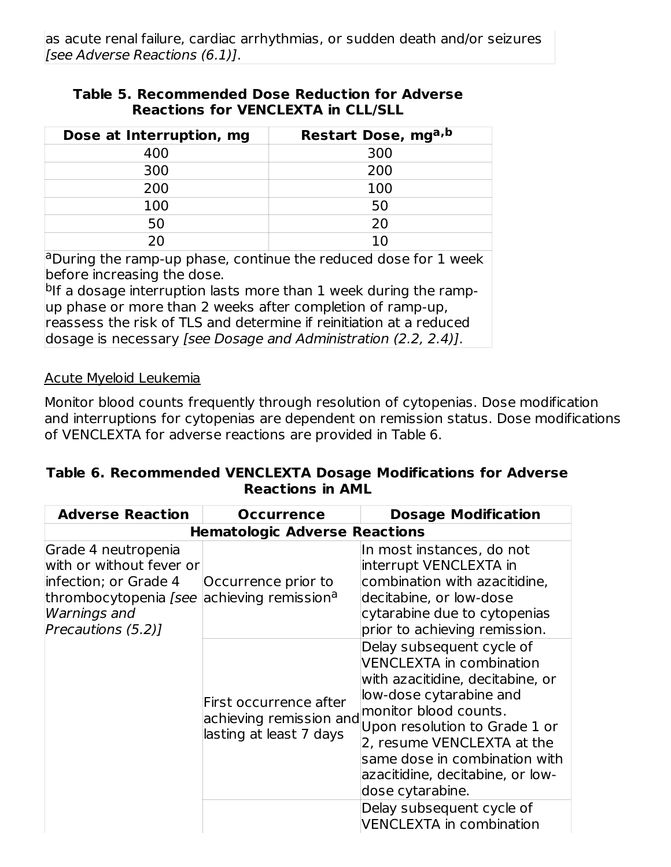#### **Table 5. Recommended Dose Reduction for Adverse Reactions for VENCLEXTA in CLL/SLL**

| Dose at Interruption, mg | Restart Dose, mga, b |
|--------------------------|----------------------|
| 400                      | 300                  |
| 300                      | 200                  |
| 200                      | 100                  |
| 100                      | 50                   |
| 50                       | 20                   |
|                          |                      |

<sup>a</sup>During the ramp-up phase, continue the reduced dose for 1 week before increasing the dose.

<sup>b</sup>lf a dosage interruption lasts more than 1 week during the rampup phase or more than 2 weeks after completion of ramp-up, reassess the risk of TLS and determine if reinitiation at a reduced dosage is necessary [see Dosage and Administration (2.2, 2.4)].

#### Acute Myeloid Leukemia

Monitor blood counts frequently through resolution of cytopenias. Dose modification and interruptions for cytopenias are dependent on remission status. Dose modifications of VENCLEXTA for adverse reactions are provided in Table 6.

### **Table 6. Recommended VENCLEXTA Dosage Modifications for Adverse Reactions in AML**

| <b>Adverse Reaction</b>                                                                                                                          | <b>Occurrence</b>                                                            | <b>Dosage Modification</b>                                                                                                                                                                                                                                                                                   |  |  |  |  |
|--------------------------------------------------------------------------------------------------------------------------------------------------|------------------------------------------------------------------------------|--------------------------------------------------------------------------------------------------------------------------------------------------------------------------------------------------------------------------------------------------------------------------------------------------------------|--|--|--|--|
|                                                                                                                                                  | <b>Hematologic Adverse Reactions</b>                                         |                                                                                                                                                                                                                                                                                                              |  |  |  |  |
| Grade 4 neutropenia<br>with or without fever or<br>infection; or Grade 4<br>thrombocytopenia <i>[see</i> ]<br>Warnings and<br>Precautions (5.2)] | Occurrence prior to<br>achieving remission <sup>a</sup>                      | In most instances, do not<br>interrupt VENCLEXTA in<br>combination with azacitidine,<br>decitabine, or low-dose<br>cytarabine due to cytopenias<br>prior to achieving remission.                                                                                                                             |  |  |  |  |
|                                                                                                                                                  | First occurrence after<br>achieving remission and<br>lasting at least 7 days | Delay subsequent cycle of<br><b>VENCLEXTA in combination</b><br>with azacitidine, decitabine, or<br>low-dose cytarabine and<br>monitor blood counts.<br>Upon resolution to Grade 1 or<br>2, resume VENCLEXTA at the<br>same dose in combination with<br>azacitidine, decitabine, or low-<br>dose cytarabine. |  |  |  |  |
|                                                                                                                                                  |                                                                              | Delay subsequent cycle of<br><b>VENCLEXTA in combination</b>                                                                                                                                                                                                                                                 |  |  |  |  |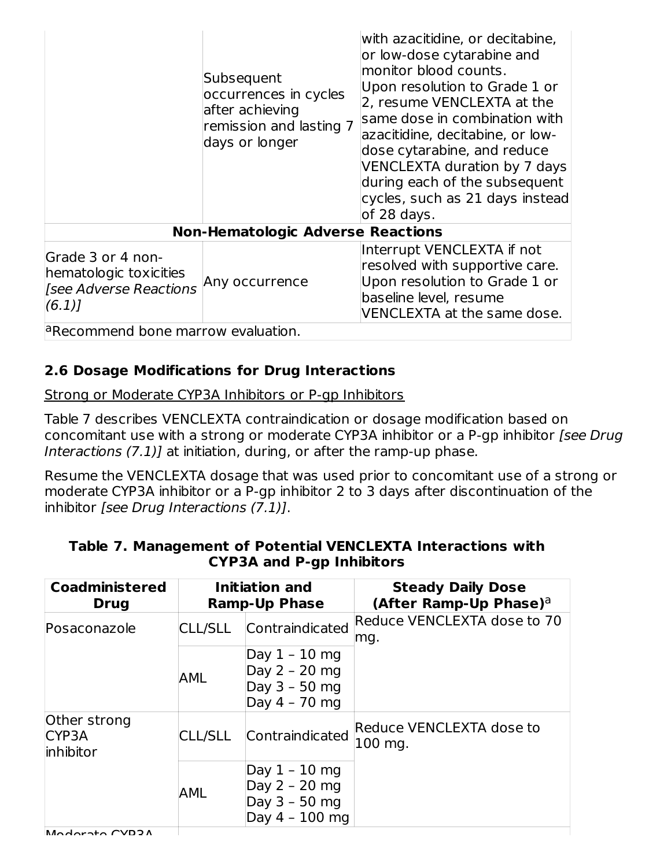|                                                                                      | Subsequent<br>occurrences in cycles<br>after achieving<br>remission and lasting 7<br>days or longer | with azacitidine, or decitabine,<br>or low-dose cytarabine and<br>monitor blood counts.<br>Upon resolution to Grade 1 or<br>2, resume VENCLEXTA at the<br>same dose in combination with<br>azacitidine, decitabine, or low-<br>dose cytarabine, and reduce<br>VENCLEXTA duration by 7 days<br>during each of the subsequent<br>cycles, such as 21 days instead<br>of 28 days. |
|--------------------------------------------------------------------------------------|-----------------------------------------------------------------------------------------------------|-------------------------------------------------------------------------------------------------------------------------------------------------------------------------------------------------------------------------------------------------------------------------------------------------------------------------------------------------------------------------------|
|                                                                                      | <b>Non-Hematologic Adverse Reactions</b>                                                            |                                                                                                                                                                                                                                                                                                                                                                               |
| Grade 3 or 4 non-<br>hematologic toxicities<br><b>See Adverse Reactions</b><br>(6.1) | Any occurrence                                                                                      | Interrupt VENCLEXTA if not<br>resolved with supportive care.<br>Upon resolution to Grade 1 or<br>baseline level, resume<br>VENCLEXTA at the same dose.                                                                                                                                                                                                                        |
| <sup>a</sup> Recommend bone marrow evaluation.                                       |                                                                                                     |                                                                                                                                                                                                                                                                                                                                                                               |

## **2.6 Dosage Modifications for Drug Interactions**

Strong or Moderate CYP3A Inhibitors or P-gp Inhibitors

Table 7 describes VENCLEXTA contraindication or dosage modification based on concomitant use with a strong or moderate CYP3A inhibitor or a P-gp inhibitor [see Drug] Interactions (7.1)] at initiation, during, or after the ramp-up phase.

Resume the VENCLEXTA dosage that was used prior to concomitant use of a strong or moderate CYP3A inhibitor or a P-gp inhibitor 2 to 3 days after discontinuation of the inhibitor [see Drug Interactions (7.1)].

| <b>Coadministered</b><br><b>Drug</b>                                                    |                | Initiation and<br><b>Ramp-Up Phase</b>                               | <b>Steady Daily Dose</b><br>(After Ramp-Up Phase) <sup>a</sup> |
|-----------------------------------------------------------------------------------------|----------------|----------------------------------------------------------------------|----------------------------------------------------------------|
| Posaconazole                                                                            | <b>CLL/SLL</b> | Contraindicated                                                      | Reduce VENCLEXTA dose to 70<br>mg.                             |
|                                                                                         | <b>AML</b>     | Day 1 - 10 mg<br>Day $2 - 20$ mg<br>Day $3 - 50$ mg<br>Day 4 - 70 mg |                                                                |
| Other strong<br>CYP <sub>3</sub> A<br>inhibitor                                         | <b>CLL/SLL</b> | Contraindicated                                                      | Reduce VENCLEXTA dose to<br>100 mg.                            |
| Day $1 - 10$ mg<br>Day $2 - 20$ mg<br><b>AML</b><br>Day $3 - 50$ mg<br>Day $4 - 100$ mg |                |                                                                      |                                                                |
| Modorato CVD3A                                                                          |                |                                                                      |                                                                |

#### **Table 7. Management of Potential VENCLEXTA Interactions with CYP3A and P-gp Inhibitors**

Moderate CVD3A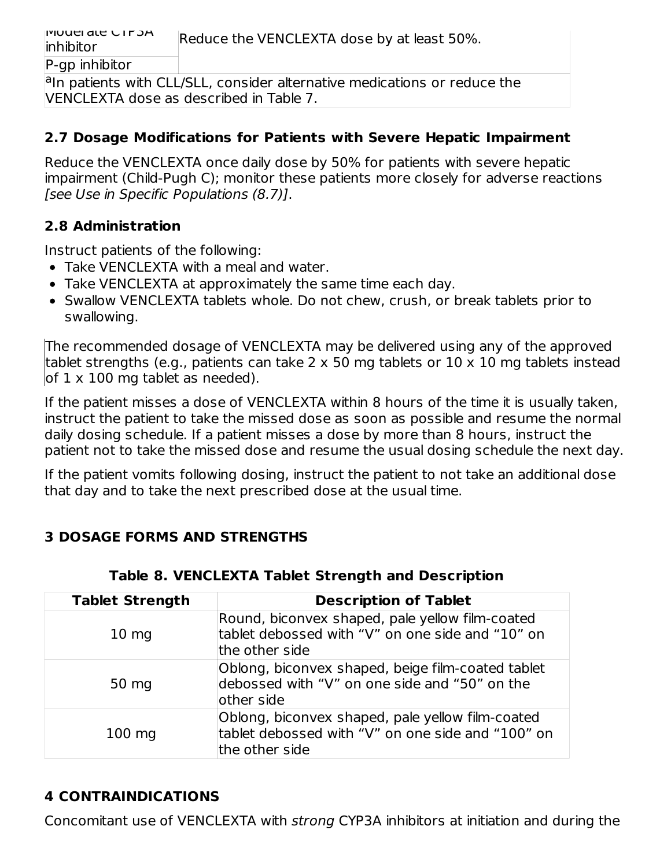Moderate CYP3A inhibitor Reduce the VENCLEXTA dose by at least 50%. P-gp inhibitor

<sup>a</sup>In patients with CLL/SLL, consider alternative medications or reduce the VENCLEXTA dose as described in Table 7.

### **2.7 Dosage Modifications for Patients with Severe Hepatic Impairment**

Reduce the VENCLEXTA once daily dose by 50% for patients with severe hepatic impairment (Child-Pugh C); monitor these patients more closely for adverse reactions [see Use in Specific Populations (8.7)].

## **2.8 Administration**

Instruct patients of the following:

- Take VENCLEXTA with a meal and water.
- Take VENCLEXTA at approximately the same time each day.
- Swallow VENCLEXTA tablets whole. Do not chew, crush, or break tablets prior to swallowing.

The recommended dosage of VENCLEXTA may be delivered using any of the approved tablet strengths (e.g., patients can take 2 x 50 mg tablets or 10 x 10 mg tablets instead of  $1 \times 100$  mg tablet as needed).

If the patient misses a dose of VENCLEXTA within 8 hours of the time it is usually taken, instruct the patient to take the missed dose as soon as possible and resume the normal daily dosing schedule. If a patient misses a dose by more than 8 hours, instruct the patient not to take the missed dose and resume the usual dosing schedule the next day.

If the patient vomits following dosing, instruct the patient to not take an additional dose that day and to take the next prescribed dose at the usual time.

## **3 DOSAGE FORMS AND STRENGTHS**

| <b>Tablet Strength</b> | <b>Description of Tablet</b>                                                                                            |
|------------------------|-------------------------------------------------------------------------------------------------------------------------|
| 10 <sub>mg</sub>       | Round, biconvex shaped, pale yellow film-coated<br>tablet debossed with "V" on one side and "10" on<br>the other side   |
| 50 mg                  | Oblong, biconvex shaped, beige film-coated tablet<br>debossed with "V" on one side and "50" on the<br>other side        |
| $100$ mg               | Oblong, biconvex shaped, pale yellow film-coated<br>tablet debossed with "V" on one side and "100" on<br>the other side |

## **Table 8. VENCLEXTA Tablet Strength and Description**

# **4 CONTRAINDICATIONS**

Concomitant use of VENCLEXTA with strong CYP3A inhibitors at initiation and during the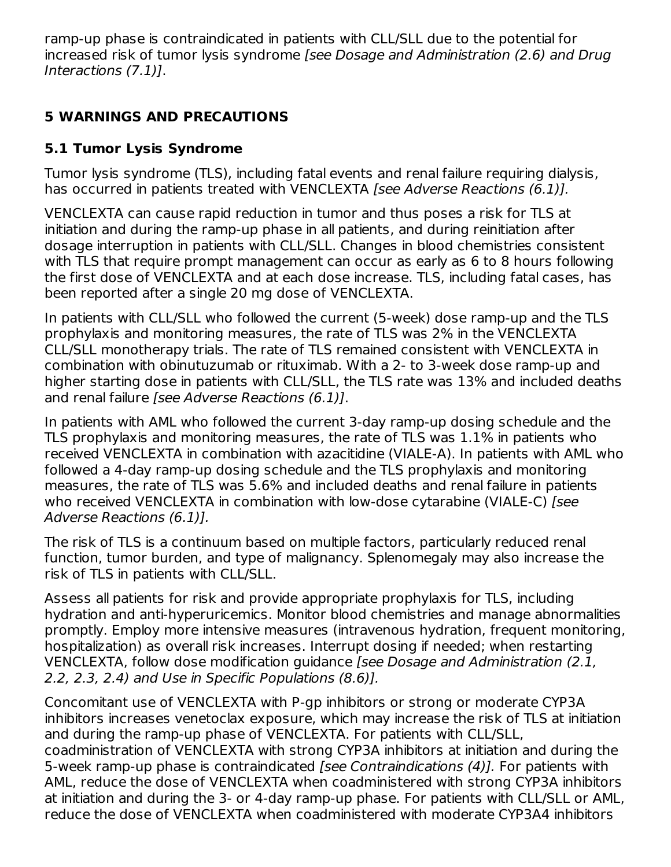ramp-up phase is contraindicated in patients with CLL/SLL due to the potential for increased risk of tumor lysis syndrome [see Dosage and Administration (2.6) and Drug Interactions (7.1)].

## **5 WARNINGS AND PRECAUTIONS**

# **5.1 Tumor Lysis Syndrome**

Tumor lysis syndrome (TLS), including fatal events and renal failure requiring dialysis, has occurred in patients treated with VENCLEXTA [see Adverse Reactions (6.1)].

VENCLEXTA can cause rapid reduction in tumor and thus poses a risk for TLS at initiation and during the ramp-up phase in all patients, and during reinitiation after dosage interruption in patients with CLL/SLL. Changes in blood chemistries consistent with TLS that require prompt management can occur as early as 6 to 8 hours following the first dose of VENCLEXTA and at each dose increase. TLS, including fatal cases, has been reported after a single 20 mg dose of VENCLEXTA.

In patients with CLL/SLL who followed the current (5-week) dose ramp-up and the TLS prophylaxis and monitoring measures, the rate of TLS was 2% in the VENCLEXTA CLL/SLL monotherapy trials. The rate of TLS remained consistent with VENCLEXTA in combination with obinutuzumab or rituximab. With a 2- to 3-week dose ramp-up and higher starting dose in patients with CLL/SLL, the TLS rate was 13% and included deaths and renal failure [see Adverse Reactions (6.1)].

In patients with AML who followed the current 3-day ramp-up dosing schedule and the TLS prophylaxis and monitoring measures, the rate of TLS was 1.1% in patients who received VENCLEXTA in combination with azacitidine (VIALE-A). In patients with AML who followed a 4-day ramp-up dosing schedule and the TLS prophylaxis and monitoring measures, the rate of TLS was 5.6% and included deaths and renal failure in patients who received VENCLEXTA in combination with low-dose cytarabine (VIALE-C) [see Adverse Reactions (6.1)].

The risk of TLS is a continuum based on multiple factors, particularly reduced renal function, tumor burden, and type of malignancy. Splenomegaly may also increase the risk of TLS in patients with CLL/SLL.

Assess all patients for risk and provide appropriate prophylaxis for TLS, including hydration and anti-hyperuricemics. Monitor blood chemistries and manage abnormalities promptly. Employ more intensive measures (intravenous hydration, frequent monitoring, hospitalization) as overall risk increases. Interrupt dosing if needed; when restarting VENCLEXTA, follow dose modification guidance [see Dosage and Administration (2.1, 2.2, 2.3, 2.4) and Use in Specific Populations (8.6)].

Concomitant use of VENCLEXTA with P-gp inhibitors or strong or moderate CYP3A inhibitors increases venetoclax exposure, which may increase the risk of TLS at initiation and during the ramp-up phase of VENCLEXTA. For patients with CLL/SLL, coadministration of VENCLEXTA with strong CYP3A inhibitors at initiation and during the 5-week ramp-up phase is contraindicated [see Contraindications (4)]. For patients with AML, reduce the dose of VENCLEXTA when coadministered with strong CYP3A inhibitors at initiation and during the 3- or 4-day ramp-up phase. For patients with CLL/SLL or AML, reduce the dose of VENCLEXTA when coadministered with moderate CYP3A4 inhibitors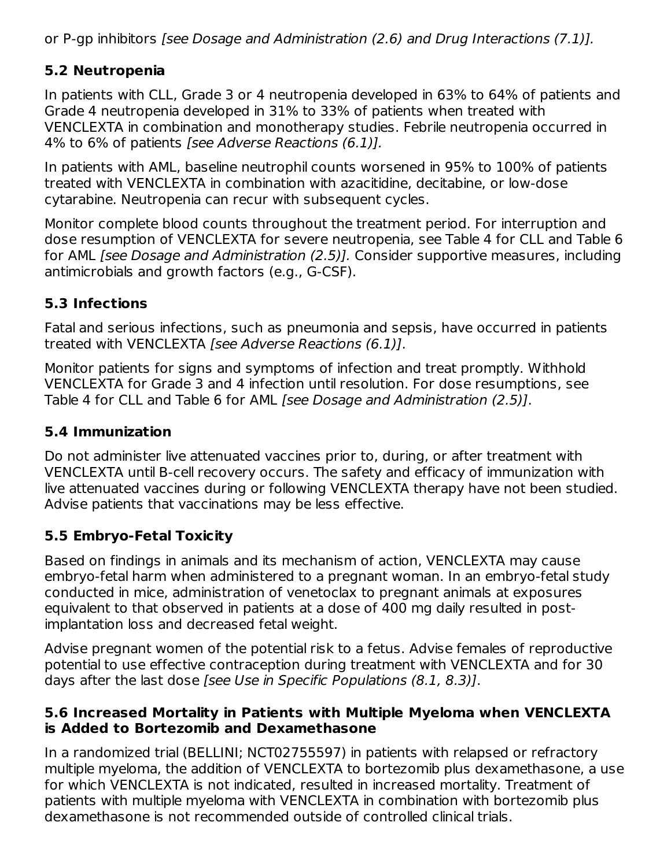or P-gp inhibitors [see Dosage and Administration (2.6) and Drug Interactions (7.1)].

## **5.2 Neutropenia**

In patients with CLL, Grade 3 or 4 neutropenia developed in 63% to 64% of patients and Grade 4 neutropenia developed in 31% to 33% of patients when treated with VENCLEXTA in combination and monotherapy studies. Febrile neutropenia occurred in 4% to 6% of patients [see Adverse Reactions (6.1)].

In patients with AML, baseline neutrophil counts worsened in 95% to 100% of patients treated with VENCLEXTA in combination with azacitidine, decitabine, or low-dose cytarabine. Neutropenia can recur with subsequent cycles.

Monitor complete blood counts throughout the treatment period. For interruption and dose resumption of VENCLEXTA for severe neutropenia, see Table 4 for CLL and Table 6 for AML *[see Dosage and Administration (2.5)].* Consider supportive measures, including antimicrobials and growth factors (e.g., G-CSF).

## **5.3 Infections**

Fatal and serious infections, such as pneumonia and sepsis, have occurred in patients treated with VENCLEXTA [see Adverse Reactions (6.1)].

Monitor patients for signs and symptoms of infection and treat promptly. Withhold VENCLEXTA for Grade 3 and 4 infection until resolution. For dose resumptions, see Table 4 for CLL and Table 6 for AML [see Dosage and Administration (2.5)].

## **5.4 Immunization**

Do not administer live attenuated vaccines prior to, during, or after treatment with VENCLEXTA until B-cell recovery occurs. The safety and efficacy of immunization with live attenuated vaccines during or following VENCLEXTA therapy have not been studied. Advise patients that vaccinations may be less effective.

## **5.5 Embryo-Fetal Toxicity**

Based on findings in animals and its mechanism of action, VENCLEXTA may cause embryo-fetal harm when administered to a pregnant woman. In an embryo-fetal study conducted in mice, administration of venetoclax to pregnant animals at exposures equivalent to that observed in patients at a dose of 400 mg daily resulted in postimplantation loss and decreased fetal weight.

Advise pregnant women of the potential risk to a fetus. Advise females of reproductive potential to use effective contraception during treatment with VENCLEXTA and for 30 days after the last dose [see Use in Specific Populations (8.1, 8.3)].

### **5.6 Increased Mortality in Patients with Multiple Myeloma when VENCLEXTA is Added to Bortezomib and Dexamethasone**

In a randomized trial (BELLINI; NCT02755597) in patients with relapsed or refractory multiple myeloma, the addition of VENCLEXTA to bortezomib plus dexamethasone, a use for which VENCLEXTA is not indicated, resulted in increased mortality. Treatment of patients with multiple myeloma with VENCLEXTA in combination with bortezomib plus dexamethasone is not recommended outside of controlled clinical trials.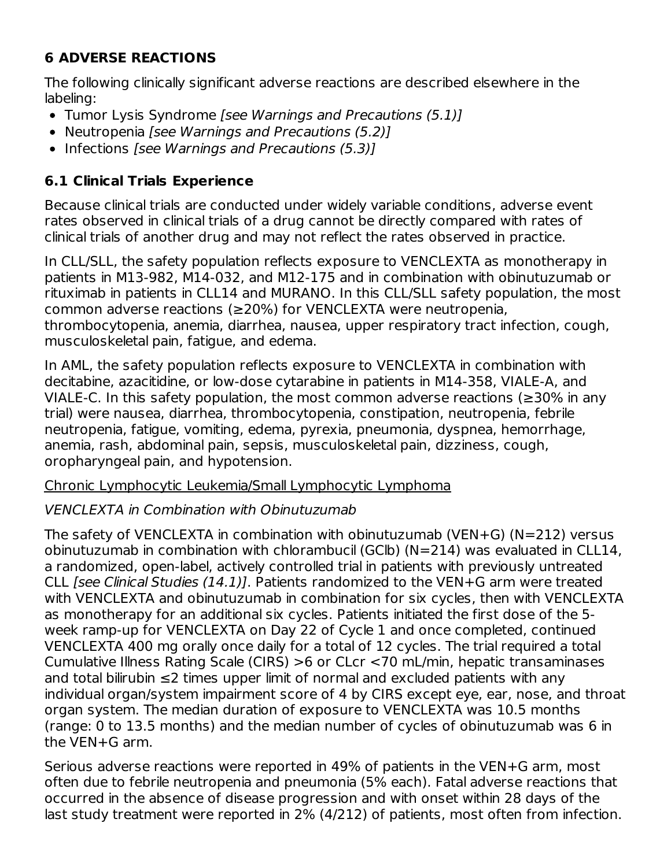# **6 ADVERSE REACTIONS**

The following clinically significant adverse reactions are described elsewhere in the labeling:

- Tumor Lysis Syndrome [see Warnings and Precautions (5.1)]
- Neutropenia [see Warnings and Precautions (5.2)]
- Infections [see Warnings and Precautions (5.3)]

## **6.1 Clinical Trials Experience**

Because clinical trials are conducted under widely variable conditions, adverse event rates observed in clinical trials of a drug cannot be directly compared with rates of clinical trials of another drug and may not reflect the rates observed in practice.

In CLL/SLL, the safety population reflects exposure to VENCLEXTA as monotherapy in patients in M13-982, M14-032, and M12-175 and in combination with obinutuzumab or rituximab in patients in CLL14 and MURANO. In this CLL/SLL safety population, the most common adverse reactions (≥20%) for VENCLEXTA were neutropenia, thrombocytopenia, anemia, diarrhea, nausea, upper respiratory tract infection, cough, musculoskeletal pain, fatigue, and edema.

In AML, the safety population reflects exposure to VENCLEXTA in combination with decitabine, azacitidine, or low-dose cytarabine in patients in M14-358, VIALE-A, and VIALE-C. In this safety population, the most common adverse reactions ( $\geq$ 30% in any trial) were nausea, diarrhea, thrombocytopenia, constipation, neutropenia, febrile neutropenia, fatigue, vomiting, edema, pyrexia, pneumonia, dyspnea, hemorrhage, anemia, rash, abdominal pain, sepsis, musculoskeletal pain, dizziness, cough, oropharyngeal pain, and hypotension.

Chronic Lymphocytic Leukemia/Small Lymphocytic Lymphoma

## VENCLEXTA in Combination with Obinutuzumab

The safety of VENCLEXTA in combination with obinutuzumab (VEN+G) (N=212) versus obinutuzumab in combination with chlorambucil (GClb) (N=214) was evaluated in CLL14, a randomized, open-label, actively controlled trial in patients with previously untreated CLL [see Clinical Studies (14.1)]. Patients randomized to the VEN+G arm were treated with VENCLEXTA and obinutuzumab in combination for six cycles, then with VENCLEXTA as monotherapy for an additional six cycles. Patients initiated the first dose of the 5 week ramp-up for VENCLEXTA on Day 22 of Cycle 1 and once completed, continued VENCLEXTA 400 mg orally once daily for a total of 12 cycles. The trial required a total Cumulative Illness Rating Scale (CIRS) >6 or CLcr <70 mL/min, hepatic transaminases and total bilirubin ≤2 times upper limit of normal and excluded patients with any individual organ/system impairment score of 4 by CIRS except eye, ear, nose, and throat organ system. The median duration of exposure to VENCLEXTA was 10.5 months (range: 0 to 13.5 months) and the median number of cycles of obinutuzumab was 6 in the VEN+G arm.

Serious adverse reactions were reported in 49% of patients in the VEN+G arm, most often due to febrile neutropenia and pneumonia (5% each). Fatal adverse reactions that occurred in the absence of disease progression and with onset within 28 days of the last study treatment were reported in 2% (4/212) of patients, most often from infection.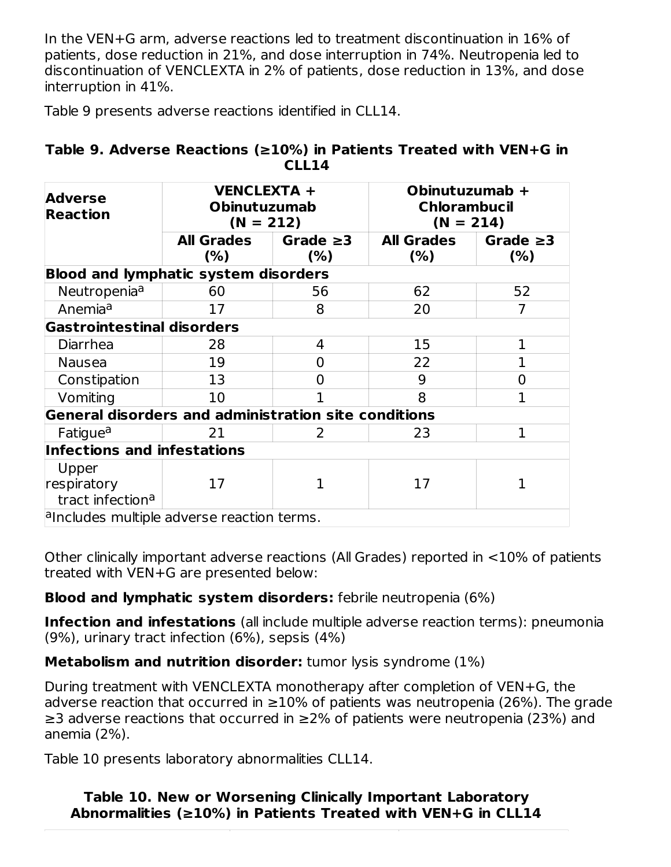In the VEN+G arm, adverse reactions led to treatment discontinuation in 16% of patients, dose reduction in 21%, and dose interruption in 74%. Neutropenia led to discontinuation of VENCLEXTA in 2% of patients, dose reduction in 13%, and dose interruption in 41%.

Table 9 presents adverse reactions identified in CLL14.

|  | Table 9. Adverse Reactions ( $\geq 10\%$ ) in Patients Treated with VEN+G in |       |  |  |  |
|--|------------------------------------------------------------------------------|-------|--|--|--|
|  |                                                                              | CLL14 |  |  |  |

| <b>VENCLEXTA +</b><br><b>Adverse</b><br><b>Obinutuzumab</b><br><b>Reaction</b><br>$(N = 212)$                                                                                                                                                                                                                                    |                          |                       | Obinutuzumab +<br><b>Chlorambucil</b><br>$(N = 214)$ |                       |
|----------------------------------------------------------------------------------------------------------------------------------------------------------------------------------------------------------------------------------------------------------------------------------------------------------------------------------|--------------------------|-----------------------|------------------------------------------------------|-----------------------|
|                                                                                                                                                                                                                                                                                                                                  | <b>All Grades</b><br>(%) | Grade $\geq$ 3<br>(%) | <b>All Grades</b><br>$(\%)$                          | Grade $\geq$ 3<br>(%) |
| <b>Blood and lymphatic system disorders</b>                                                                                                                                                                                                                                                                                      |                          |                       |                                                      |                       |
| Neutropenia <sup>a</sup>                                                                                                                                                                                                                                                                                                         | 60                       | 56                    | 62                                                   | 52                    |
| Anemia <sup>a</sup>                                                                                                                                                                                                                                                                                                              | 17                       | 8                     | 20                                                   |                       |
| <b>Gastrointestinal disorders</b>                                                                                                                                                                                                                                                                                                |                          |                       |                                                      |                       |
| Diarrhea                                                                                                                                                                                                                                                                                                                         | 28                       | 4                     | 15                                                   | 1                     |
| <b>Nausea</b>                                                                                                                                                                                                                                                                                                                    | 19                       | 0                     | 22                                                   | 1                     |
| Constipation                                                                                                                                                                                                                                                                                                                     | 13                       | 0                     | 9                                                    | 0                     |
| Vomiting                                                                                                                                                                                                                                                                                                                         | 10                       |                       | 8                                                    | 1                     |
| General disorders and administration site conditions                                                                                                                                                                                                                                                                             |                          |                       |                                                      |                       |
| <b>Fatigue<sup>a</sup></b>                                                                                                                                                                                                                                                                                                       | 21                       | 2                     | 23                                                   | 1                     |
| <b>Infections and infestations</b>                                                                                                                                                                                                                                                                                               |                          |                       |                                                      |                       |
| Upper                                                                                                                                                                                                                                                                                                                            |                          |                       |                                                      |                       |
| respiratory                                                                                                                                                                                                                                                                                                                      | 17                       | 1                     | 17                                                   | 1                     |
| tract infection <sup>a</sup>                                                                                                                                                                                                                                                                                                     |                          |                       |                                                      |                       |
| $\alpha$ and $\alpha$ and $\alpha$ and $\alpha$ and $\alpha$ and $\alpha$ and $\alpha$ and $\alpha$ and $\alpha$ and $\alpha$ and $\alpha$ and $\alpha$ and $\alpha$ and $\alpha$ and $\alpha$ and $\alpha$ and $\alpha$ and $\alpha$ and $\alpha$ and $\alpha$ and $\alpha$ and $\alpha$ and $\alpha$ and $\alpha$ and $\alpha$ |                          |                       |                                                      |                       |

Other clinically important adverse reactions (All Grades) reported in <10% of patients treated with VEN+G are presented below:

#### **Blood and lymphatic system disorders:** febrile neutropenia (6%)

**Infection and infestations** (all include multiple adverse reaction terms): pneumonia (9%), urinary tract infection (6%), sepsis (4%)

**Metabolism and nutrition disorder:** tumor lysis syndrome (1%)

During treatment with VENCLEXTA monotherapy after completion of VEN+G, the adverse reaction that occurred in  $\geq$ 10% of patients was neutropenia (26%). The grade ≥3 adverse reactions that occurred in ≥2% of patients were neutropenia (23%) and anemia (2%).

Table 10 presents laboratory abnormalities CLL14.

#### **Table 10. New or Worsening Clinically Important Laboratory Abnormalities (≥10%) in Patients Treated with VEN+G in CLL14**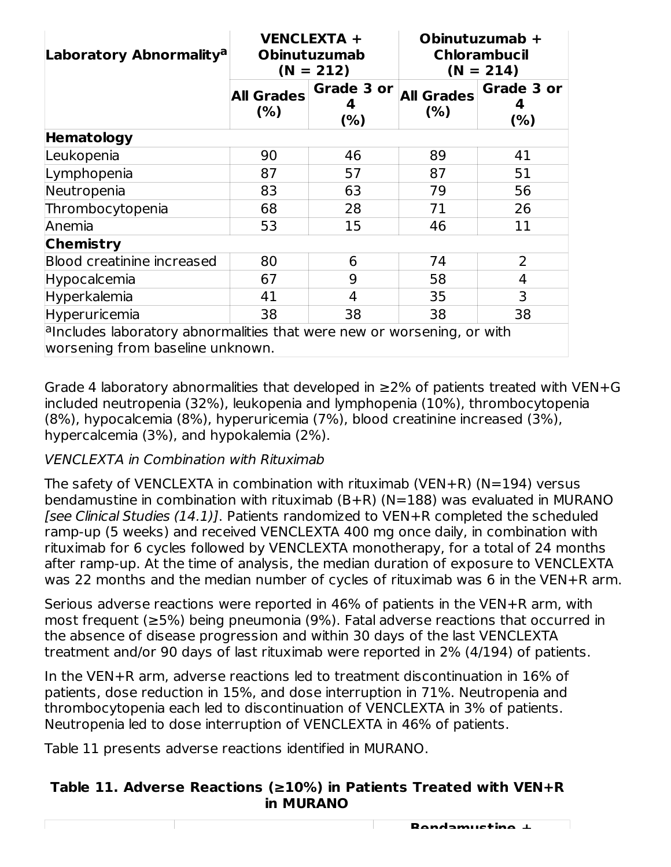| Laboratory Abnormality <sup>a</sup>                                                                                                                                                                                                                               | <b>VENCLEXTA +</b><br><b>Obinutuzumab</b><br>$(N = 212)$ |                   | Obinutuzumab +<br><b>Chlorambucil</b><br>$(N = 214)$ |                        |  |  |
|-------------------------------------------------------------------------------------------------------------------------------------------------------------------------------------------------------------------------------------------------------------------|----------------------------------------------------------|-------------------|------------------------------------------------------|------------------------|--|--|
|                                                                                                                                                                                                                                                                   | <b>All Grades</b><br>(%)                                 | Grade 3 or<br>(%) | <b>All Grades</b><br>(% )                            | Grade 3 or<br>4<br>(%) |  |  |
| <b>Hematology</b>                                                                                                                                                                                                                                                 |                                                          |                   |                                                      |                        |  |  |
| Leukopenia                                                                                                                                                                                                                                                        | 90                                                       | 46                | 89                                                   | 41                     |  |  |
| Lymphopenia                                                                                                                                                                                                                                                       | 87                                                       | 57                | 87                                                   | 51                     |  |  |
| Neutropenia                                                                                                                                                                                                                                                       | 83                                                       | 63                | 79                                                   | 56                     |  |  |
| Thrombocytopenia                                                                                                                                                                                                                                                  | 68                                                       | 28                | 71                                                   | 26                     |  |  |
| Anemia                                                                                                                                                                                                                                                            | 53                                                       | 15                | 46                                                   | 11                     |  |  |
| <b>Chemistry</b>                                                                                                                                                                                                                                                  |                                                          |                   |                                                      |                        |  |  |
| <b>Blood creatinine increased</b>                                                                                                                                                                                                                                 | 80                                                       | 6                 | 74                                                   | 2                      |  |  |
| Hypocalcemia                                                                                                                                                                                                                                                      | 67                                                       | 9                 | 58                                                   | 4                      |  |  |
| Hyperkalemia                                                                                                                                                                                                                                                      | 41                                                       | 4                 | 35                                                   | 3                      |  |  |
| Hyperuricemia                                                                                                                                                                                                                                                     | 38                                                       | 38                | 38                                                   | 38                     |  |  |
| $a$ and $b$ and $c$ and $c$ and $c$ and $c$ and $c$ and $c$ and $c$ and $c$ and $c$ and $c$ and $c$ and $d$ and $d$ and $d$ and $d$ and $d$ and $d$ and $d$ and $d$ and $d$ and $d$ and $d$ and $d$ and $d$ and $d$ and $d$ a<br>worsening from baseline unknown. |                                                          |                   |                                                      |                        |  |  |

Grade 4 laboratory abnormalities that developed in  $\geq$ 2% of patients treated with VEN+G included neutropenia (32%), leukopenia and lymphopenia (10%), thrombocytopenia (8%), hypocalcemia (8%), hyperuricemia (7%), blood creatinine increased (3%), hypercalcemia (3%), and hypokalemia (2%).

## VENCLEXTA in Combination with Rituximab

The safety of VENCLEXTA in combination with rituximab (VEN+R) (N=194) versus bendamustine in combination with rituximab (B+R) (N=188) was evaluated in MURANO [see Clinical Studies (14.1)]. Patients randomized to VEN+R completed the scheduled ramp-up (5 weeks) and received VENCLEXTA 400 mg once daily, in combination with rituximab for 6 cycles followed by VENCLEXTA monotherapy, for a total of 24 months after ramp-up. At the time of analysis, the median duration of exposure to VENCLEXTA was 22 months and the median number of cycles of rituximab was 6 in the VEN+R arm.

Serious adverse reactions were reported in 46% of patients in the VEN+R arm, with most frequent (≥5%) being pneumonia (9%). Fatal adverse reactions that occurred in the absence of disease progression and within 30 days of the last VENCLEXTA treatment and/or 90 days of last rituximab were reported in 2% (4/194) of patients.

In the VEN+R arm, adverse reactions led to treatment discontinuation in 16% of patients, dose reduction in 15%, and dose interruption in 71%. Neutropenia and thrombocytopenia each led to discontinuation of VENCLEXTA in 3% of patients. Neutropenia led to dose interruption of VENCLEXTA in 46% of patients.

Table 11 presents adverse reactions identified in MURANO.

#### **Table 11. Adverse Reactions (≥10%) in Patients Treated with VEN+R in MURANO**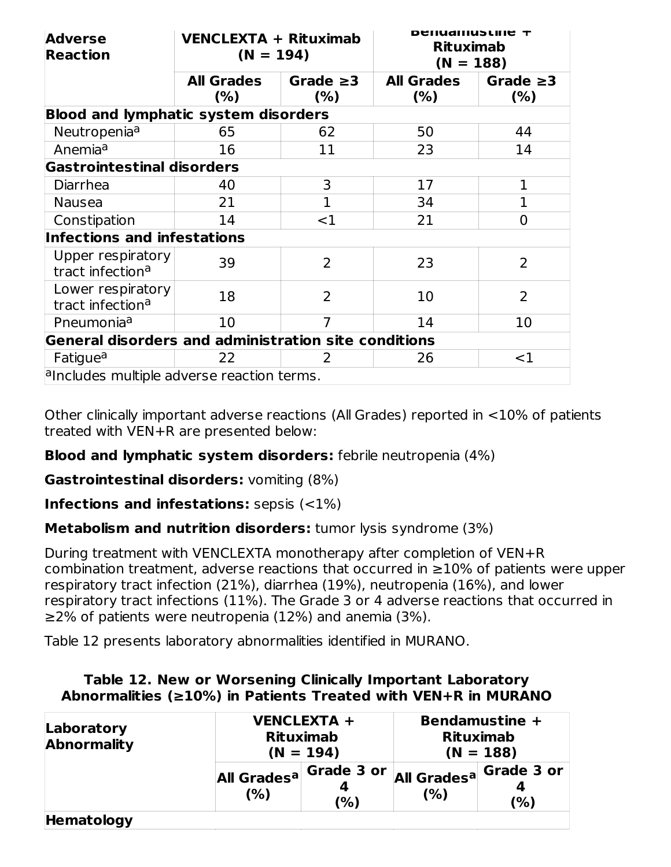| <b>Adverse</b><br><b>Reaction</b>                           | VENCLEXTA + Rituximab<br>$(N = 194)$ |                        | Deliudiliusliile +<br><b>Rituximab</b><br>$(N = 188)$ |                       |  |
|-------------------------------------------------------------|--------------------------------------|------------------------|-------------------------------------------------------|-----------------------|--|
|                                                             | <b>All Grades</b><br>$(\%)$          | Grade $\geq$ 3<br>(% ) | <b>All Grades</b><br>(%)                              | Grade $\geq$ 3<br>(%) |  |
| <b>Blood and lymphatic system disorders</b>                 |                                      |                        |                                                       |                       |  |
| Neutropenia <sup>a</sup>                                    | 65                                   | 62                     | 50                                                    | 44                    |  |
| Anemia <sup>a</sup>                                         | 16                                   | 11                     | 23                                                    | 14                    |  |
| <b>Gastrointestinal disorders</b>                           |                                      |                        |                                                       |                       |  |
| Diarrhea                                                    | 40                                   | 3                      | 17                                                    | 1                     |  |
| <b>Nausea</b>                                               | 21                                   | 1                      | 34                                                    | 1                     |  |
| Constipation                                                | 14                                   | $<$ 1                  | 21                                                    | $\overline{0}$        |  |
| <b>Infections and infestations</b>                          |                                      |                        |                                                       |                       |  |
| Upper respiratory<br>tract infection <sup>a</sup>           | 39                                   | $\overline{2}$         | 23                                                    | $\overline{2}$        |  |
| Lower respiratory<br>tract infection <sup>a</sup>           | 18                                   | 2                      | 10                                                    | $\overline{2}$        |  |
| Pneumonia <sup>a</sup>                                      | 10                                   | 7                      | 14                                                    | 10                    |  |
| <b>General disorders and administration site conditions</b> |                                      |                        |                                                       |                       |  |
| Fatigue <sup>a</sup>                                        | 22                                   | 2                      | 26                                                    | $<$ 1                 |  |
| a includes multiple adverse reaction terms.                 |                                      |                        |                                                       |                       |  |

Other clinically important adverse reactions (All Grades) reported in <10% of patients treated with VEN+R are presented below:

## **Blood and lymphatic system disorders:** febrile neutropenia (4%)

**Gastrointestinal disorders:** vomiting (8%)

**Infections and infestations:** sepsis (<1%)

**Metabolism and nutrition disorders:** tumor lysis syndrome (3%)

During treatment with VENCLEXTA monotherapy after completion of VEN+R combination treatment, adverse reactions that occurred in  $\geq$ 10% of patients were upper respiratory tract infection (21%), diarrhea (19%), neutropenia (16%), and lower respiratory tract infections (11%). The Grade 3 or 4 adverse reactions that occurred in ≥2% of patients were neutropenia (12%) and anemia (3%).

Table 12 presents laboratory abnormalities identified in MURANO.

| Table 12. New or Worsening Clinically Important Laboratory           |  |
|----------------------------------------------------------------------|--|
| Abnormalities ( $\geq$ 10%) in Patients Treated with VEN+R in MURANO |  |

| Laboratory<br><b>Abnormality</b> |                                           | <b>VENCLEXTA +</b><br><b>Rituximab</b><br>$(N = 194)$ | Bendamustine +<br><b>Rituximab</b><br>$(N = 188)$ |                                                      |
|----------------------------------|-------------------------------------------|-------------------------------------------------------|---------------------------------------------------|------------------------------------------------------|
|                                  | All Grades <sup>a Grade 3 or</sup><br>(%) | (%)                                                   | (%)                                               | <b>All Grades<sup>a</sup> Grade 3 or</b><br>4<br>(%) |
| <b>Hematology</b>                |                                           |                                                       |                                                   |                                                      |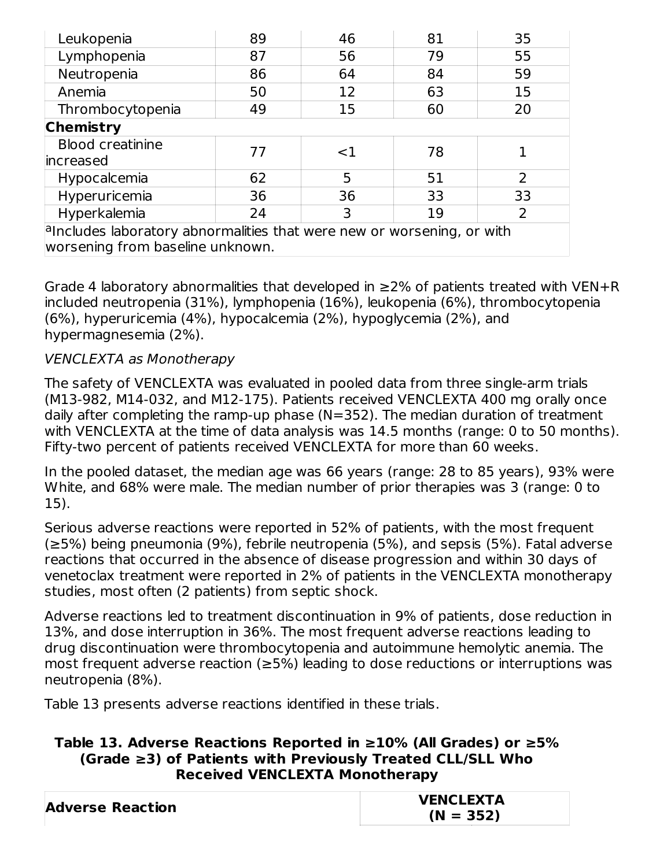| Leukopenia                                                                                                                                                                                                                    | 89 | 46    | 81 | 35             |  |  |
|-------------------------------------------------------------------------------------------------------------------------------------------------------------------------------------------------------------------------------|----|-------|----|----------------|--|--|
| Lymphopenia                                                                                                                                                                                                                   | 87 | 56    | 79 | 55             |  |  |
| Neutropenia                                                                                                                                                                                                                   | 86 | 64    | 84 | 59             |  |  |
| Anemia                                                                                                                                                                                                                        | 50 | 12    | 63 | 15             |  |  |
| Thrombocytopenia                                                                                                                                                                                                              | 49 | 15    | 60 | 20             |  |  |
| <b>Chemistry</b>                                                                                                                                                                                                              |    |       |    |                |  |  |
| <b>Blood creatinine</b>                                                                                                                                                                                                       | 77 | $<$ 1 | 78 |                |  |  |
| increased                                                                                                                                                                                                                     |    |       |    |                |  |  |
| Hypocalcemia                                                                                                                                                                                                                  | 62 | 5     | 51 | $\overline{2}$ |  |  |
| Hyperuricemia                                                                                                                                                                                                                 | 36 | 36    | 33 | 33             |  |  |
| Hyperkalemia                                                                                                                                                                                                                  | 24 | 3     | 19 | 2              |  |  |
| $a$ and $b$ and $c$ and $c$ and $b$ and $c$ and $b$ and $c$ and $b$ and $c$ and $c$ and $c$ and $d$ and $b$ and $c$ and $d$ and $d$ and $d$ and $d$ and $d$ and $d$ and $d$ and $d$ and $d$ and $d$ and $d$ and $d$ and $d$ a |    |       |    |                |  |  |
| worsening from baseline unknown.                                                                                                                                                                                              |    |       |    |                |  |  |

Grade 4 laboratory abnormalities that developed in  $\geq$ 2% of patients treated with VEN+R included neutropenia (31%), lymphopenia (16%), leukopenia (6%), thrombocytopenia (6%), hyperuricemia (4%), hypocalcemia (2%), hypoglycemia (2%), and hypermagnesemia (2%).

### VENCLEXTA as Monotherapy

The safety of VENCLEXTA was evaluated in pooled data from three single-arm trials (M13-982, M14-032, and M12-175). Patients received VENCLEXTA 400 mg orally once daily after completing the ramp-up phase (N=352). The median duration of treatment with VENCLEXTA at the time of data analysis was 14.5 months (range: 0 to 50 months). Fifty-two percent of patients received VENCLEXTA for more than 60 weeks.

In the pooled dataset, the median age was 66 years (range: 28 to 85 years), 93% were White, and 68% were male. The median number of prior therapies was 3 (range: 0 to 15).

Serious adverse reactions were reported in 52% of patients, with the most frequent (≥5%) being pneumonia (9%), febrile neutropenia (5%), and sepsis (5%). Fatal adverse reactions that occurred in the absence of disease progression and within 30 days of venetoclax treatment were reported in 2% of patients in the VENCLEXTA monotherapy studies, most often (2 patients) from septic shock.

Adverse reactions led to treatment discontinuation in 9% of patients, dose reduction in 13%, and dose interruption in 36%. The most frequent adverse reactions leading to drug discontinuation were thrombocytopenia and autoimmune hemolytic anemia. The most frequent adverse reaction (≥5%) leading to dose reductions or interruptions was neutropenia (8%).

Table 13 presents adverse reactions identified in these trials.

#### **Table 13. Adverse Reactions Reported in ≥10% (All Grades) or ≥5% (Grade ≥3) of Patients with Previously Treated CLL/SLL Who Received VENCLEXTA Monotherapy**

|                         | <b>VENCLEXTA</b> |
|-------------------------|------------------|
| <b>Adverse Reaction</b> | $(N = 352)$      |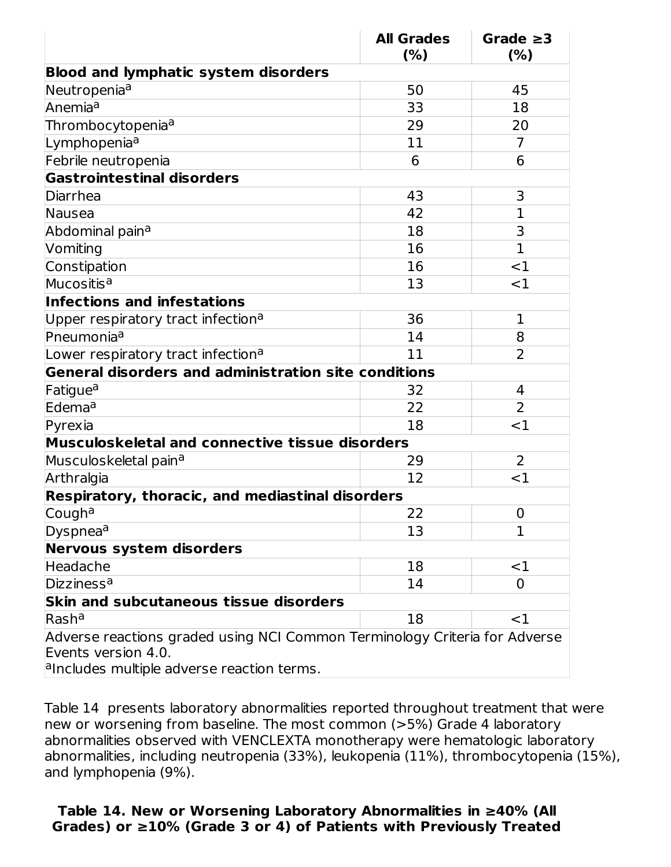|                                                                                                                                                  | <b>All Grades</b><br>(% ) | Grade $\geq$ 3<br>(% ) |
|--------------------------------------------------------------------------------------------------------------------------------------------------|---------------------------|------------------------|
| <b>Blood and lymphatic system disorders</b>                                                                                                      |                           |                        |
| Neutropenia <sup>a</sup>                                                                                                                         | 50                        | 45                     |
| Anemia <sup>a</sup>                                                                                                                              | 33                        | 18                     |
| Thrombocytopenia <sup>a</sup>                                                                                                                    | 29                        | 20                     |
| Lymphopenia <sup>a</sup>                                                                                                                         | 11                        | 7                      |
| Febrile neutropenia                                                                                                                              | 6                         | 6                      |
| <b>Gastrointestinal disorders</b>                                                                                                                |                           |                        |
| Diarrhea                                                                                                                                         | 43                        | 3                      |
| Nausea                                                                                                                                           | 42                        | 1                      |
| Abdominal pain <sup>a</sup>                                                                                                                      | 18                        | 3                      |
| Vomiting                                                                                                                                         | 16                        | $\mathbf{1}$           |
| Constipation                                                                                                                                     | 16                        | <1                     |
| Mucositis <sup>a</sup>                                                                                                                           | 13                        | $<$ 1                  |
| <b>Infections and infestations</b>                                                                                                               |                           |                        |
| Upper respiratory tract infection <sup>a</sup>                                                                                                   | 36                        | $\mathbf{1}$           |
| Pneumonia <sup>a</sup>                                                                                                                           | 14                        | 8                      |
| Lower respiratory tract infection <sup>a</sup>                                                                                                   | 11                        | $\overline{2}$         |
| General disorders and administration site conditions                                                                                             |                           |                        |
| Fatigue <sup>a</sup>                                                                                                                             | 32                        | 4                      |
| Edema <sup>a</sup>                                                                                                                               | 22                        | $\overline{2}$         |
| Pyrexia                                                                                                                                          | 18                        | $<$ 1                  |
| <b>Musculoskeletal and connective tissue disorders</b>                                                                                           |                           |                        |
| Musculoskeletal pain <sup>a</sup>                                                                                                                | 29                        | $\overline{2}$         |
| Arthralgia                                                                                                                                       | 12                        | ${<}1$                 |
| Respiratory, thoracic, and mediastinal disorders                                                                                                 |                           |                        |
| Cough <sup>a</sup>                                                                                                                               | 22                        | $\mathbf 0$            |
| Dyspnea <sup>a</sup>                                                                                                                             | 13                        | 1                      |
| Nervous system disorders                                                                                                                         |                           |                        |
| Headache                                                                                                                                         | 18                        | $<$ 1                  |
| Dizziness <sup>a</sup>                                                                                                                           | 14                        | 0                      |
| <b>Skin and subcutaneous tissue disorders</b>                                                                                                    |                           |                        |
| $R$ asha                                                                                                                                         | 18                        | $<$ 1                  |
| Adverse reactions graded using NCI Common Terminology Criteria for Adverse<br>Events version 4.0.<br>a includes multiple adverse reaction terms. |                           |                        |

Table 14 presents laboratory abnormalities reported throughout treatment that were new or worsening from baseline. The most common (>5%) Grade 4 laboratory abnormalities observed with VENCLEXTA monotherapy were hematologic laboratory abnormalities, including neutropenia (33%), leukopenia (11%), thrombocytopenia (15%), and lymphopenia (9%).

#### **Table 14. New or Worsening Laboratory Abnormalities in ≥40% (All Grades) or ≥10% (Grade 3 or 4) of Patients with Previously Treated**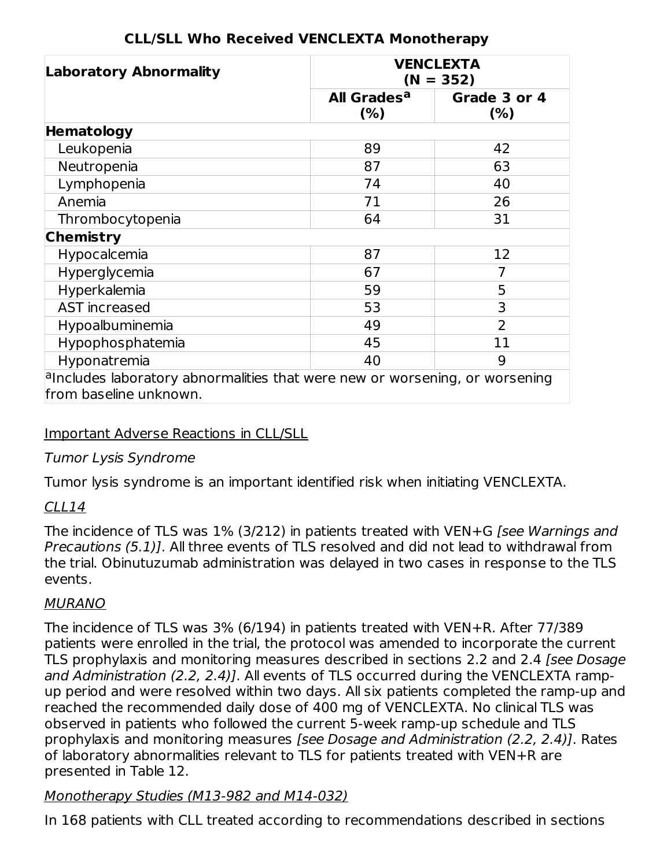| <b>Laboratory Abnormality</b>                                                                            | <b>VENCLEXTA</b><br>$(N = 352)$ |                     |  |  |
|----------------------------------------------------------------------------------------------------------|---------------------------------|---------------------|--|--|
|                                                                                                          | All Grades <sup>a</sup><br>(%)  | Grade 3 or 4<br>(%) |  |  |
| <b>Hematology</b>                                                                                        |                                 |                     |  |  |
| Leukopenia                                                                                               | 89                              | 42                  |  |  |
| Neutropenia                                                                                              | 87                              | 63                  |  |  |
| Lymphopenia                                                                                              | 74                              | 40                  |  |  |
| Anemia                                                                                                   | 71                              | 26                  |  |  |
| Thrombocytopenia                                                                                         | 64                              | 31                  |  |  |
| <b>Chemistry</b>                                                                                         |                                 |                     |  |  |
| Hypocalcemia                                                                                             | 87                              | 12                  |  |  |
| Hyperglycemia                                                                                            | 67                              | 7                   |  |  |
| Hyperkalemia                                                                                             | 59                              | 5                   |  |  |
| <b>AST</b> increased                                                                                     | 53                              | 3                   |  |  |
| Hypoalbuminemia                                                                                          | 49                              | $\overline{2}$      |  |  |
| Hypophosphatemia                                                                                         | 45                              | 11                  |  |  |
| Hyponatremia                                                                                             | 40                              | 9                   |  |  |
| $a$ lncludes laboratory abnormalities that were new or worsening, or worsening<br>from baseline unknown. |                                 |                     |  |  |

## **CLL/SLL Who Received VENCLEXTA Monotherapy**

## Important Adverse Reactions in CLL/SLL

## Tumor Lysis Syndrome

Tumor lysis syndrome is an important identified risk when initiating VENCLEXTA.

## CLL14

The incidence of TLS was 1% (3/212) in patients treated with VEN+G [see Warnings and Precautions (5.1)]. All three events of TLS resolved and did not lead to withdrawal from the trial. Obinutuzumab administration was delayed in two cases in response to the TLS events.

## MURANO

The incidence of TLS was 3% (6/194) in patients treated with VEN+R. After 77/389 patients were enrolled in the trial, the protocol was amended to incorporate the current TLS prophylaxis and monitoring measures described in sections 2.2 and 2.4 [see Dosage] and Administration (2.2, 2.4)]. All events of TLS occurred during the VENCLEXTA rampup period and were resolved within two days. All six patients completed the ramp-up and reached the recommended daily dose of 400 mg of VENCLEXTA. No clinical TLS was observed in patients who followed the current 5-week ramp-up schedule and TLS prophylaxis and monitoring measures [see Dosage and Administration (2.2, 2.4)]. Rates of laboratory abnormalities relevant to TLS for patients treated with VEN+R are presented in Table 12.

## Monotherapy Studies (M13-982 and M14-032)

In 168 patients with CLL treated according to recommendations described in sections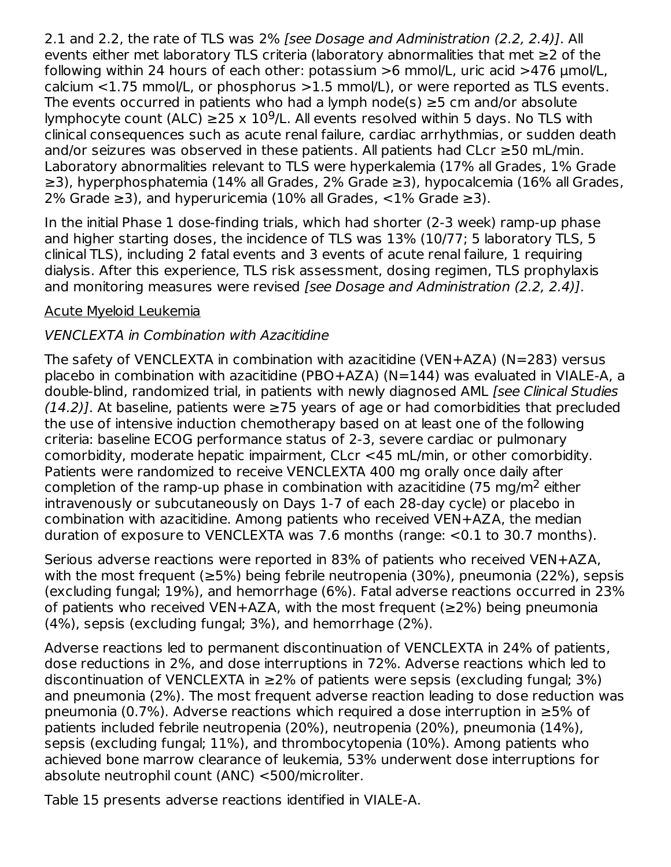2.1 and 2.2, the rate of TLS was 2% [see Dosage and Administration (2.2, 2.4)]. All events either met laboratory TLS criteria (laboratory abnormalities that met ≥2 of the following within 24 hours of each other: potassium >6 mmol/L, uric acid >476 µmol/L, calcium <1.75 mmol/L, or phosphorus >1.5 mmol/L), or were reported as TLS events. The events occurred in patients who had a lymph node(s)  $\geq$ 5 cm and/or absolute lymphocyte count (ALC)  $\geq$ 25 x 10<sup>9</sup>/L. All events resolved within 5 days. No TLS with clinical consequences such as acute renal failure, cardiac arrhythmias, or sudden death and/or seizures was observed in these patients. All patients had CLcr ≥50 mL/min. Laboratory abnormalities relevant to TLS were hyperkalemia (17% all Grades, 1% Grade ≥3), hyperphosphatemia (14% all Grades, 2% Grade ≥3), hypocalcemia (16% all Grades, 2% Grade  $\geq$ 3), and hyperuricemia (10% all Grades, <1% Grade  $\geq$ 3).

In the initial Phase 1 dose-finding trials, which had shorter (2-3 week) ramp-up phase and higher starting doses, the incidence of TLS was 13% (10/77; 5 laboratory TLS, 5 clinical TLS), including 2 fatal events and 3 events of acute renal failure, 1 requiring dialysis. After this experience, TLS risk assessment, dosing regimen, TLS prophylaxis and monitoring measures were revised [see Dosage and Administration (2.2, 2.4)].

### Acute Myeloid Leukemia

### VENCLEXTA in Combination with Azacitidine

The safety of VENCLEXTA in combination with azacitidine (VEN+AZA) (N=283) versus placebo in combination with azacitidine (PBO+AZA) (N=144) was evaluated in VIALE-A, a double-blind, randomized trial, in patients with newly diagnosed AML [see Clinical Studies  $(14.2)$ ]. At baseline, patients were  $\geq$ 75 years of age or had comorbidities that precluded the use of intensive induction chemotherapy based on at least one of the following criteria: baseline ECOG performance status of 2-3, severe cardiac or pulmonary comorbidity, moderate hepatic impairment, CLcr <45 mL/min, or other comorbidity. Patients were randomized to receive VENCLEXTA 400 mg orally once daily after completion of the ramp-up phase in combination with azacitidine (75 mg/m<sup>2</sup> either intravenously or subcutaneously on Days 1-7 of each 28-day cycle) or placebo in combination with azacitidine. Among patients who received VEN+AZA, the median duration of exposure to VENCLEXTA was 7.6 months (range: <0.1 to 30.7 months).

Serious adverse reactions were reported in 83% of patients who received VEN+AZA, with the most frequent (≥5%) being febrile neutropenia (30%), pneumonia (22%), sepsis (excluding fungal; 19%), and hemorrhage (6%). Fatal adverse reactions occurred in 23% of patients who received VEN+AZA, with the most frequent ( $\geq$ 2%) being pneumonia (4%), sepsis (excluding fungal; 3%), and hemorrhage (2%).

Adverse reactions led to permanent discontinuation of VENCLEXTA in 24% of patients, dose reductions in 2%, and dose interruptions in 72%. Adverse reactions which led to discontinuation of VENCLEXTA in  $\geq$ 2% of patients were sepsis (excluding fungal; 3%) and pneumonia (2%). The most frequent adverse reaction leading to dose reduction was pneumonia (0.7%). Adverse reactions which required a dose interruption in ≥5% of patients included febrile neutropenia (20%), neutropenia (20%), pneumonia (14%), sepsis (excluding fungal; 11%), and thrombocytopenia (10%). Among patients who achieved bone marrow clearance of leukemia, 53% underwent dose interruptions for absolute neutrophil count (ANC) <500/microliter.

Table 15 presents adverse reactions identified in VIALE-A.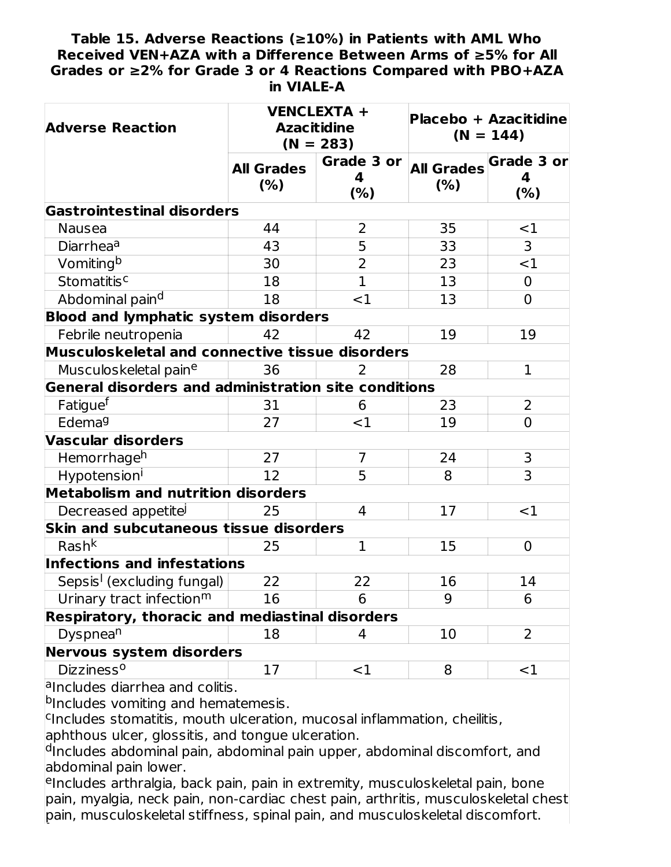#### **Table 15. Adverse Reactions (≥10%) in Patients with AML Who Received VEN+AZA with a Difference Between Arms of ≥5% for All Grades or ≥2% for Grade 3 or 4 Reactions Compared with PBO+AZA in VIALE-A**

| <b>Adverse Reaction</b>                              | <b>VENCLEXTA +</b><br><b>Azacitidine</b><br>$(N = 283)$ |                        | <b>Placebo + Azacitidine</b><br>$(N = 144)$ |                                    |
|------------------------------------------------------|---------------------------------------------------------|------------------------|---------------------------------------------|------------------------------------|
|                                                      | <b>All Grades</b><br>(% )                               | Grade 3 or<br>4<br>(%) | (% )                                        | All Grades Grade 3 or<br>4<br>(% ) |
| <b>Gastrointestinal disorders</b>                    |                                                         |                        |                                             |                                    |
| <b>Nausea</b>                                        | 44                                                      | 2                      | 35                                          | $<$ 1                              |
| Diarrhea <sup>a</sup>                                | 43                                                      | 5                      | 33                                          | 3                                  |
| Vomiting <sup>b</sup>                                | 30                                                      | $\overline{2}$         | 23                                          | <1                                 |
| Stomatitis <sup>c</sup>                              | 18                                                      | $\overline{1}$         | 13                                          | $\overline{0}$                     |
| Abdominal pain <sup>d</sup>                          | 18                                                      | $<$ 1                  | 13                                          | $\mathbf 0$                        |
| <b>Blood and lymphatic system disorders</b>          |                                                         |                        |                                             |                                    |
| Febrile neutropenia                                  | 42                                                      | 42                     | 19                                          | 19                                 |
| Musculoskeletal and connective tissue disorders      |                                                         |                        |                                             |                                    |
| Musculoskeletal paine                                | 36                                                      | 2                      | 28                                          | $\mathbf{1}$                       |
| General disorders and administration site conditions |                                                         |                        |                                             |                                    |
| Fatigue <sup>f</sup>                                 | 31                                                      | 6                      | 23                                          | $\overline{2}$                     |
| Edema <sup>g</sup>                                   | 27                                                      | $<$ 1                  | 19                                          | $\overline{0}$                     |
| <b>Vascular disorders</b>                            |                                                         |                        |                                             |                                    |
| Hemorrhage <sup>h</sup>                              | 27                                                      | $\overline{7}$         | 24                                          | 3                                  |
| Hypotension <sup>i</sup>                             | 12                                                      | 5                      | 8                                           | $\overline{3}$                     |
| <b>Metabolism and nutrition disorders</b>            |                                                         |                        |                                             |                                    |
| Decreased appetitel                                  | 25                                                      | $\overline{4}$         | 17                                          | $<$ 1                              |
| Skin and subcutaneous tissue disorders               |                                                         |                        |                                             |                                    |
| $Rash^{\overline{k}}$                                | 25                                                      | $\mathbf 1$            | 15                                          | $\mathbf 0$                        |
| <b>Infections and infestations</b>                   |                                                         |                        |                                             |                                    |
| Sepsis <sup>1</sup> (excluding fungal)               | 22                                                      | 22                     | 16                                          | 14                                 |
| Urinary tract infection <sup>m</sup>                 | 16                                                      | 6                      | 9                                           | 6                                  |
| Respiratory, thoracic and mediastinal disorders      |                                                         |                        |                                             |                                    |
| Dyspnea <sup>n</sup>                                 | 18                                                      | 4                      | 10                                          | 2                                  |
| Nervous system disorders                             |                                                         |                        |                                             |                                    |
| Dizziness <sup>o</sup>                               | 17                                                      | $<$ 1                  | 8                                           | $<$ 1                              |
| وتمرجم وامسماله بممام بالمميلة                       |                                                         |                        |                                             |                                    |

a<sub>lncludes</sub> diarrhea and colitis.

bIncludes vomiting and hematemesis.

<sup>c</sup>Includes stomatitis, mouth ulceration, mucosal inflammation, cheilitis, aphthous ulcer, glossitis, and tongue ulceration.

<sup>d</sup>Includes abdominal pain, abdominal pain upper, abdominal discomfort, and abdominal pain lower.

eIncludes arthralgia, back pain, pain in extremity, musculoskeletal pain, bone pain, myalgia, neck pain, non-cardiac chest pain, arthritis, musculoskeletal chest pain, musculoskeletal stiffness, spinal pain, and musculoskeletal discomfort. f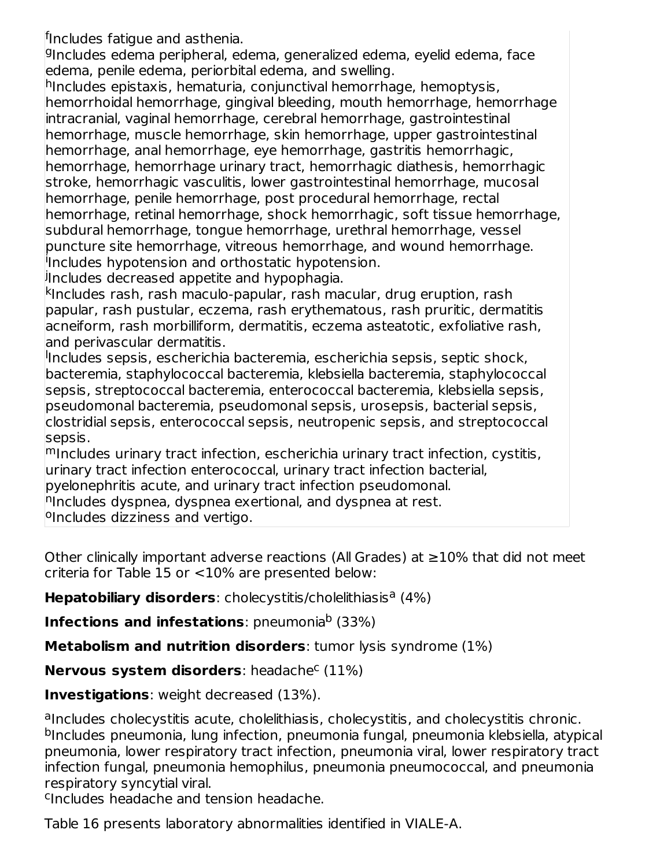<sup>f</sup>Includes fatigue and asthenia.

<sup>g</sup>Includes edema peripheral, edema, generalized edema, eyelid edema, face edema, penile edema, periorbital edema, and swelling.

hIncludes epistaxis, hematuria, conjunctival hemorrhage, hemoptysis, hemorrhoidal hemorrhage, gingival bleeding, mouth hemorrhage, hemorrhage intracranial, vaginal hemorrhage, cerebral hemorrhage, gastrointestinal hemorrhage, muscle hemorrhage, skin hemorrhage, upper gastrointestinal hemorrhage, anal hemorrhage, eye hemorrhage, gastritis hemorrhagic, hemorrhage, hemorrhage urinary tract, hemorrhagic diathesis, hemorrhagic stroke, hemorrhagic vasculitis, lower gastrointestinal hemorrhage, mucosal hemorrhage, penile hemorrhage, post procedural hemorrhage, rectal hemorrhage, retinal hemorrhage, shock hemorrhagic, soft tissue hemorrhage, subdural hemorrhage, tongue hemorrhage, urethral hemorrhage, vessel puncture site hemorrhage, vitreous hemorrhage, and wound hemorrhage. <sup>i</sup>Includes hypotension and orthostatic hypotension.

<sup>j</sup>Includes decreased appetite and hypophagia.

<sup>k</sup>Includes rash, rash maculo-papular, rash macular, drug eruption, rash papular, rash pustular, eczema, rash erythematous, rash pruritic, dermatitis acneiform, rash morbilliform, dermatitis, eczema asteatotic, exfoliative rash, and perivascular dermatitis.

Includes sepsis, escherichia bacteremia, escherichia sepsis, septic shock, bacteremia, staphylococcal bacteremia, klebsiella bacteremia, staphylococcal sepsis, streptococcal bacteremia, enterococcal bacteremia, klebsiella sepsis, pseudomonal bacteremia, pseudomonal sepsis, urosepsis, bacterial sepsis, clostridial sepsis, enterococcal sepsis, neutropenic sepsis, and streptococcal sepsis.

mIncludes urinary tract infection, escherichia urinary tract infection, cystitis, urinary tract infection enterococcal, urinary tract infection bacterial,

pyelonephritis acute, and urinary tract infection pseudomonal.

<sup>n</sup>Includes dyspnea, dyspnea exertional, and dyspnea at rest.

<sup>o</sup>Includes dizziness and vertigo.

Other clinically important adverse reactions (All Grades) at ≥10% that did not meet criteria for Table 15 or <10% are presented below:

Hepatobiliary disorders: cholecystitis/cholelithiasis<sup>a</sup> (4%)

**Infections and infestations**: pneumonia<sup>b</sup> (33%)

**Metabolism and nutrition disorders**: tumor lysis syndrome (1%)

**Nervous system disorders**: headache<sup>c</sup> (11%)

**Investigations**: weight decreased (13%).

alncludes cholecystitis acute, cholelithiasis, cholecystitis, and cholecystitis chronic. <sup>b</sup>Includes pneumonia, lung infection, pneumonia fungal, pneumonia klebsiella, atypical pneumonia, lower respiratory tract infection, pneumonia viral, lower respiratory tract infection fungal, pneumonia hemophilus, pneumonia pneumococcal, and pneumonia respiratory syncytial viral.

<sup>c</sup>Includes headache and tension headache.

Table 16 presents laboratory abnormalities identified in VIALE-A.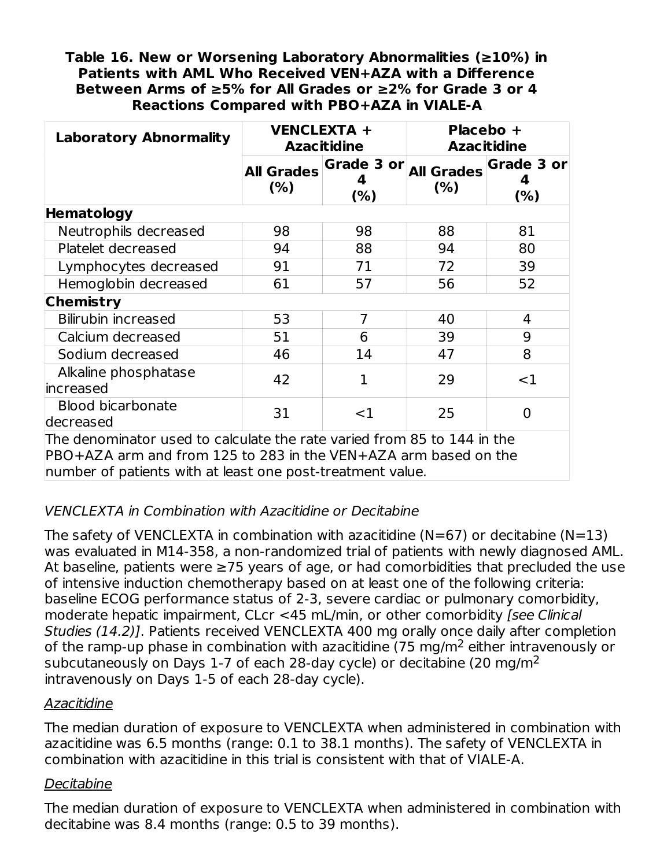#### **Table 16. New or Worsening Laboratory Abnormalities (≥10%) in Patients with AML Who Received VEN+AZA with a Difference Between Arms of ≥5% for All Grades or ≥2% for Grade 3 or 4 Reactions Compared with PBO+AZA in VIALE-A**

| <b>Laboratory Abnormality</b>                                                                                                                                                                            | <b>VENCLEXTA +</b><br><b>Azacitidine</b> |                        | Placebo +<br><b>Azacitidine</b> |                      |  |
|----------------------------------------------------------------------------------------------------------------------------------------------------------------------------------------------------------|------------------------------------------|------------------------|---------------------------------|----------------------|--|
|                                                                                                                                                                                                          | <b>All Grades</b><br>(% )                | Grade 3 or<br>4<br>(%) | <b>All Grades</b><br>(% )       | Grade 3 or<br>$(\%)$ |  |
| <b>Hematology</b>                                                                                                                                                                                        |                                          |                        |                                 |                      |  |
| Neutrophils decreased                                                                                                                                                                                    | 98                                       | 98                     | 88                              | 81                   |  |
| Platelet decreased                                                                                                                                                                                       | 94                                       | 88                     | 94                              | 80                   |  |
| Lymphocytes decreased                                                                                                                                                                                    | 91                                       | 71                     | 72                              | 39                   |  |
| Hemoglobin decreased                                                                                                                                                                                     | 61                                       | 57                     | 56                              | 52                   |  |
| <b>Chemistry</b>                                                                                                                                                                                         |                                          |                        |                                 |                      |  |
| <b>Bilirubin increased</b>                                                                                                                                                                               | 53                                       | $\overline{7}$         | 40                              | 4                    |  |
| Calcium decreased                                                                                                                                                                                        | 51                                       | 6                      | 39                              | 9                    |  |
| Sodium decreased                                                                                                                                                                                         | 46                                       | 14                     | 47                              | 8                    |  |
| Alkaline phosphatase<br>increased                                                                                                                                                                        | 42                                       | 1                      | 29                              | $<$ 1                |  |
| <b>Blood bicarbonate</b><br>decreased                                                                                                                                                                    | 31                                       | $<$ 1                  | 25                              | $\Omega$             |  |
| The denominator used to calculate the rate varied from 85 to 144 in the<br>PBO+AZA arm and from 125 to 283 in the VEN+AZA arm based on the<br>number of patients with at least one post-treatment value. |                                          |                        |                                 |                      |  |

## VENCLEXTA in Combination with Azacitidine or Decitabine

The safety of VENCLEXTA in combination with azacitidine ( $N=67$ ) or decitabine ( $N=13$ ) was evaluated in M14-358, a non-randomized trial of patients with newly diagnosed AML. At baseline, patients were ≥75 years of age, or had comorbidities that precluded the use of intensive induction chemotherapy based on at least one of the following criteria: baseline ECOG performance status of 2-3, severe cardiac or pulmonary comorbidity, moderate hepatic impairment, CLcr <45 mL/min, or other comorbidity [see Clinical Studies (14.2)]. Patients received VENCLEXTA 400 mg orally once daily after completion of the ramp-up phase in combination with azacitidine (75 mg/m<sup>2</sup> either intravenously or subcutaneously on Days 1-7 of each 28-day cycle) or decitabine (20 mg/m $^2$ intravenously on Days 1-5 of each 28-day cycle).

## Azacitidine

The median duration of exposure to VENCLEXTA when administered in combination with azacitidine was 6.5 months (range: 0.1 to 38.1 months). The safety of VENCLEXTA in combination with azacitidine in this trial is consistent with that of VIALE-A.

#### **Decitabine**

The median duration of exposure to VENCLEXTA when administered in combination with decitabine was 8.4 months (range: 0.5 to 39 months).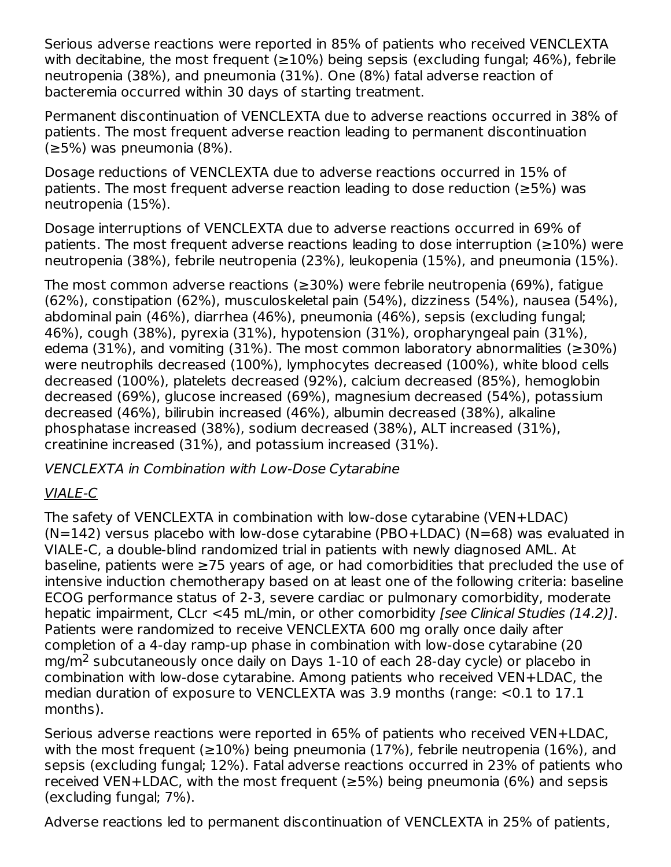Serious adverse reactions were reported in 85% of patients who received VENCLEXTA with decitabine, the most frequent ( $\geq$ 10%) being sepsis (excluding fungal; 46%), febrile neutropenia (38%), and pneumonia (31%). One (8%) fatal adverse reaction of bacteremia occurred within 30 days of starting treatment.

Permanent discontinuation of VENCLEXTA due to adverse reactions occurred in 38% of patients. The most frequent adverse reaction leading to permanent discontinuation (≥5%) was pneumonia (8%).

Dosage reductions of VENCLEXTA due to adverse reactions occurred in 15% of patients. The most frequent adverse reaction leading to dose reduction (≥5%) was neutropenia (15%).

Dosage interruptions of VENCLEXTA due to adverse reactions occurred in 69% of patients. The most frequent adverse reactions leading to dose interruption ( $\geq$ 10%) were neutropenia (38%), febrile neutropenia (23%), leukopenia (15%), and pneumonia (15%).

The most common adverse reactions (≥30%) were febrile neutropenia (69%), fatigue (62%), constipation (62%), musculoskeletal pain (54%), dizziness (54%), nausea (54%), abdominal pain (46%), diarrhea (46%), pneumonia (46%), sepsis (excluding fungal; 46%), cough (38%), pyrexia (31%), hypotension (31%), oropharyngeal pain (31%), edema (31%), and vomiting (31%). The most common laboratory abnormalities ( $\geq$ 30%) were neutrophils decreased (100%), lymphocytes decreased (100%), white blood cells decreased (100%), platelets decreased (92%), calcium decreased (85%), hemoglobin decreased (69%), glucose increased (69%), magnesium decreased (54%), potassium decreased (46%), bilirubin increased (46%), albumin decreased (38%), alkaline phosphatase increased (38%), sodium decreased (38%), ALT increased (31%), creatinine increased (31%), and potassium increased (31%).

VENCLEXTA in Combination with Low-Dose Cytarabine

## VIALE-C

The safety of VENCLEXTA in combination with low-dose cytarabine (VEN+LDAC)  $(N=142)$  versus placebo with low-dose cytarabine (PBO+LDAC) (N=68) was evaluated in VIALE-C, a double-blind randomized trial in patients with newly diagnosed AML. At baseline, patients were ≥75 years of age, or had comorbidities that precluded the use of intensive induction chemotherapy based on at least one of the following criteria: baseline ECOG performance status of 2-3, severe cardiac or pulmonary comorbidity, moderate hepatic impairment, CLcr <45 mL/min, or other comorbidity [see Clinical Studies (14.2)]. Patients were randomized to receive VENCLEXTA 600 mg orally once daily after completion of a 4-day ramp-up phase in combination with low-dose cytarabine (20 mg/m<sup>2</sup> subcutaneously once daily on Days  $1-10$  of each 28-day cycle) or placebo in combination with low-dose cytarabine. Among patients who received VEN+LDAC, the median duration of exposure to VENCLEXTA was 3.9 months (range: <0.1 to 17.1 months).

Serious adverse reactions were reported in 65% of patients who received VEN+LDAC, with the most frequent ( $\geq$ 10%) being pneumonia (17%), febrile neutropenia (16%), and sepsis (excluding fungal; 12%). Fatal adverse reactions occurred in 23% of patients who received VEN+LDAC, with the most frequent ( $\geq$ 5%) being pneumonia (6%) and sepsis (excluding fungal; 7%).

Adverse reactions led to permanent discontinuation of VENCLEXTA in 25% of patients,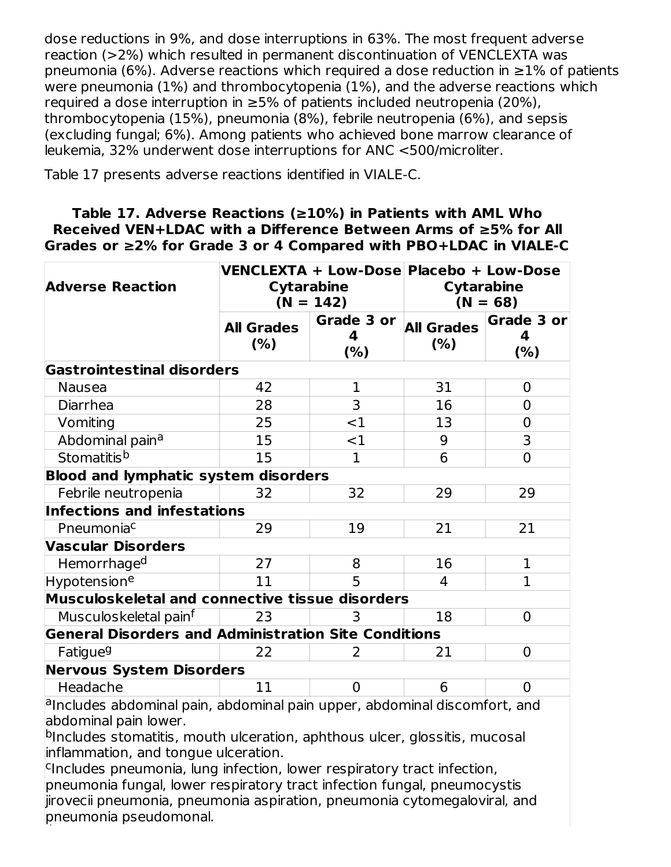dose reductions in 9%, and dose interruptions in 63%. The most frequent adverse reaction (>2%) which resulted in permanent discontinuation of VENCLEXTA was pneumonia (6%). Adverse reactions which required a dose reduction in  $\geq$ 1% of patients were pneumonia (1%) and thrombocytopenia (1%), and the adverse reactions which required a dose interruption in ≥5% of patients included neutropenia (20%), thrombocytopenia (15%), pneumonia (8%), febrile neutropenia (6%), and sepsis (excluding fungal; 6%). Among patients who achieved bone marrow clearance of leukemia, 32% underwent dose interruptions for ANC <500/microliter.

Table 17 presents adverse reactions identified in VIALE-C.

#### **Table 17. Adverse Reactions (≥10%) in Patients with AML Who Received VEN+LDAC with a Difference Between Arms of ≥5% for All Grades or ≥2% for Grade 3 or 4 Compared with PBO+LDAC in VIALE-C**

| <b>Adverse Reaction</b>                                                   |                          | <b>Cytarabine</b><br>$(N = 142)$ | VENCLEXTA + Low-Dose Placebo + Low-Dose<br><b>Cytarabine</b><br>$(N = 68)$ |                         |
|---------------------------------------------------------------------------|--------------------------|----------------------------------|----------------------------------------------------------------------------|-------------------------|
|                                                                           | <b>All Grades</b><br>(%) | Grade 3 or<br>4<br>(%)           | <b>All Grades</b><br>(% )                                                  | Grade 3 or<br>4<br>(% ) |
| <b>Gastrointestinal disorders</b>                                         |                          |                                  |                                                                            |                         |
| <b>Nausea</b>                                                             | 42                       | 1                                | 31                                                                         | 0                       |
| Diarrhea                                                                  | 28                       | 3                                | 16                                                                         | 0                       |
| Vomiting                                                                  | 25                       | $<$ 1                            | 13                                                                         | 0                       |
| Abdominal pain <sup>a</sup>                                               | 15                       | $<$ 1                            | 9                                                                          | 3                       |
| Stomatitis <sup>b</sup>                                                   | 15                       | $\mathbf{1}$                     | 6                                                                          | $\overline{0}$          |
| <b>Blood and lymphatic system disorders</b>                               |                          |                                  |                                                                            |                         |
| Febrile neutropenia                                                       | 32                       | 32                               | 29                                                                         | 29                      |
| Infections and infestations                                               |                          |                                  |                                                                            |                         |
| Pneumonia <sup>c</sup>                                                    | 29                       | 19                               | 21                                                                         | 21                      |
| <b>Vascular Disorders</b>                                                 |                          |                                  |                                                                            |                         |
| Hemorrhage <sup>d</sup>                                                   | 27                       | 8                                | 16                                                                         | $\mathbf{1}$            |
| Hypotension <sup>e</sup>                                                  | 11                       | 5                                | $\overline{4}$                                                             | $\mathbf{1}$            |
| Musculoskeletal and connective tissue disorders                           |                          |                                  |                                                                            |                         |
| Musculoskeletal painf                                                     | 23                       | 3                                | 18                                                                         | $\overline{0}$          |
| <b>General Disorders and Administration Site Conditions</b>               |                          |                                  |                                                                            |                         |
| Fatigue <sup>g</sup>                                                      | 22                       | 2                                | 21                                                                         | $\overline{0}$          |
| <b>Nervous System Disorders</b>                                           |                          |                                  |                                                                            |                         |
| Headache                                                                  | 11                       | $\overline{0}$                   | 6                                                                          | 0                       |
| alpoludes abdeminal nain, abdeminal nain unner, abdeminal dissemfert, and |                          |                                  |                                                                            |                         |

aIncludes abdominal pain, abdominal pain upper, abdominal discomfort, and abdominal pain lower.

<sup>b</sup>Includes stomatitis, mouth ulceration, aphthous ulcer, glossitis, mucosal inflammation, and tongue ulceration.

<sup>c</sup>Includes pneumonia, lung infection, lower respiratory tract infection, pneumonia fungal, lower respiratory tract infection fungal, pneumocystis jirovecii pneumonia, pneumonia aspiration, pneumonia cytomegaloviral, and pneumonia pseudomonal. d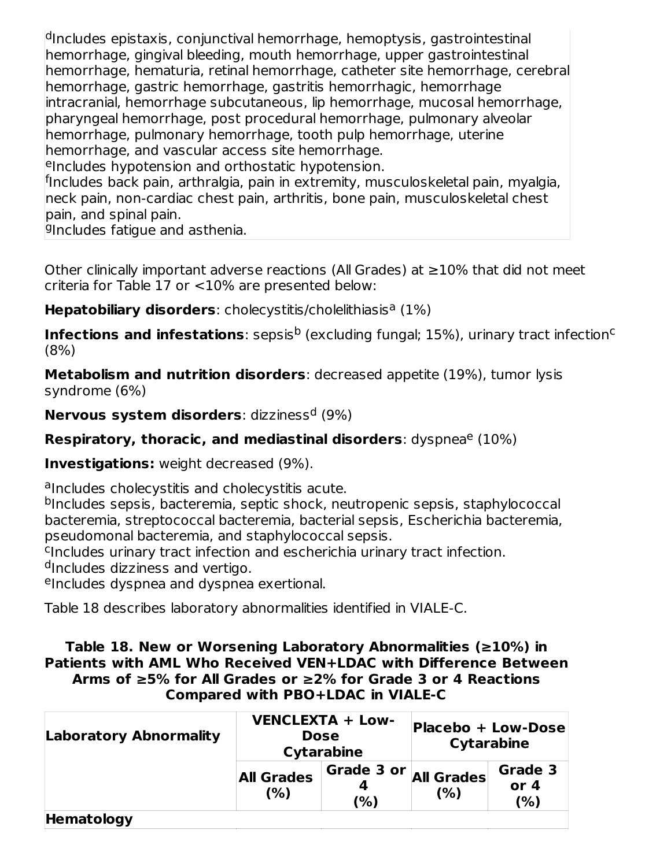<sup>d</sup>Includes epistaxis, conjunctival hemorrhage, hemoptysis, gastrointestinal hemorrhage, gingival bleeding, mouth hemorrhage, upper gastrointestinal hemorrhage, hematuria, retinal hemorrhage, catheter site hemorrhage, cerebral hemorrhage, gastric hemorrhage, gastritis hemorrhagic, hemorrhage intracranial, hemorrhage subcutaneous, lip hemorrhage, mucosal hemorrhage, pharyngeal hemorrhage, post procedural hemorrhage, pulmonary alveolar hemorrhage, pulmonary hemorrhage, tooth pulp hemorrhage, uterine hemorrhage, and vascular access site hemorrhage.

eIncludes hypotension and orthostatic hypotension.

<sup>f</sup>Includes back pain, arthralgia, pain in extremity, musculoskeletal pain, myalgia, neck pain, non-cardiac chest pain, arthritis, bone pain, musculoskeletal chest pain, and spinal pain.

gincludes fatigue and asthenia.

Other clinically important adverse reactions (All Grades) at  $\geq$ 10% that did not meet criteria for Table 17 or <10% are presented below:

Hepatobiliary disorders: cholecystitis/cholelithiasis<sup>a</sup> (1%)

**Infections and infestations**: sepsis<sup>b</sup> (excluding fungal; 15%), urinary tract infection<sup>c</sup> (8%)

**Metabolism and nutrition disorders**: decreased appetite (19%), tumor lysis syndrome (6%)

**Nervous system disorders**: dizziness<sup>d</sup> (9%)

**Respiratory, thoracic, and mediastinal disorders: dyspnea<sup>e</sup> (10%)** 

**Investigations:** weight decreased (9%).

alncludes cholecystitis and cholecystitis acute.

<sup>b</sup>Includes sepsis, bacteremia, septic shock, neutropenic sepsis, staphylococcal bacteremia, streptococcal bacteremia, bacterial sepsis, Escherichia bacteremia, pseudomonal bacteremia, and staphylococcal sepsis.

<sup>c</sup>Includes urinary tract infection and escherichia urinary tract infection.

<sup>d</sup>Includes dizziness and vertigo.

eIncludes dyspnea and dyspnea exertional.

Table 18 describes laboratory abnormalities identified in VIALE-C.

#### **Table 18. New or Worsening Laboratory Abnormalities (≥10%) in Patients with AML Who Received VEN+LDAC with Difference Between Arms of ≥5% for All Grades or ≥2% for Grade 3 or 4 Reactions Compared with PBO+LDAC in VIALE-C**

| <b>Laboratory Abnormality</b> | <b>VENCLEXTA + Low-</b><br><b>Dose</b><br><b>Cytarabine</b> |                   | Placebo + Low-Dose<br><b>Cytarabine</b> |                          |
|-------------------------------|-------------------------------------------------------------|-------------------|-----------------------------------------|--------------------------|
|                               | <b>All Grades</b><br>(%)                                    | Grade 3 or<br>(%) | <b>All Grades</b><br>(%)                | Grade 3<br>or $4$<br>(%) |
| Hematology                    |                                                             |                   |                                         |                          |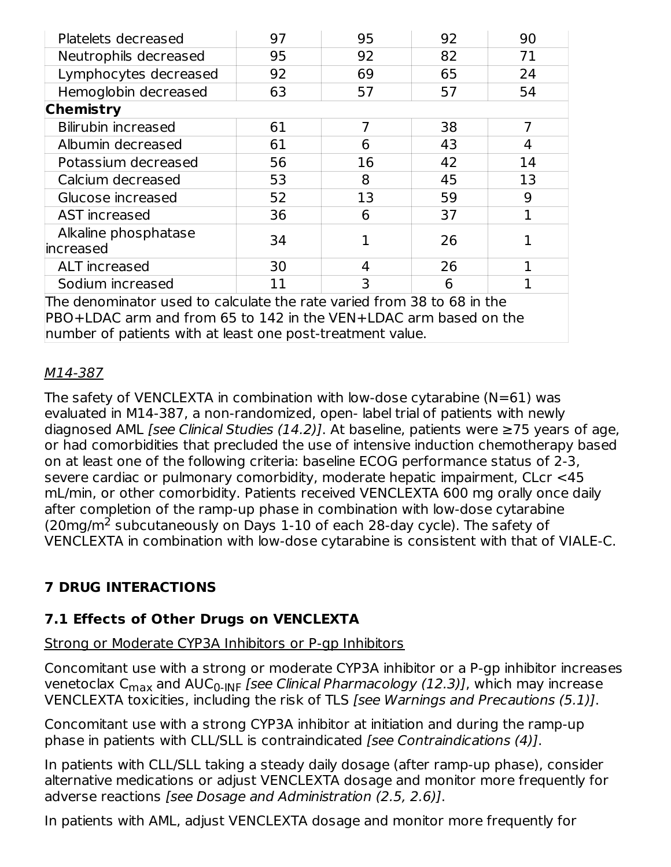| Platelets decreased                                                                                                                        | 97 | 95 | 92 | 90 |  |  |  |
|--------------------------------------------------------------------------------------------------------------------------------------------|----|----|----|----|--|--|--|
| Neutrophils decreased                                                                                                                      | 95 | 92 | 82 | 71 |  |  |  |
| Lymphocytes decreased                                                                                                                      | 92 | 69 | 65 | 24 |  |  |  |
| Hemoglobin decreased                                                                                                                       | 63 | 57 | 57 | 54 |  |  |  |
| <b>Chemistry</b>                                                                                                                           |    |    |    |    |  |  |  |
| <b>Bilirubin increased</b>                                                                                                                 | 61 | 7  | 38 |    |  |  |  |
| Albumin decreased                                                                                                                          | 61 | 6  | 43 | 4  |  |  |  |
| Potassium decreased                                                                                                                        | 56 | 16 | 42 | 14 |  |  |  |
| Calcium decreased                                                                                                                          | 53 | 8  | 45 | 13 |  |  |  |
| Glucose increased                                                                                                                          | 52 | 13 | 59 | 9  |  |  |  |
| AST increased                                                                                                                              | 36 | 6  | 37 |    |  |  |  |
| Alkaline phosphatase<br>lincreased                                                                                                         | 34 |    | 26 |    |  |  |  |
| <b>ALT</b> increased                                                                                                                       | 30 | 4  | 26 |    |  |  |  |
| Sodium increased                                                                                                                           | 11 | 3  | 6  |    |  |  |  |
| The denominator used to calculate the rate varied from 38 to 68 in the<br>PBO+LDAC arm and from 65 to 142 in the VEN+LDAC arm based on the |    |    |    |    |  |  |  |

number of patients with at least one post-treatment value.

#### M14-387

The safety of VENCLEXTA in combination with low-dose cytarabine  $(N=61)$  was evaluated in M14-387, a non-randomized, open- label trial of patients with newly diagnosed AML [see Clinical Studies (14.2)]. At baseline, patients were  $\geq$ 75 years of age, or had comorbidities that precluded the use of intensive induction chemotherapy based on at least one of the following criteria: baseline ECOG performance status of 2-3, severe cardiac or pulmonary comorbidity, moderate hepatic impairment, CLcr <45 mL/min, or other comorbidity. Patients received VENCLEXTA 600 mg orally once daily after completion of the ramp-up phase in combination with low-dose cytarabine (20mg/m<sup>2</sup> subcutaneously on Days 1-10 of each 28-day cycle). The safety of VENCLEXTA in combination with low-dose cytarabine is consistent with that of VIALE-C.

## **7 DRUG INTERACTIONS**

## **7.1 Effects of Other Drugs on VENCLEXTA**

#### Strong or Moderate CYP3A Inhibitors or P-gp Inhibitors

Concomitant use with a strong or moderate CYP3A inhibitor or a P-gp inhibitor increases venetoclax C<sub>max</sub> and AUC<sub>0-INF</sub> [*see Clinical Pharmacology (12.3)]*, which may increase VENCLEXTA toxicities, including the risk of TLS [see Warnings and Precautions (5.1)].

Concomitant use with a strong CYP3A inhibitor at initiation and during the ramp-up phase in patients with CLL/SLL is contraindicated [see Contraindications (4)].

In patients with CLL/SLL taking a steady daily dosage (after ramp-up phase), consider alternative medications or adjust VENCLEXTA dosage and monitor more frequently for adverse reactions [see Dosage and Administration (2.5, 2.6)].

In patients with AML, adjust VENCLEXTA dosage and monitor more frequently for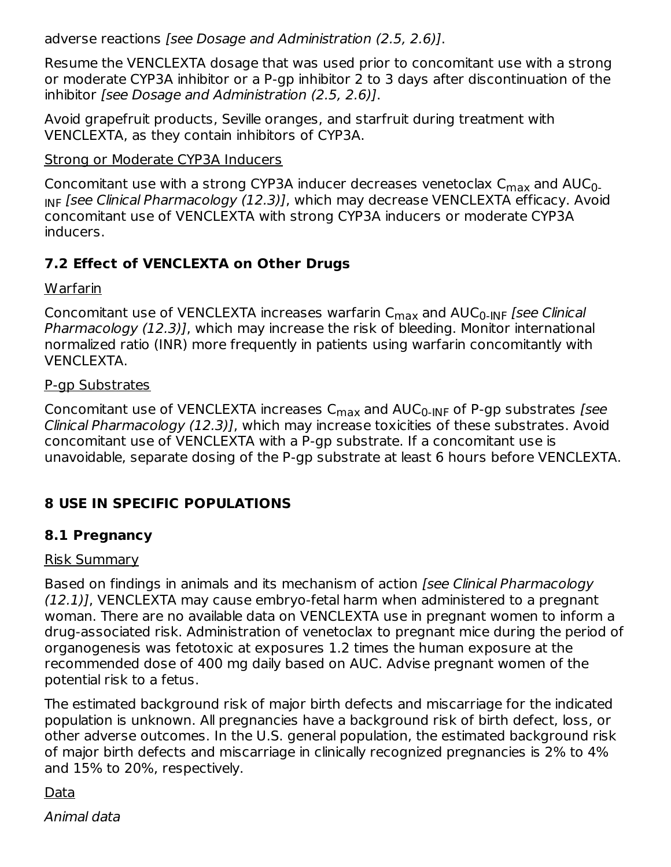adverse reactions [see Dosage and Administration (2.5, 2.6)].

Resume the VENCLEXTA dosage that was used prior to concomitant use with a strong or moderate CYP3A inhibitor or a P-gp inhibitor 2 to 3 days after discontinuation of the inhibitor [see Dosage and Administration (2.5, 2.6)].

Avoid grapefruit products, Seville oranges, and starfruit during treatment with VENCLEXTA, as they contain inhibitors of CYP3A.

#### Strong or Moderate CYP3A Inducers

Concomitant use with a strong CYP3A inducer decreases venetoclax  $\mathsf{C}_{\mathsf{max}}$  and  $\mathsf{AUC}_{0\text{-}}$ <sub>INF</sub> [see Clinical Pharmacology (12.3)], which may decrease VENCLEXTA efficacy. Avoid concomitant use of VENCLEXTA with strong CYP3A inducers or moderate CYP3A inducers.

## **7.2 Effect of VENCLEXTA on Other Drugs**

Warfarin

Concomitant use of VENCLEXTA increases warfarin C<sub>max</sub> and AUC<sub>0-INF</sub> [*see Clinical* Pharmacology (12.3)], which may increase the risk of bleeding. Monitor international normalized ratio (INR) more frequently in patients using warfarin concomitantly with VENCLEXTA.

#### P-gp Substrates

Concomitant use of VENCLEXTA increases C<sub>max</sub> and AUC<sub>0-INF</sub> of P-gp substrates *[see* Clinical Pharmacology (12.3)], which may increase toxicities of these substrates. Avoid concomitant use of VENCLEXTA with a P-gp substrate. If a concomitant use is unavoidable, separate dosing of the P-gp substrate at least 6 hours before VENCLEXTA.

## **8 USE IN SPECIFIC POPULATIONS**

## **8.1 Pregnancy**

#### Risk Summary

Based on findings in animals and its mechanism of action [see Clinical Pharmacology (12.1)], VENCLEXTA may cause embryo-fetal harm when administered to a pregnant woman. There are no available data on VENCLEXTA use in pregnant women to inform a drug-associated risk. Administration of venetoclax to pregnant mice during the period of organogenesis was fetotoxic at exposures 1.2 times the human exposure at the recommended dose of 400 mg daily based on AUC. Advise pregnant women of the potential risk to a fetus.

The estimated background risk of major birth defects and miscarriage for the indicated population is unknown. All pregnancies have a background risk of birth defect, loss, or other adverse outcomes. In the U.S. general population, the estimated background risk of major birth defects and miscarriage in clinically recognized pregnancies is 2% to 4% and 15% to 20%, respectively.

Data

Animal data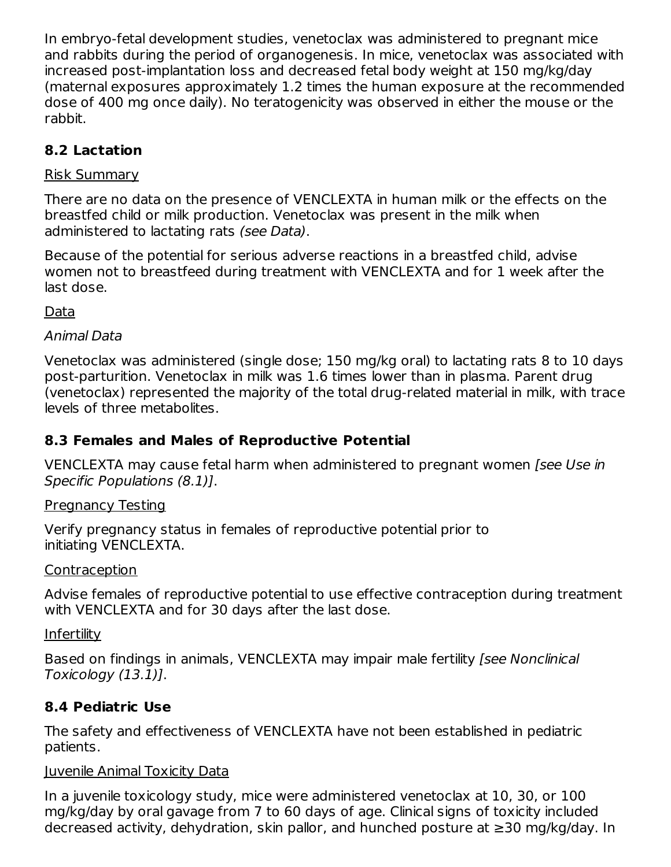In embryo-fetal development studies, venetoclax was administered to pregnant mice and rabbits during the period of organogenesis. In mice, venetoclax was associated with increased post-implantation loss and decreased fetal body weight at 150 mg/kg/day (maternal exposures approximately 1.2 times the human exposure at the recommended dose of 400 mg once daily). No teratogenicity was observed in either the mouse or the rabbit.

# **8.2 Lactation**

### Risk Summary

There are no data on the presence of VENCLEXTA in human milk or the effects on the breastfed child or milk production. Venetoclax was present in the milk when administered to lactating rats (see Data).

Because of the potential for serious adverse reactions in a breastfed child, advise women not to breastfeed during treatment with VENCLEXTA and for 1 week after the last dose.

Data

### Animal Data

Venetoclax was administered (single dose; 150 mg/kg oral) to lactating rats 8 to 10 days post-parturition. Venetoclax in milk was 1.6 times lower than in plasma. Parent drug (venetoclax) represented the majority of the total drug-related material in milk, with trace levels of three metabolites.

## **8.3 Females and Males of Reproductive Potential**

VENCLEXTA may cause fetal harm when administered to pregnant women [see Use in Specific Populations (8.1)].

#### Pregnancy Testing

Verify pregnancy status in females of reproductive potential prior to initiating VENCLEXTA.

#### **Contraception**

Advise females of reproductive potential to use effective contraception during treatment with VENCLEXTA and for 30 days after the last dose.

**Infertility** 

Based on findings in animals, VENCLEXTA may impair male fertility *[see Nonclinical*] Toxicology (13.1)].

## **8.4 Pediatric Use**

The safety and effectiveness of VENCLEXTA have not been established in pediatric patients.

#### Juvenile Animal Toxicity Data

In a juvenile toxicology study, mice were administered venetoclax at 10, 30, or 100 mg/kg/day by oral gavage from 7 to 60 days of age. Clinical signs of toxicity included decreased activity, dehydration, skin pallor, and hunched posture at ≥30 mg/kg/day. In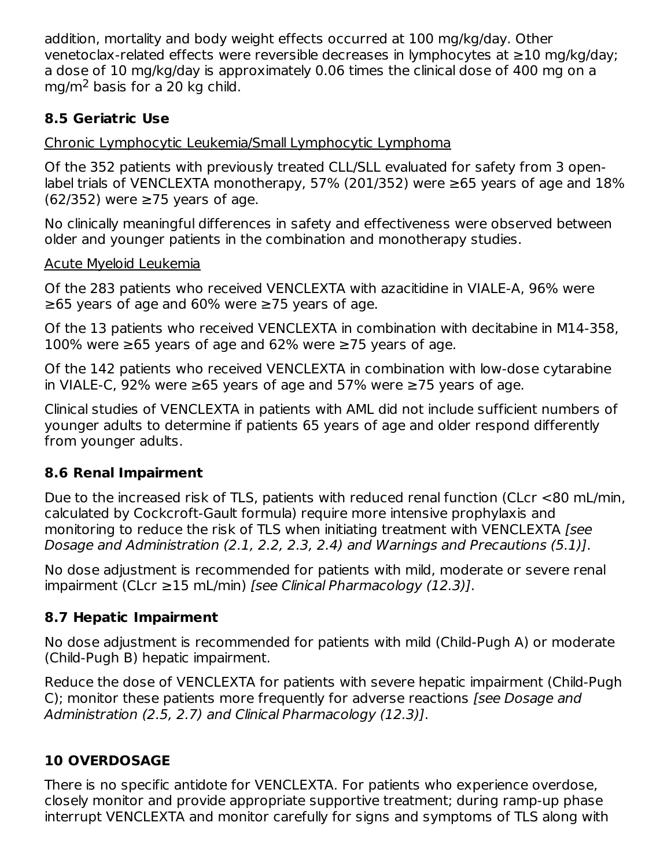addition, mortality and body weight effects occurred at 100 mg/kg/day. Other venetoclax-related effects were reversible decreases in lymphocytes at ≥10 mg/kg/day; a dose of 10 mg/kg/day is approximately 0.06 times the clinical dose of 400 mg on a mg/m<sup>2</sup> basis for a 20 kg child.

## **8.5 Geriatric Use**

Chronic Lymphocytic Leukemia/Small Lymphocytic Lymphoma

Of the 352 patients with previously treated CLL/SLL evaluated for safety from 3 openlabel trials of VENCLEXTA monotherapy, 57% (201/352) were  $≥65$  years of age and 18%  $(62/352)$  were  $\geq$ 75 years of age.

No clinically meaningful differences in safety and effectiveness were observed between older and younger patients in the combination and monotherapy studies.

## Acute Myeloid Leukemia

Of the 283 patients who received VENCLEXTA with azacitidine in VIALE-A, 96% were ≥65 years of age and 60% were ≥75 years of age.

Of the 13 patients who received VENCLEXTA in combination with decitabine in M14-358, 100% were ≥65 years of age and 62% were ≥75 years of age.

Of the 142 patients who received VENCLEXTA in combination with low-dose cytarabine in VIALE-C, 92% were  $\geq$ 65 years of age and 57% were  $\geq$ 75 years of age.

Clinical studies of VENCLEXTA in patients with AML did not include sufficient numbers of younger adults to determine if patients 65 years of age and older respond differently from younger adults.

## **8.6 Renal Impairment**

Due to the increased risk of TLS, patients with reduced renal function (CLcr <80 mL/min, calculated by Cockcroft-Gault formula) require more intensive prophylaxis and monitoring to reduce the risk of TLS when initiating treatment with VENCLEXTA [see Dosage and Administration (2.1, 2.2, 2.3, 2.4) and Warnings and Precautions (5.1)].

No dose adjustment is recommended for patients with mild, moderate or severe renal impairment (CLcr ≥15 mL/min) [see Clinical Pharmacology (12.3)].

## **8.7 Hepatic Impairment**

No dose adjustment is recommended for patients with mild (Child-Pugh A) or moderate (Child-Pugh B) hepatic impairment.

Reduce the dose of VENCLEXTA for patients with severe hepatic impairment (Child-Pugh C); monitor these patients more frequently for adverse reactions [see Dosage and Administration (2.5, 2.7) and Clinical Pharmacology (12.3)].

# **10 OVERDOSAGE**

There is no specific antidote for VENCLEXTA. For patients who experience overdose, closely monitor and provide appropriate supportive treatment; during ramp-up phase interrupt VENCLEXTA and monitor carefully for signs and symptoms of TLS along with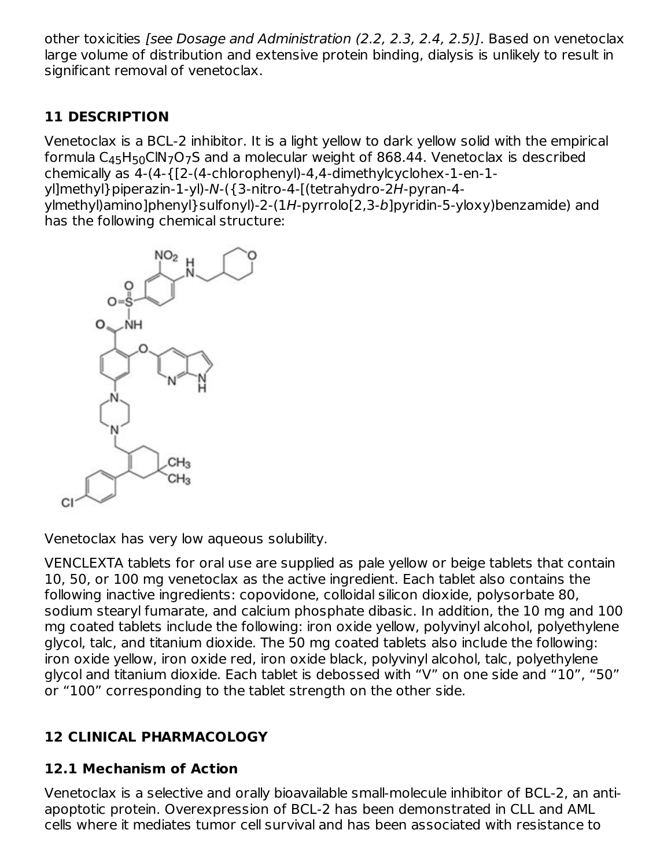other toxicities [see Dosage and Administration (2.2, 2.3, 2.4, 2.5)]. Based on venetoclax large volume of distribution and extensive protein binding, dialysis is unlikely to result in significant removal of venetoclax.

# **11 DESCRIPTION**

Venetoclax is a BCL-2 inhibitor. It is a light yellow to dark yellow solid with the empirical formula C $_{45}$ H $_{50}$ ClN $_{7}$ O $_{7}$ S and a molecular weight of 868.44. Venetoclax is described chemically as 4-(4-{[2-(4-chlorophenyl)-4,4-dimethylcyclohex-1-en-1-

yl]methyl}piperazin-1-yl)-N-({3-nitro-4-[(tetrahydro-2H-pyran-4-

ylmethyl)amino]phenyl}sulfonyl)-2-(1H-pyrrolo[2,3-b]pyridin-5-yloxy)benzamide) and has the following chemical structure:



Venetoclax has very low aqueous solubility.

VENCLEXTA tablets for oral use are supplied as pale yellow or beige tablets that contain 10, 50, or 100 mg venetoclax as the active ingredient. Each tablet also contains the following inactive ingredients: copovidone, colloidal silicon dioxide, polysorbate 80, sodium stearyl fumarate, and calcium phosphate dibasic. In addition, the 10 mg and 100 mg coated tablets include the following: iron oxide yellow, polyvinyl alcohol, polyethylene glycol, talc, and titanium dioxide. The 50 mg coated tablets also include the following: iron oxide yellow, iron oxide red, iron oxide black, polyvinyl alcohol, talc, polyethylene glycol and titanium dioxide. Each tablet is debossed with "V" on one side and "10", "50" or "100" corresponding to the tablet strength on the other side.

# **12 CLINICAL PHARMACOLOGY**

## **12.1 Mechanism of Action**

Venetoclax is a selective and orally bioavailable small-molecule inhibitor of BCL-2, an antiapoptotic protein. Overexpression of BCL-2 has been demonstrated in CLL and AML cells where it mediates tumor cell survival and has been associated with resistance to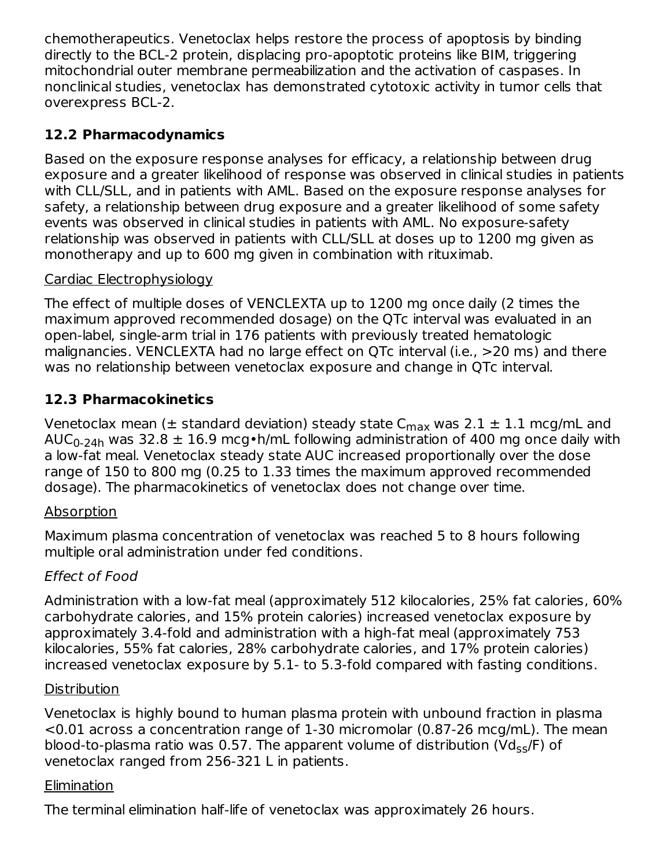chemotherapeutics. Venetoclax helps restore the process of apoptosis by binding directly to the BCL-2 protein, displacing pro-apoptotic proteins like BIM, triggering mitochondrial outer membrane permeabilization and the activation of caspases. In nonclinical studies, venetoclax has demonstrated cytotoxic activity in tumor cells that overexpress BCL-2.

# **12.2 Pharmacodynamics**

Based on the exposure response analyses for efficacy, a relationship between drug exposure and a greater likelihood of response was observed in clinical studies in patients with CLL/SLL, and in patients with AML. Based on the exposure response analyses for safety, a relationship between drug exposure and a greater likelihood of some safety events was observed in clinical studies in patients with AML. No exposure-safety relationship was observed in patients with CLL/SLL at doses up to 1200 mg given as monotherapy and up to 600 mg given in combination with rituximab.

## Cardiac Electrophysiology

The effect of multiple doses of VENCLEXTA up to 1200 mg once daily (2 times the maximum approved recommended dosage) on the QTc interval was evaluated in an open-label, single-arm trial in 176 patients with previously treated hematologic malignancies. VENCLEXTA had no large effect on QTc interval (i.e., >20 ms) and there was no relationship between venetoclax exposure and change in QTc interval.

# **12.3 Pharmacokinetics**

Venetoclax mean ( $\pm$  standard deviation) steady state C $_{\sf max}$  was 2.1  $\pm$  1.1 mcg/mL and AUC $_{\rm 0\text{-}24h}$  was 32.8  $\pm$  16.9 mcg•h/mL following administration of 400 mg once daily with a low-fat meal. Venetoclax steady state AUC increased proportionally over the dose range of 150 to 800 mg (0.25 to 1.33 times the maximum approved recommended dosage). The pharmacokinetics of venetoclax does not change over time.

## Absorption

Maximum plasma concentration of venetoclax was reached 5 to 8 hours following multiple oral administration under fed conditions.

## Effect of Food

Administration with a low-fat meal (approximately 512 kilocalories, 25% fat calories, 60% carbohydrate calories, and 15% protein calories) increased venetoclax exposure by approximately 3.4-fold and administration with a high-fat meal (approximately 753 kilocalories, 55% fat calories, 28% carbohydrate calories, and 17% protein calories) increased venetoclax exposure by 5.1- to 5.3-fold compared with fasting conditions.

## **Distribution**

Venetoclax is highly bound to human plasma protein with unbound fraction in plasma <0.01 across a concentration range of 1-30 micromolar (0.87-26 mcg/mL). The mean blood-to-plasma ratio was 0.57. The apparent volume of distribution (Vd<sub>ss</sub>/F) of venetoclax ranged from 256-321 L in patients.

## Elimination

The terminal elimination half-life of venetoclax was approximately 26 hours.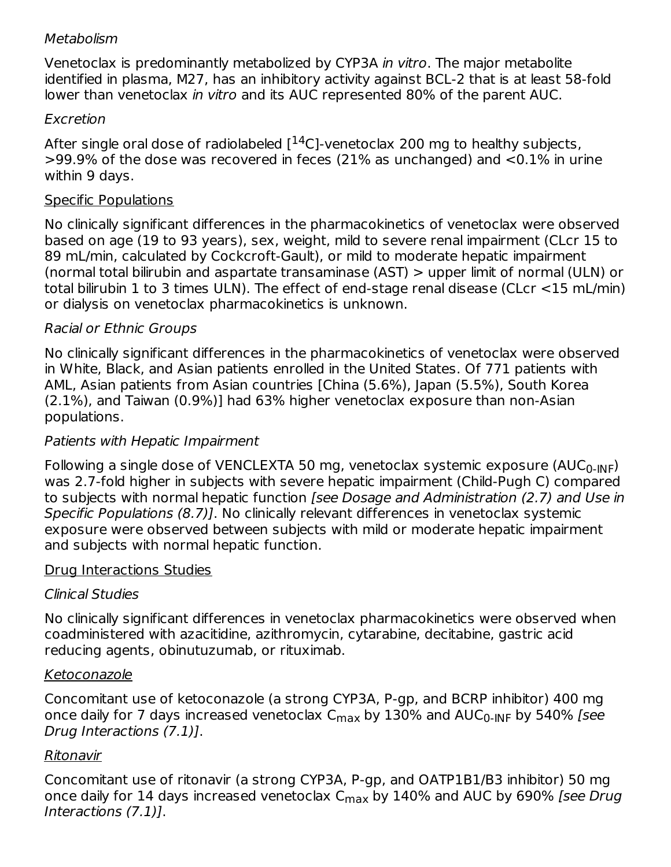### Metabolism

Venetoclax is predominantly metabolized by CYP3A in vitro. The major metabolite identified in plasma, M27, has an inhibitory activity against BCL-2 that is at least 58-fold lower than venetoclax in vitro and its AUC represented 80% of the parent AUC.

### Excretion

After single oral dose of radiolabeled  $[$ <sup>14</sup>C]-venetoclax 200 mg to healthy subjects, >99.9% of the dose was recovered in feces (21% as unchanged) and <0.1% in urine within 9 days.

### Specific Populations

No clinically significant differences in the pharmacokinetics of venetoclax were observed based on age (19 to 93 years), sex, weight, mild to severe renal impairment (CLcr 15 to 89 mL/min, calculated by Cockcroft-Gault), or mild to moderate hepatic impairment (normal total bilirubin and aspartate transaminase (AST) > upper limit of normal (ULN) or total bilirubin 1 to 3 times ULN). The effect of end-stage renal disease (CLcr <15 mL/min) or dialysis on venetoclax pharmacokinetics is unknown.

## Racial or Ethnic Groups

No clinically significant differences in the pharmacokinetics of venetoclax were observed in White, Black, and Asian patients enrolled in the United States. Of 771 patients with AML, Asian patients from Asian countries [China (5.6%), Japan (5.5%), South Korea (2.1%), and Taiwan (0.9%)] had 63% higher venetoclax exposure than non-Asian populations.

### Patients with Hepatic Impairment

Following a single dose of VENCLEXTA 50 mg, venetoclax systemic exposure (AUC<sub>0-INF</sub>) was 2.7-fold higher in subjects with severe hepatic impairment (Child-Pugh C) compared to subjects with normal hepatic function [see Dosage and Administration (2.7) and Use in Specific Populations (8.7)]. No clinically relevant differences in venetoclax systemic exposure were observed between subjects with mild or moderate hepatic impairment and subjects with normal hepatic function.

#### Drug Interactions Studies

#### Clinical Studies

No clinically significant differences in venetoclax pharmacokinetics were observed when coadministered with azacitidine, azithromycin, cytarabine, decitabine, gastric acid reducing agents, obinutuzumab, or rituximab.

#### Ketoconazole

Concomitant use of ketoconazole (a strong CYP3A, P-gp, and BCRP inhibitor) 400 mg once daily for 7 days increased venetoclax C<sub>max</sub> by 130% and AUC<sub>0-INF</sub> by 540% *[see* Drug Interactions (7.1)].

## Ritonavir

Concomitant use of ritonavir (a strong CYP3A, P-gp, and OATP1B1/B3 inhibitor) 50 mg once daily for 14 days increased venetoclax C<sub>max</sub> by 140% and AUC by 690% *[see Drug* Interactions (7.1)].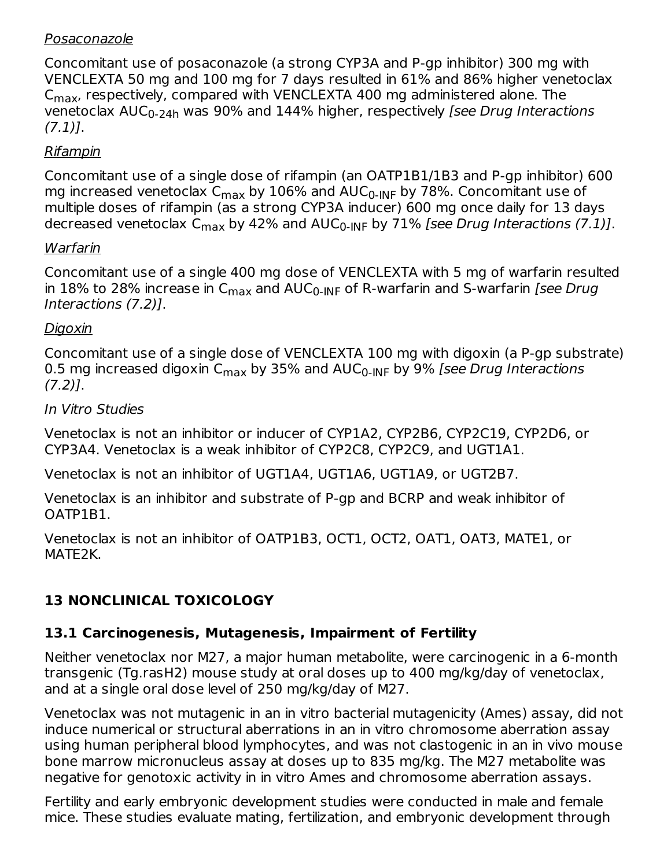### Posaconazole

Concomitant use of posaconazole (a strong CYP3A and P-gp inhibitor) 300 mg with VENCLEXTA 50 mg and 100 mg for 7 days resulted in 61% and 86% higher venetoclax  $\mathsf{C}_{\mathsf{max}}$ , respectively, compared with VENCLEXTA 400 mg administered alone. The venetoclax AUC<sub>0-24h</sub> was 90% and 144% higher, respectively *[see Drug Interactions*  $(7.1)$ ].

### Rifampin

Concomitant use of a single dose of rifampin (an OATP1B1/1B3 and P-gp inhibitor) 600 mg increased venetoclax  $\mathsf{C}_{\mathsf{max}}$  by  $106\%$  and AUC $_{\mathsf{0}\text{-}\mathsf{INF}}$  by 78%. Concomitant use of multiple doses of rifampin (as a strong CYP3A inducer) 600 mg once daily for 13 days decreased venetoclax C<sub>max</sub> by 42% and AUC<sub>0-INF</sub> by 71% [*see Drug Interactions (7.1)*].

#### Warfarin

Concomitant use of a single 400 mg dose of VENCLEXTA with 5 mg of warfarin resulted in 18% to 28% increase in C<sub>max</sub> and AUC<sub>0-INF</sub> of R-warfarin and S-warfarin *[see Drug* Interactions (7.2)].

#### Digoxin

Concomitant use of a single dose of VENCLEXTA 100 mg with digoxin (a P-gp substrate) 0.5 mg increased digoxin C<sub>max</sub> by 35% and AUC<sub>0-INF</sub> by 9% [*see Drug Interactions*  $(7.2)$ ].

#### In Vitro Studies

Venetoclax is not an inhibitor or inducer of CYP1A2, CYP2B6, CYP2C19, CYP2D6, or CYP3A4. Venetoclax is a weak inhibitor of CYP2C8, CYP2C9, and UGT1A1.

Venetoclax is not an inhibitor of UGT1A4, UGT1A6, UGT1A9, or UGT2B7.

Venetoclax is an inhibitor and substrate of P-gp and BCRP and weak inhibitor of OATP1B1.

Venetoclax is not an inhibitor of OATP1B3, OCT1, OCT2, OAT1, OAT3, MATE1, or MATE2K.

# **13 NONCLINICAL TOXICOLOGY**

## **13.1 Carcinogenesis, Mutagenesis, Impairment of Fertility**

Neither venetoclax nor M27, a major human metabolite, were carcinogenic in a 6-month transgenic (Tg.rasH2) mouse study at oral doses up to 400 mg/kg/day of venetoclax, and at a single oral dose level of 250 mg/kg/day of M27.

Venetoclax was not mutagenic in an in vitro bacterial mutagenicity (Ames) assay, did not induce numerical or structural aberrations in an in vitro chromosome aberration assay using human peripheral blood lymphocytes, and was not clastogenic in an in vivo mouse bone marrow micronucleus assay at doses up to 835 mg/kg. The M27 metabolite was negative for genotoxic activity in in vitro Ames and chromosome aberration assays.

Fertility and early embryonic development studies were conducted in male and female mice. These studies evaluate mating, fertilization, and embryonic development through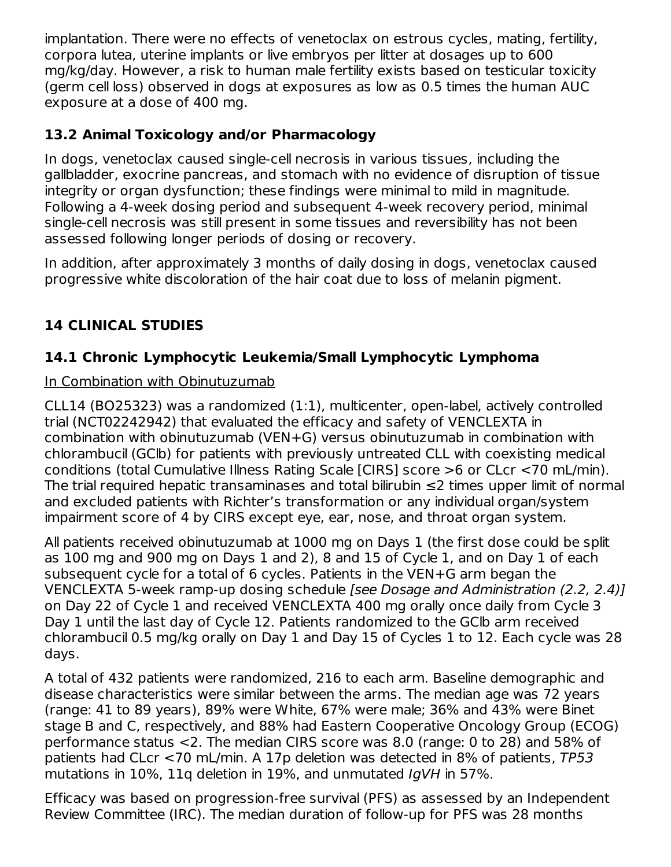implantation. There were no effects of venetoclax on estrous cycles, mating, fertility, corpora lutea, uterine implants or live embryos per litter at dosages up to 600 mg/kg/day. However, a risk to human male fertility exists based on testicular toxicity (germ cell loss) observed in dogs at exposures as low as 0.5 times the human AUC exposure at a dose of 400 mg.

## **13.2 Animal Toxicology and/or Pharmacology**

In dogs, venetoclax caused single-cell necrosis in various tissues, including the gallbladder, exocrine pancreas, and stomach with no evidence of disruption of tissue integrity or organ dysfunction; these findings were minimal to mild in magnitude. Following a 4-week dosing period and subsequent 4-week recovery period, minimal single-cell necrosis was still present in some tissues and reversibility has not been assessed following longer periods of dosing or recovery.

In addition, after approximately 3 months of daily dosing in dogs, venetoclax caused progressive white discoloration of the hair coat due to loss of melanin pigment.

## **14 CLINICAL STUDIES**

## **14.1 Chronic Lymphocytic Leukemia/Small Lymphocytic Lymphoma**

### In Combination with Obinutuzumab

CLL14 (BO25323) was a randomized (1:1), multicenter, open-label, actively controlled trial (NCT02242942) that evaluated the efficacy and safety of VENCLEXTA in combination with obinutuzumab (VEN+G) versus obinutuzumab in combination with chlorambucil (GClb) for patients with previously untreated CLL with coexisting medical conditions (total Cumulative Illness Rating Scale [CIRS] score >6 or CLcr <70 mL/min). The trial required hepatic transaminases and total bilirubin ≤2 times upper limit of normal and excluded patients with Richter's transformation or any individual organ/system impairment score of 4 by CIRS except eye, ear, nose, and throat organ system.

All patients received obinutuzumab at 1000 mg on Days 1 (the first dose could be split as 100 mg and 900 mg on Days 1 and 2), 8 and 15 of Cycle 1, and on Day 1 of each subsequent cycle for a total of 6 cycles. Patients in the VEN+G arm began the VENCLEXTA 5-week ramp-up dosing schedule [see Dosage and Administration (2.2, 2.4)] on Day 22 of Cycle 1 and received VENCLEXTA 400 mg orally once daily from Cycle 3 Day 1 until the last day of Cycle 12. Patients randomized to the GClb arm received chlorambucil 0.5 mg/kg orally on Day 1 and Day 15 of Cycles 1 to 12. Each cycle was 28 days.

A total of 432 patients were randomized, 216 to each arm. Baseline demographic and disease characteristics were similar between the arms. The median age was 72 years (range: 41 to 89 years), 89% were White, 67% were male; 36% and 43% were Binet stage B and C, respectively, and 88% had Eastern Cooperative Oncology Group (ECOG) performance status <2. The median CIRS score was 8.0 (range: 0 to 28) and 58% of patients had CLcr <70 mL/min. A 17p deletion was detected in 8% of patients, TP53 mutations in 10%, 11q deletion in 19%, and unmutated IgVH in 57%.

Efficacy was based on progression-free survival (PFS) as assessed by an Independent Review Committee (IRC). The median duration of follow-up for PFS was 28 months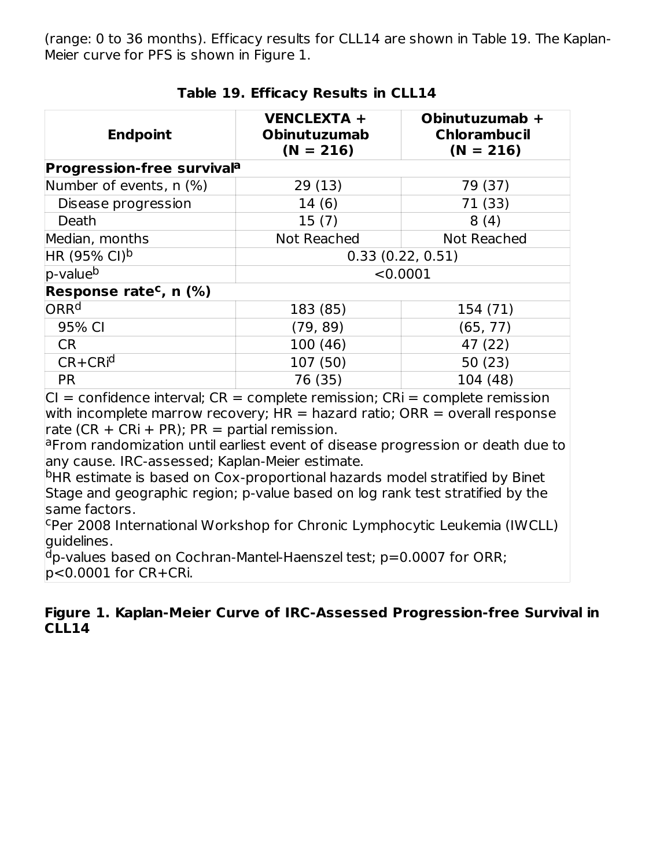(range: 0 to 36 months). Efficacy results for CLL14 are shown in Table 19. The Kaplan-Meier curve for PFS is shown in Figure 1.

| <b>Endpoint</b>                    | <b>VENCLEXTA +</b><br><b>Obinutuzumab</b><br>$(N = 216)$ | Obinutuzumab +<br><b>Chlorambucil</b><br>$(N = 216)$ |
|------------------------------------|----------------------------------------------------------|------------------------------------------------------|
| <b>Progression-free survivala</b>  |                                                          |                                                      |
| Number of events, n (%)            | 29(13)                                                   | 79 (37)                                              |
| Disease progression                | 14(6)                                                    | 71 (33)                                              |
| Death                              | 15(7)                                                    | 8(4)                                                 |
| Median, months                     | <b>Not Reached</b>                                       | <b>Not Reached</b>                                   |
| HR (95% CI) <sup>b</sup>           | 0.33(0.22, 0.51)                                         |                                                      |
| p-value <sup>b</sup>               | < 0.0001                                                 |                                                      |
| Response rate <sup>c</sup> , n (%) |                                                          |                                                      |
| ORR <sup>d</sup>                   | 183 (85)                                                 | 154 (71)                                             |
| 95% CI                             | (79, 89)                                                 | (65, 77)                                             |
| <b>CR</b>                          | 100(46)                                                  | 47 (22)                                              |
| $CR + CR$ <sup>id</sup>            | 107 (50)                                                 | 50 (23)                                              |
| <b>PR</b>                          | 76 (35)                                                  | 104 (48)                                             |

#### **Table 19. Efficacy Results in CLL14**

 $|CI =$  confidence interval;  $CR =$  complete remission;  $CR =$  complete remission with incomplete marrow recovery;  $HR =$  hazard ratio;  $ORR =$  overall response rate (CR + CRi + PR):  $PR =$  partial remission.

aFrom randomization until earliest event of disease progression or death due to any cause. IRC-assessed; Kaplan-Meier estimate.

<sup>b</sup>HR estimate is based on Cox-proportional hazards model stratified by Binet Stage and geographic region; p-value based on log rank test stratified by the same factors.

cper 2008 International Workshop for Chronic Lymphocytic Leukemia (IWCLL) guidelines.

 $d$ p-values based on Cochran-Mantel-Haenszel test; p=0.0007 for ORR; p<0.0001 for CR+CRi.

#### **Figure 1. Kaplan-Meier Curve of IRC-Assessed Progression-free Survival in CLL14**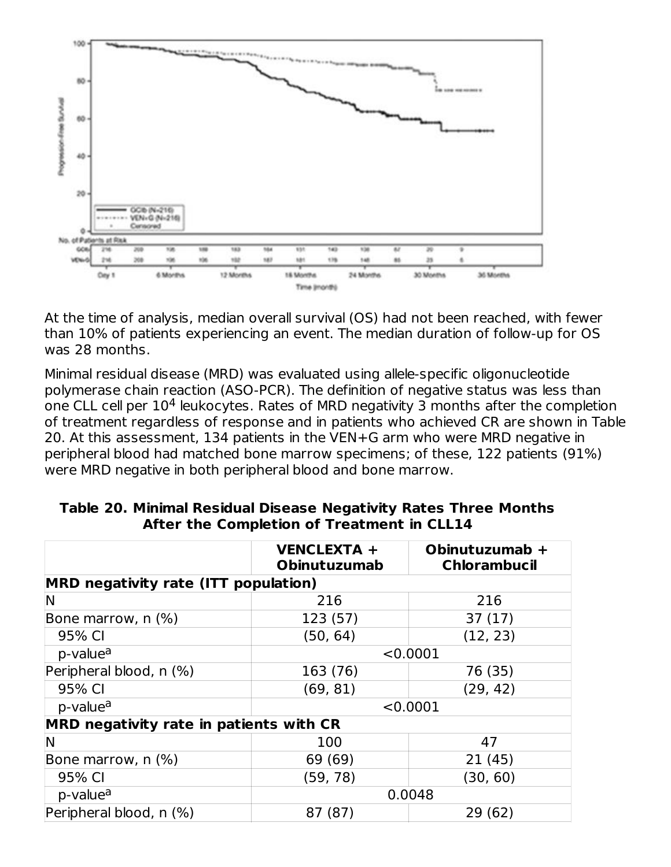

At the time of analysis, median overall survival (OS) had not been reached, with fewer than 10% of patients experiencing an event. The median duration of follow-up for OS was 28 months.

Minimal residual disease (MRD) was evaluated using allele-specific oligonucleotide polymerase chain reaction (ASO-PCR). The definition of negative status was less than one CLL cell per  $10^4$  leukocytes. Rates of MRD negativity 3 months after the completion of treatment regardless of response and in patients who achieved CR are shown in Table 20. At this assessment, 134 patients in the VEN+G arm who were MRD negative in peripheral blood had matched bone marrow specimens; of these, 122 patients (91%) were MRD negative in both peripheral blood and bone marrow.

|                                             | <b>VENCLEXTA +</b><br><b>Obinutuzumab</b> | Obinutuzumab +<br><b>Chlorambucil</b> |
|---------------------------------------------|-------------------------------------------|---------------------------------------|
| <b>MRD negativity rate (ITT population)</b> |                                           |                                       |
| N                                           | 216                                       | 216                                   |
| Bone marrow, $n$ (%)                        | 123 (57)                                  | 37(17)                                |
| 95% CI                                      | (50, 64)                                  | (12, 23)                              |
| p-value <sup>a</sup>                        | < 0.0001                                  |                                       |
| Peripheral blood, n (%)                     | 163 (76)                                  | 76 (35)                               |
| 95% CI                                      | (69, 81)                                  | (29, 42)                              |
| p-value <sup>a</sup>                        |                                           | < 0.0001                              |
| MRD negativity rate in patients with CR     |                                           |                                       |
| N                                           | 100                                       | 47                                    |
| Bone marrow, $n$ $(\%)$                     | 69 (69)                                   | 21(45)                                |
| 95% CI                                      | (59, 78)                                  | (30, 60)                              |
| p-value <sup>a</sup>                        | 0.0048                                    |                                       |
| Peripheral blood, n (%)                     | 87 (87)                                   | 29 (62)                               |

#### **Table 20. Minimal Residual Disease Negativity Rates Three Months After the Completion of Treatment in CLL14**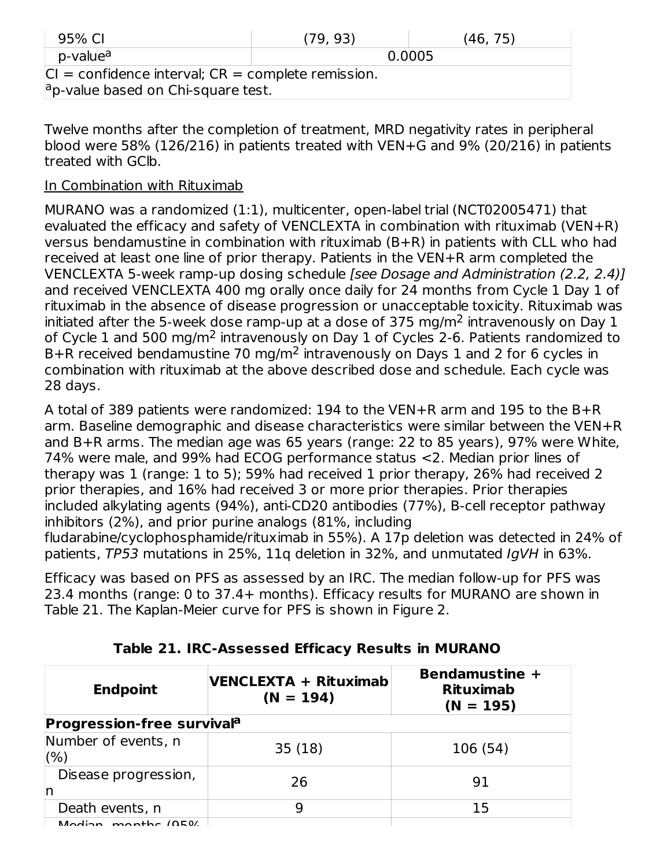| 95% CI                                                   | (79, 93) | (46, 75) |
|----------------------------------------------------------|----------|----------|
| p-value <sup>a</sup>                                     |          | 0.0005   |
| $ CI $ = confidence interval; $CR$ = complete remission. |          |          |
| $a$ p-value based on Chi-square test.                    |          |          |

Twelve months after the completion of treatment, MRD negativity rates in peripheral blood were 58% (126/216) in patients treated with VEN+G and 9% (20/216) in patients treated with GClb.

#### In Combination with Rituximab

MURANO was a randomized (1:1), multicenter, open-label trial (NCT02005471) that evaluated the efficacy and safety of VENCLEXTA in combination with rituximab (VEN+R) versus bendamustine in combination with rituximab (B+R) in patients with CLL who had received at least one line of prior therapy. Patients in the VEN+R arm completed the VENCLEXTA 5-week ramp-up dosing schedule [see Dosage and Administration (2.2, 2.4)] and received VENCLEXTA 400 mg orally once daily for 24 months from Cycle 1 Day 1 of rituximab in the absence of disease progression or unacceptable toxicity. Rituximab was initiated after the 5-week dose ramp-up at a dose of 375 mg/m<sup>2</sup> intravenously on Day 1 of Cycle 1 and 500 mg/m<sup>2</sup> intravenously on Day 1 of Cycles 2-6. Patients randomized to B+R received bendamustine 70 mg/m<sup>2</sup> intravenously on Days 1 and 2 for 6 cycles in combination with rituximab at the above described dose and schedule. Each cycle was 28 days.

A total of 389 patients were randomized: 194 to the VEN+R arm and 195 to the B+R arm. Baseline demographic and disease characteristics were similar between the VEN+R and B+R arms. The median age was 65 years (range: 22 to 85 years), 97% were White, 74% were male, and 99% had ECOG performance status <2. Median prior lines of therapy was 1 (range: 1 to 5); 59% had received 1 prior therapy, 26% had received 2 prior therapies, and 16% had received 3 or more prior therapies. Prior therapies included alkylating agents (94%), anti-CD20 antibodies (77%), B-cell receptor pathway inhibitors (2%), and prior purine analogs (81%, including fludarabine/cyclophosphamide/rituximab in 55%). A 17p deletion was detected in 24% of patients, TP53 mutations in 25%, 11q deletion in 32%, and unmutated IgVH in 63%.

Efficacy was based on PFS as assessed by an IRC. The median follow-up for PFS was 23.4 months (range: 0 to 37.4+ months). Efficacy results for MURANO are shown in Table 21. The Kaplan-Meier curve for PFS is shown in Figure 2.

| <b>Endpoint</b>                   | VENCLEXTA + Rituximab<br>$(N = 194)$ | Bendamustine +<br><b>Rituximab</b><br>$(N = 195)$ |
|-----------------------------------|--------------------------------------|---------------------------------------------------|
| <b>Progression-free survivala</b> |                                      |                                                   |
| Number of events, n<br>(%)        | 35(18)                               | 106 (54)                                          |
| Disease progression,<br>In        | 26                                   | 91                                                |
| Death events, n                   | 9                                    | 15                                                |
| $M$ odian monthc $(0E0/$          |                                      |                                                   |

**Table 21. IRC-Assessed Efficacy Results in MURANO**

Madian, mantho (050%)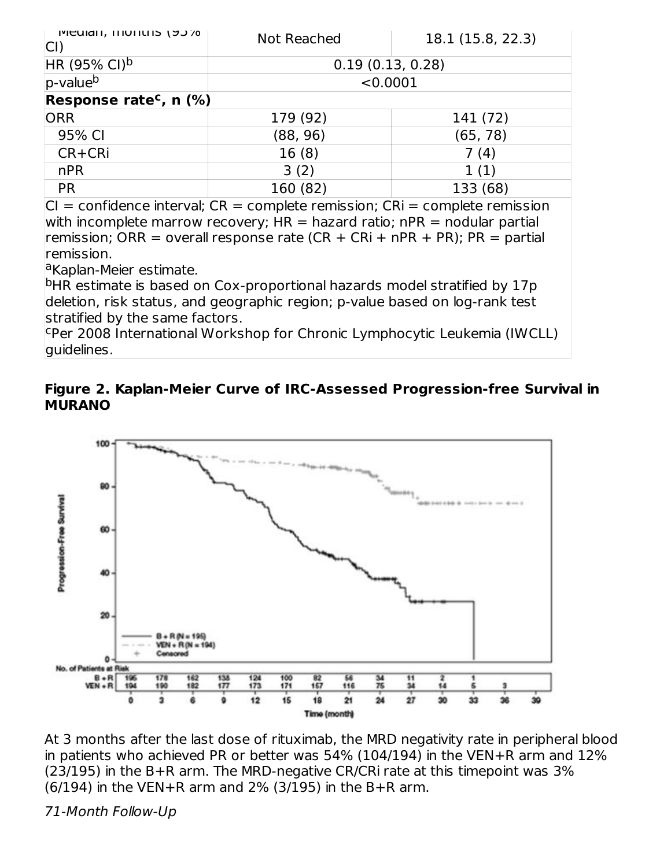| <b>IMEGICII, ILIUIILIIS 19970</b>     | Not Reached      | 18.1 (15.8, 22.3) |
|---------------------------------------|------------------|-------------------|
| $HR (95\% CI)^{b}$                    | 0.19(0.13, 0.28) |                   |
| $p$ -value <sup>b</sup>               | < 0.0001         |                   |
| Response rate <sup>c</sup> , n $(\%)$ |                  |                   |
| <b>ORR</b>                            | 179 (92)         | 141 (72)          |
| 95% CI                                | (88, 96)         | (65, 78)          |
| CR+CRi                                | 16(8)            | 7 (4)             |
| nPR                                   | 3(2)             | 1(1)              |
| <b>PR</b>                             | 160 (82)         | 133 (68)          |

 $|CI =$  confidence interval;  $CR =$  complete remission;  $CRi =$  complete remission with incomplete marrow recovery;  $HR =$  hazard ratio; nPR = nodular partial remission; ORR = overall response rate (CR + CRi + nPR + PR); PR = partial remission.

<sup>a</sup>Kaplan-Meier estimate.

<sup>b</sup>HR estimate is based on Cox-proportional hazards model stratified by 17p deletion, risk status, and geographic region; p-value based on log-rank test stratified by the same factors.

<sup>c</sup>Per 2008 International Workshop for Chronic Lymphocytic Leukemia (IWCLL) guidelines.

#### **Figure 2. Kaplan-Meier Curve of IRC-Assessed Progression-free Survival in MURANO**



At 3 months after the last dose of rituximab, the MRD negativity rate in peripheral blood in patients who achieved PR or better was 54% (104/194) in the VEN+R arm and 12% (23/195) in the B+R arm. The MRD-negative CR/CRi rate at this timepoint was 3% (6/194) in the VEN+R arm and 2% (3/195) in the B+R arm.

71-Month Follow-Up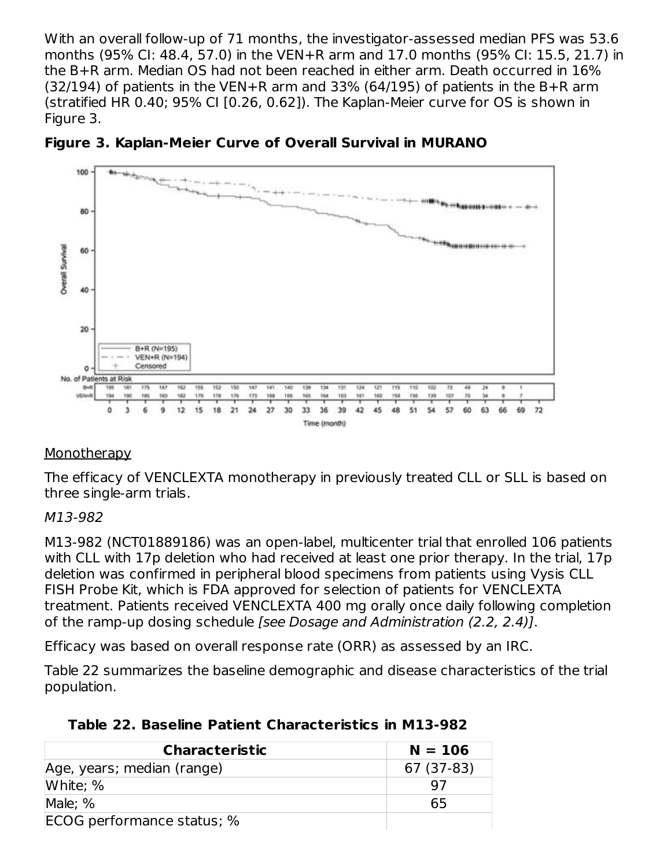With an overall follow-up of 71 months, the investigator-assessed median PFS was 53.6 months (95% CI: 48.4, 57.0) in the VEN+R arm and 17.0 months (95% CI: 15.5, 21.7) in the B+R arm. Median OS had not been reached in either arm. Death occurred in 16%  $(32/194)$  of patients in the VEN+R arm and 33% (64/195) of patients in the B+R arm (stratified HR 0.40; 95% CI [0.26, 0.62]). The Kaplan-Meier curve for OS is shown in Figure 3.





#### **Monotherapy**

The efficacy of VENCLEXTA monotherapy in previously treated CLL or SLL is based on three single-arm trials.

#### M13-982

M13-982 (NCT01889186) was an open-label, multicenter trial that enrolled 106 patients with CLL with 17p deletion who had received at least one prior therapy. In the trial, 17p deletion was confirmed in peripheral blood specimens from patients using Vysis CLL FISH Probe Kit, which is FDA approved for selection of patients for VENCLEXTA treatment. Patients received VENCLEXTA 400 mg orally once daily following completion of the ramp-up dosing schedule [see Dosage and Administration (2.2, 2.4)].

Efficacy was based on overall response rate (ORR) as assessed by an IRC.

Table 22 summarizes the baseline demographic and disease characteristics of the trial population.

| <b>Characteristic</b>      | $N = 106$  |
|----------------------------|------------|
| Age, years; median (range) | 67 (37-83) |
| White; %                   |            |
| Male: %                    | 65         |
| ECOG performance status; % |            |

## **Table 22. Baseline Patient Characteristics in M13-982**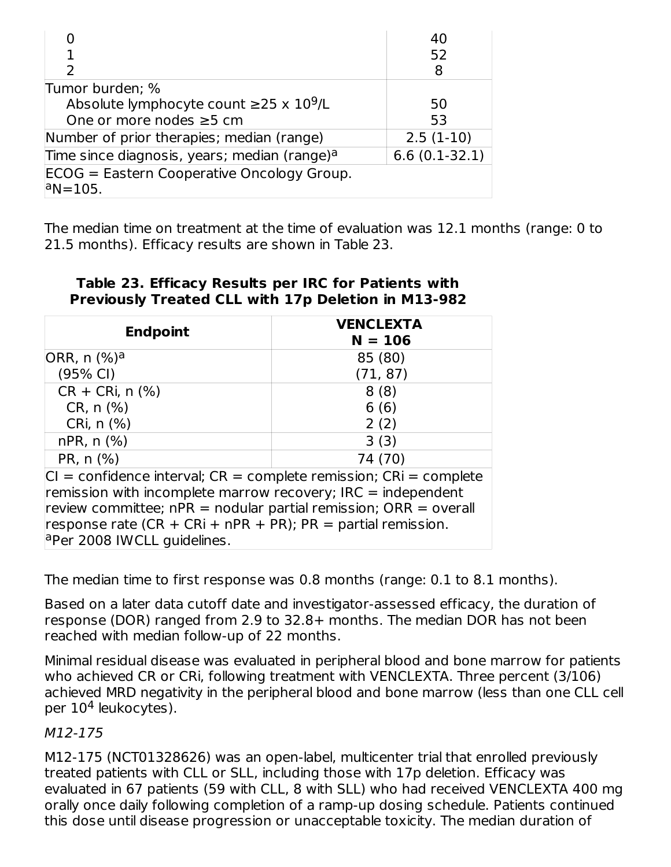|                                                          | 40              |
|----------------------------------------------------------|-----------------|
| 1                                                        | 52              |
| $\mathcal{P}$                                            | 8               |
| Tumor burden; %                                          |                 |
| Absolute lymphocyte count $\geq$ 25 x 10 <sup>9</sup> /L | 50              |
| One or more nodes ≥5 cm                                  | 53              |
| Number of prior therapies; median (range)                | $2.5(1-10)$     |
| Time since diagnosis, years; median (range) <sup>a</sup> | $6.6(0.1-32.1)$ |
| ECOG = Eastern Cooperative Oncology Group.               |                 |
| $ a$ N=105.                                              |                 |

The median time on treatment at the time of evaluation was 12.1 months (range: 0 to 21.5 months). Efficacy results are shown in Table 23.

| <b>Endpoint</b>                                                        | <b>VENCLEXTA</b><br>$N = 106$ |  |
|------------------------------------------------------------------------|-------------------------------|--|
| ORR, n (%) <sup>a</sup>                                                | 85 (80)                       |  |
| (95% CI)                                                               | (71, 87)                      |  |
| $CR + CRi, n$ (%)                                                      | 8(8)                          |  |
| CR, n (%)                                                              | 6(6)                          |  |
| CRi, $n$ $(\%)$                                                        | 2(2)                          |  |
| $nPR, n$ $(\%)$                                                        | 3(3)                          |  |
| PR, n (%)                                                              | 74 (70)                       |  |
| $CI = confidence$ interval; $CR = complete$ remission; $CR = complete$ |                               |  |
| remission with incomplete marrow recovery; IRC = independent           |                               |  |
| review committee; $nPR =$ nodular partial remission; $ORR =$ overall   |                               |  |
| response rate (CR + CRi + nPR + PR); PR = partial remission.           |                               |  |
| a Per 2008 IWCLL guidelines.                                           |                               |  |

**Table 23. Efficacy Results per IRC for Patients with Previously Treated CLL with 17p Deletion in M13-982**

The median time to first response was 0.8 months (range: 0.1 to 8.1 months).

Based on a later data cutoff date and investigator-assessed efficacy, the duration of response (DOR) ranged from 2.9 to 32.8+ months. The median DOR has not been reached with median follow-up of 22 months.

Minimal residual disease was evaluated in peripheral blood and bone marrow for patients who achieved CR or CRi, following treatment with VENCLEXTA. Three percent (3/106) achieved MRD negativity in the peripheral blood and bone marrow (less than one CLL cell per 10<sup>4</sup> leukocytes).

#### M12-175

M12-175 (NCT01328626) was an open-label, multicenter trial that enrolled previously treated patients with CLL or SLL, including those with 17p deletion. Efficacy was evaluated in 67 patients (59 with CLL, 8 with SLL) who had received VENCLEXTA 400 mg orally once daily following completion of a ramp-up dosing schedule. Patients continued this dose until disease progression or unacceptable toxicity. The median duration of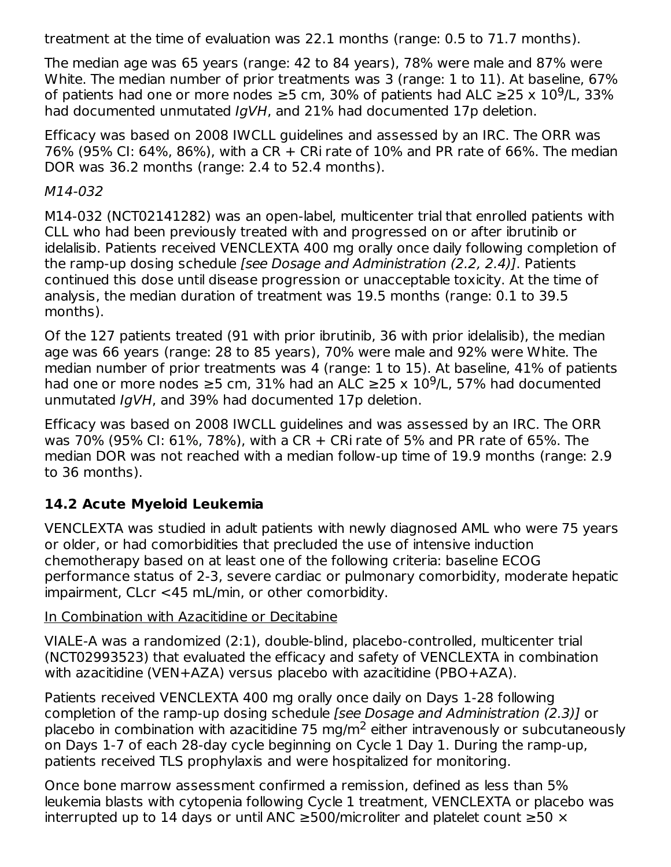treatment at the time of evaluation was 22.1 months (range: 0.5 to 71.7 months).

The median age was 65 years (range: 42 to 84 years), 78% were male and 87% were White. The median number of prior treatments was 3 (range: 1 to 11). At baseline, 67% of patients had one or more nodes ≥5 cm, 30% of patients had ALC ≥25 x  $10^9$ /L, 33% had documented unmutated IgVH, and 21% had documented 17p deletion.

Efficacy was based on 2008 IWCLL guidelines and assessed by an IRC. The ORR was 76% (95% CI: 64%, 86%), with a CR + CRi rate of 10% and PR rate of 66%. The median DOR was 36.2 months (range: 2.4 to 52.4 months).

M14-032

M14-032 (NCT02141282) was an open-label, multicenter trial that enrolled patients with CLL who had been previously treated with and progressed on or after ibrutinib or idelalisib. Patients received VENCLEXTA 400 mg orally once daily following completion of the ramp-up dosing schedule [see Dosage and Administration (2.2, 2.4)]. Patients continued this dose until disease progression or unacceptable toxicity. At the time of analysis, the median duration of treatment was 19.5 months (range: 0.1 to 39.5 months).

Of the 127 patients treated (91 with prior ibrutinib, 36 with prior idelalisib), the median age was 66 years (range: 28 to 85 years), 70% were male and 92% were White. The median number of prior treatments was 4 (range: 1 to 15). At baseline, 41% of patients had one or more nodes  $\geq$ 5 cm, 31% had an ALC  $\geq$ 25 x 10<sup>9</sup>/L, 57% had documented unmutated IgVH, and 39% had documented 17p deletion.

Efficacy was based on 2008 IWCLL guidelines and was assessed by an IRC. The ORR was 70% (95% CI: 61%, 78%), with a CR + CRi rate of 5% and PR rate of 65%. The median DOR was not reached with a median follow-up time of 19.9 months (range: 2.9 to 36 months).

# **14.2 Acute Myeloid Leukemia**

VENCLEXTA was studied in adult patients with newly diagnosed AML who were 75 years or older, or had comorbidities that precluded the use of intensive induction chemotherapy based on at least one of the following criteria: baseline ECOG performance status of 2-3, severe cardiac or pulmonary comorbidity, moderate hepatic impairment, CLcr <45 mL/min, or other comorbidity.

## In Combination with Azacitidine or Decitabine

VIALE-A was a randomized (2:1), double-blind, placebo-controlled, multicenter trial (NCT02993523) that evaluated the efficacy and safety of VENCLEXTA in combination with azacitidine (VEN+AZA) versus placebo with azacitidine (PBO+AZA).

Patients received VENCLEXTA 400 mg orally once daily on Days 1-28 following completion of the ramp-up dosing schedule [see Dosage and Administration (2.3)] or placebo in combination with azacitidine 75 mg/m<sup>2</sup> either intravenously or subcutaneously on Days 1-7 of each 28-day cycle beginning on Cycle 1 Day 1. During the ramp-up, patients received TLS prophylaxis and were hospitalized for monitoring.

Once bone marrow assessment confirmed a remission, defined as less than 5% leukemia blasts with cytopenia following Cycle 1 treatment, VENCLEXTA or placebo was interrupted up to 14 days or until ANC ≥500/microliter and platelet count ≥50 ×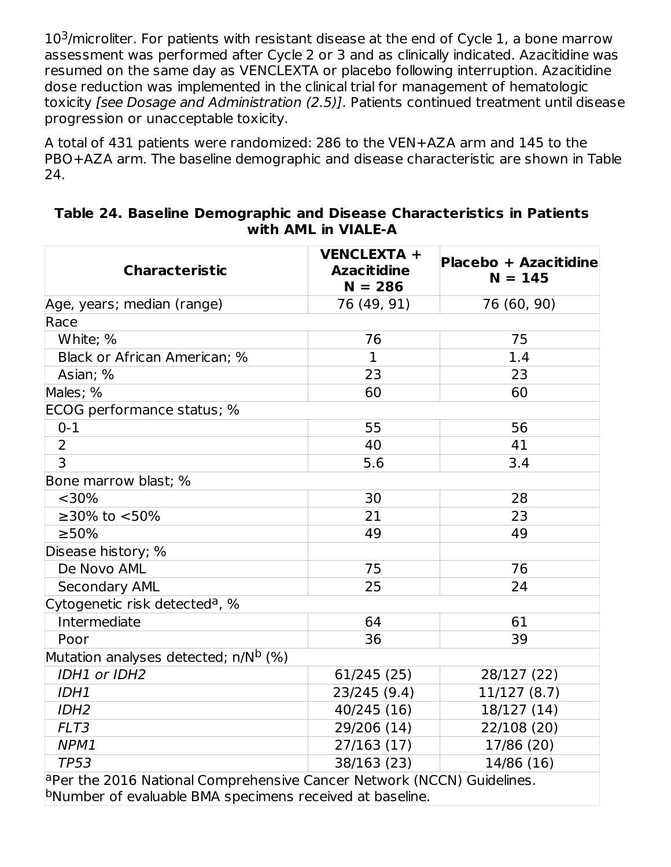$10<sup>3</sup>/$ microliter. For patients with resistant disease at the end of Cycle 1, a bone marrow assessment was performed after Cycle 2 or 3 and as clinically indicated. Azacitidine was resumed on the same day as VENCLEXTA or placebo following interruption. Azacitidine dose reduction was implemented in the clinical trial for management of hematologic toxicity *[see Dosage and Administration (2.5)]*. Patients continued treatment until disease progression or unacceptable toxicity.

A total of 431 patients were randomized: 286 to the VEN+AZA arm and 145 to the PBO+AZA arm. The baseline demographic and disease characteristic are shown in Table 24.

| <b>Characteristic</b>                                                            | <b>VENCLEXTA +</b><br><b>Azacitidine</b><br>$N = 286$ | <b>Placebo + Azacitidine</b><br>$N = 145$ |
|----------------------------------------------------------------------------------|-------------------------------------------------------|-------------------------------------------|
| Age, years; median (range)                                                       | 76 (49, 91)                                           | 76 (60, 90)                               |
| Race                                                                             |                                                       |                                           |
| White; %                                                                         | 76                                                    | 75                                        |
| Black or African American; %                                                     | $\mathbf{1}$                                          | 1.4                                       |
| Asian; %                                                                         | 23                                                    | 23                                        |
| Males; %                                                                         | 60                                                    | 60                                        |
| ECOG performance status; %                                                       |                                                       |                                           |
| $0 - 1$                                                                          | 55                                                    | 56                                        |
| $\overline{2}$                                                                   | 40                                                    | 41                                        |
| $\overline{3}$                                                                   | 5.6                                                   | 3.4                                       |
| Bone marrow blast; %                                                             |                                                       |                                           |
| $<$ 30%                                                                          | 30                                                    | 28                                        |
| ≥30% to <50%                                                                     | 21                                                    | 23                                        |
| $>50\%$                                                                          | 49                                                    | 49                                        |
| Disease history; %                                                               |                                                       |                                           |
| De Novo AML                                                                      | 75                                                    | 76                                        |
| <b>Secondary AML</b>                                                             | 25                                                    | 24                                        |
| Cytogenetic risk detected <sup>a</sup> , %                                       |                                                       |                                           |
| Intermediate                                                                     | 64                                                    | 61                                        |
| Poor                                                                             | 36                                                    | 39                                        |
| Mutation analyses detected; n/N <sup>b</sup> (%)                                 |                                                       |                                           |
| IDH1 or IDH2                                                                     | 61/245 (25)                                           | 28/127 (22)                               |
| IDH1                                                                             | 23/245 (9.4)                                          | 11/127(8.7)                               |
| IDH <sub>2</sub>                                                                 | 40/245 (16)                                           | 18/127 (14)                               |
| FLT3                                                                             | 29/206 (14)                                           | 22/108 (20)                               |
| NPM1                                                                             | 27/163(17)                                            | 17/86 (20)                                |
| <b>TP53</b>                                                                      | 38/163 (23)                                           | 14/86 (16)                                |
| $^{\circ}$ Per the 2016 National Comprehensive Cancer Network (NCCN) Guidelines. |                                                       |                                           |

#### **Table 24. Baseline Demographic and Disease Characteristics in Patients with AML in VIALE-A**

bNumber of evaluable BMA specimens received at baseline.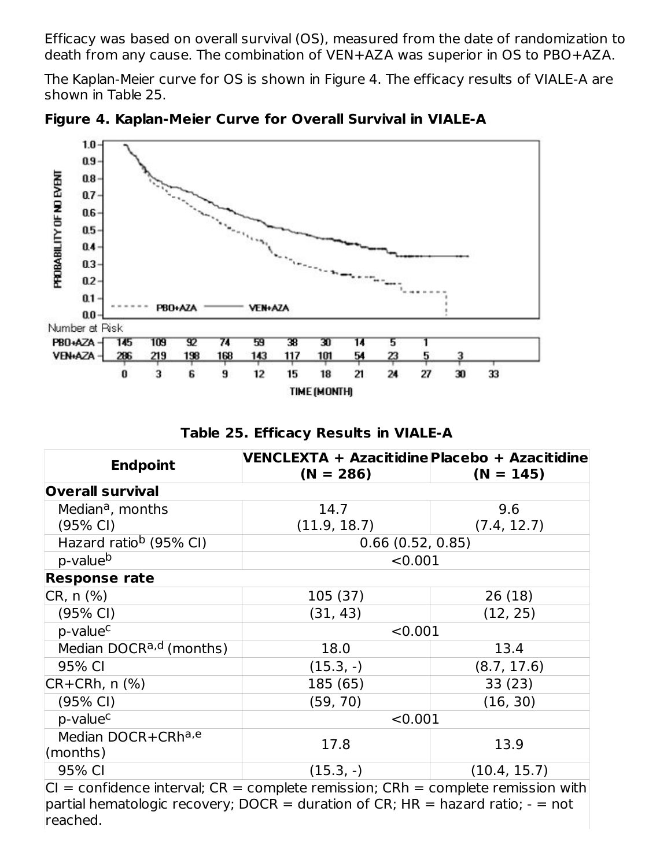Efficacy was based on overall survival (OS), measured from the date of randomization to death from any cause. The combination of VEN+AZA was superior in OS to PBO+AZA.

The Kaplan-Meier curve for OS is shown in Figure 4. The efficacy results of VIALE-A are shown in Table 25.



**Figure 4. Kaplan-Meier Curve for Overall Survival in VIALE-A**

**Table 25. Efficacy Results in VIALE-A**

| <b>Endpoint</b>                                                                      | VENCLEXTA + Azacitidine Placebo + Azacitidine |                                                |  |
|--------------------------------------------------------------------------------------|-----------------------------------------------|------------------------------------------------|--|
|                                                                                      | $(N = 286)$                                   | $(N = 145)$                                    |  |
| <b>Overall survival</b>                                                              |                                               |                                                |  |
| Median <sup>a</sup> , months                                                         | 14.7                                          | 9.6                                            |  |
| $(95% \text{ Cl})$                                                                   | (11.9, 18.7)                                  | (7.4, 12.7)                                    |  |
| Hazard ratio <sup>b</sup> (95% CI)                                                   | 0.66(0.52, 0.85)                              |                                                |  |
| p-value <sup>b</sup>                                                                 |                                               | < 0.001                                        |  |
| <b>Response rate</b>                                                                 |                                               |                                                |  |
| CR, n (%)                                                                            | 105 (37)                                      | 26(18)                                         |  |
| $(95% \text{ Cl})$                                                                   | (31, 43)                                      | (12, 25)                                       |  |
| p-value <sup>c</sup>                                                                 |                                               | < 0.001                                        |  |
| Median DOCR <sup>a,d</sup> (months)                                                  | 18.0                                          | 13.4                                           |  |
| 95% CI                                                                               | $(15.3, -)$                                   | (8.7, 17.6)                                    |  |
| $CR+CRh, n$ $%$                                                                      | 185 (65)                                      | 33(23)                                         |  |
| (95% CI)                                                                             | (59, 70)                                      | (16, 30)                                       |  |
| p-value <sup>c</sup>                                                                 | < 0.001                                       |                                                |  |
| Median DOCR+CRha,e                                                                   | 17.8                                          | 13.9                                           |  |
| $\mathsf{ }(\mathsf{months})$                                                        |                                               |                                                |  |
| 95% CI                                                                               | $(15.3, -)$                                   | (10.4, 15.7)                                   |  |
| $\Omega$ as $\mathcal{L}$ denote below at $\Omega$ as a problem we consider $\Omega$ |                                               | لمالله والمراجع والممرجان المتلح المرجمين حاجز |  |

 $|CI =$  confidence interval;  $CR =$  complete remission;  $CRh =$  complete remission with partial hematologic recovery; DOCR = duration of CR; HR = hazard ratio;  $-$  = not reached.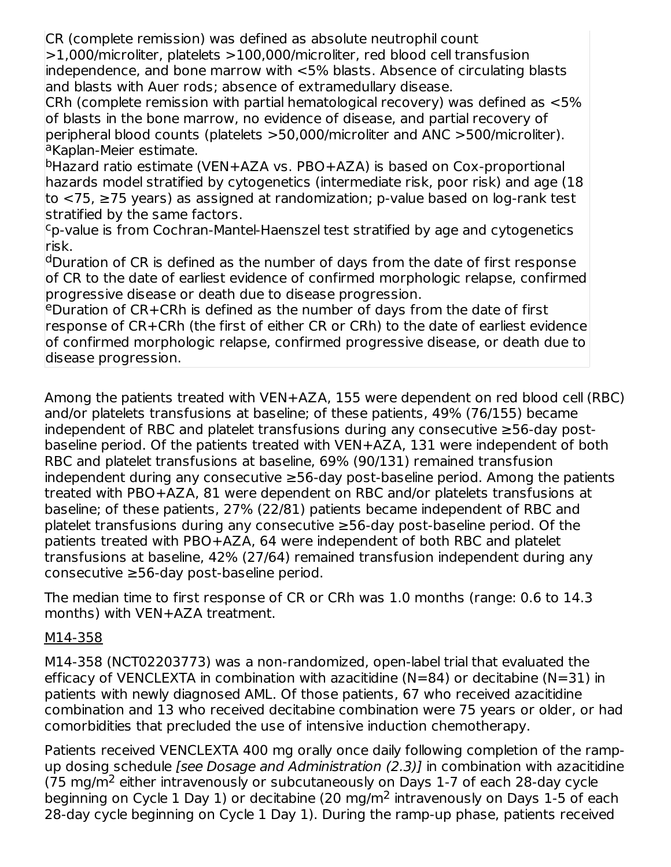CR (complete remission) was defined as absolute neutrophil count

>1,000/microliter, platelets >100,000/microliter, red blood cell transfusion independence, and bone marrow with <5% blasts. Absence of circulating blasts and blasts with Auer rods; absence of extramedullary disease.

CRh (complete remission with partial hematological recovery) was defined as <5% of blasts in the bone marrow, no evidence of disease, and partial recovery of peripheral blood counts (platelets >50,000/microliter and ANC >500/microliter). <sup>a</sup>Kaplan-Meier estimate.

<sup>b</sup>Hazard ratio estimate (VEN+AZA vs. PBO+AZA) is based on Cox-proportional hazards model stratified by cytogenetics (intermediate risk, poor risk) and age (18 to <75, ≥75 years) as assigned at randomization; p-value based on log-rank test stratified by the same factors.

<sup>c</sup>p-value is from Cochran-Mantel-Haenszel test stratified by age and cytogenetics risk.

dDuration of CR is defined as the number of days from the date of first response of CR to the date of earliest evidence of confirmed morphologic relapse, confirmed progressive disease or death due to disease progression.

eDuration of CR+CRh is defined as the number of days from the date of first response of CR+CRh (the first of either CR or CRh) to the date of earliest evidence of confirmed morphologic relapse, confirmed progressive disease, or death due to disease progression.

Among the patients treated with VEN+AZA, 155 were dependent on red blood cell (RBC) and/or platelets transfusions at baseline; of these patients, 49% (76/155) became independent of RBC and platelet transfusions during any consecutive ≥56-day postbaseline period. Of the patients treated with VEN+AZA, 131 were independent of both RBC and platelet transfusions at baseline, 69% (90/131) remained transfusion independent during any consecutive ≥56-day post-baseline period. Among the patients treated with PBO+AZA, 81 were dependent on RBC and/or platelets transfusions at baseline; of these patients, 27% (22/81) patients became independent of RBC and platelet transfusions during any consecutive ≥56-day post-baseline period. Of the patients treated with PBO+AZA, 64 were independent of both RBC and platelet transfusions at baseline, 42% (27/64) remained transfusion independent during any consecutive ≥56-day post-baseline period.

The median time to first response of CR or CRh was 1.0 months (range: 0.6 to 14.3 months) with VEN+AZA treatment.

## M14-358

M14-358 (NCT02203773) was a non-randomized, open-label trial that evaluated the efficacy of VENCLEXTA in combination with azacitidine ( $N=84$ ) or decitabine ( $N=31$ ) in patients with newly diagnosed AML. Of those patients, 67 who received azacitidine combination and 13 who received decitabine combination were 75 years or older, or had comorbidities that precluded the use of intensive induction chemotherapy.

Patients received VENCLEXTA 400 mg orally once daily following completion of the rampup dosing schedule *[see Dosage and Administration (2.3)]* in combination with azacitidine  $(75 \text{ mg/m}^2)$  either intravenously or subcutaneously on Days 1-7 of each 28-day cycle beginning on Cycle 1 Day 1) or decitabine (20 mg/m<sup>2</sup> intravenously on Days 1-5 of each 28-day cycle beginning on Cycle 1 Day 1). During the ramp-up phase, patients received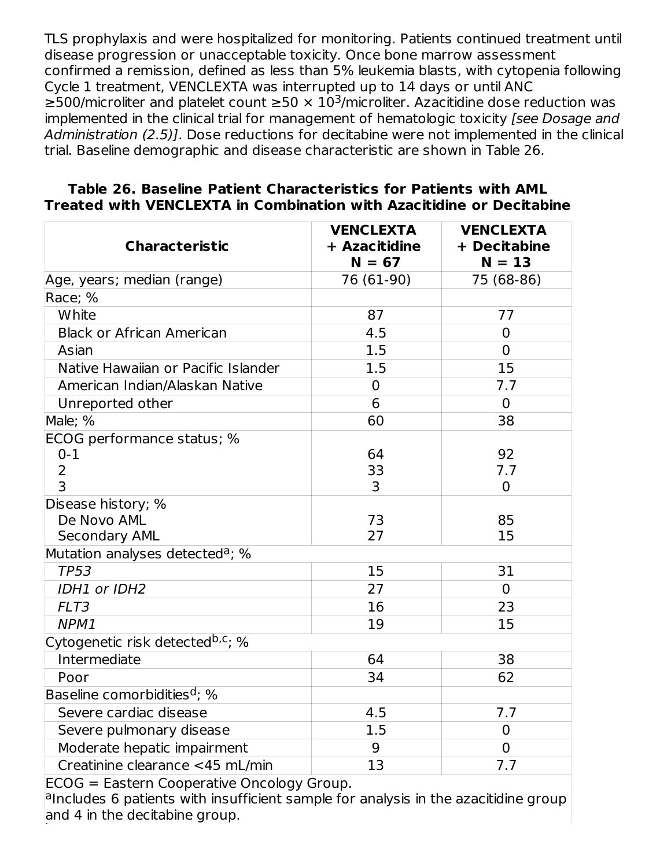TLS prophylaxis and were hospitalized for monitoring. Patients continued treatment until disease progression or unacceptable toxicity. Once bone marrow assessment confirmed a remission, defined as less than 5% leukemia blasts, with cytopenia following Cycle 1 treatment, VENCLEXTA was interrupted up to 14 days or until ANC ≥500/microliter and platelet count ≥50  $\times$  10<sup>3</sup>/microliter. Azacitidine dose reduction was implemented in the clinical trial for management of hematologic toxicity [see Dosage and Administration (2.5)]. Dose reductions for decitabine were not implemented in the clinical trial. Baseline demographic and disease characteristic are shown in Table 26.

| <b>Characteristic</b>                        | <b>VENCLEXTA</b><br>+ Azacitidine<br>$N = 67$ | <b>VENCLEXTA</b><br>+ Decitabine<br>$N = 13$ |
|----------------------------------------------|-----------------------------------------------|----------------------------------------------|
| Age, years; median (range)                   | 76 (61-90)                                    | 75 (68-86)                                   |
| Race; %                                      |                                               |                                              |
| White                                        | 87                                            | 77                                           |
| <b>Black or African American</b>             | 4.5                                           | $\overline{0}$                               |
| Asian                                        | 1.5                                           | $\Omega$                                     |
| Native Hawaiian or Pacific Islander          | 1.5                                           | 15                                           |
| American Indian/Alaskan Native               | $\overline{0}$                                | 7.7                                          |
| Unreported other                             | 6                                             | $\overline{0}$                               |
| Male; %                                      | 60                                            | 38                                           |
| ECOG performance status; %                   |                                               |                                              |
| $0 - 1$                                      | 64                                            | 92                                           |
| $\overline{2}$                               | 33                                            | 7.7                                          |
| $\overline{3}$                               | 3                                             | $\overline{0}$                               |
| Disease history; %                           |                                               |                                              |
| De Novo AML                                  | 73                                            | 85                                           |
| <b>Secondary AML</b>                         | 27                                            | 15                                           |
| Mutation analyses detected <sup>a</sup> ; %  |                                               |                                              |
| <b>TP53</b>                                  | 15                                            | 31                                           |
| IDH1 or IDH2                                 | 27                                            | $\Omega$                                     |
| FLT3                                         | 16                                            | 23                                           |
| NPM1                                         | 19                                            | 15                                           |
| Cytogenetic risk detected <sup>b,c</sup> ; % |                                               |                                              |
| Intermediate                                 | 64                                            | 38                                           |
| Poor                                         | 34                                            | 62                                           |
| Baseline comorbidities <sup>d</sup> ; %      |                                               |                                              |
| Severe cardiac disease                       | 4.5                                           | 7.7                                          |
| Severe pulmonary disease                     | 1.5                                           | $\Omega$                                     |
| Moderate hepatic impairment                  | 9                                             | $\overline{0}$                               |
| Creatinine clearance <45 mL/min              | 13                                            | 7.7                                          |

#### **Table 26. Baseline Patient Characteristics for Patients with AML Treated with VENCLEXTA in Combination with Azacitidine or Decitabine**

ECOG = Eastern Cooperative Oncology Group.

alncludes 6 patients with insufficient sample for analysis in the azacitidine group and 4 in the decitabine group.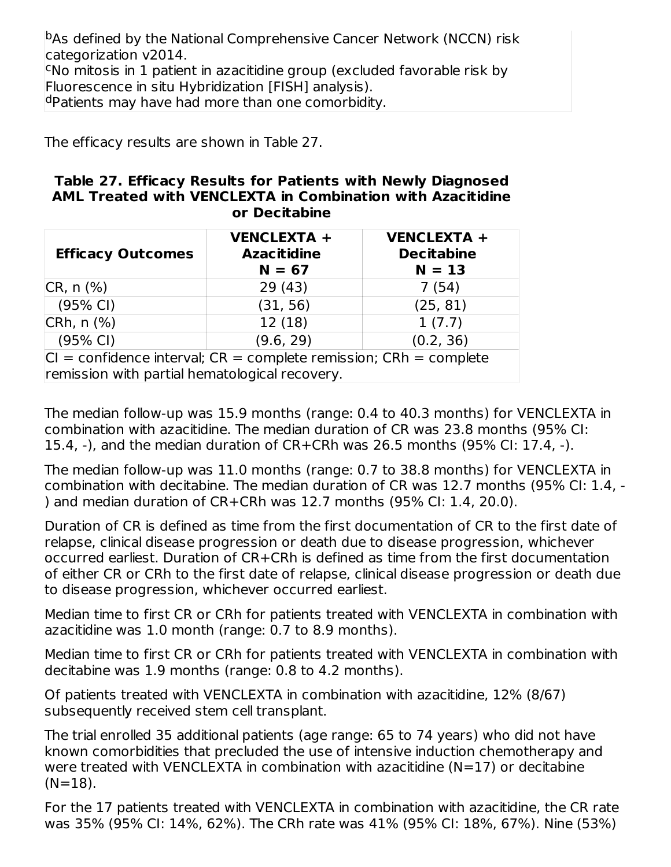b<sub>As defined by the National Comprehensive Cancer Network (NCCN) risk</sub> categorization v2014.

<sup>c</sup>No mitosis in 1 patient in azacitidine group (excluded favorable risk by Fluorescence in situ Hybridization [FISH] analysis).

<sup>d</sup>Patients may have had more than one comorbidity.

The efficacy results are shown in Table 27.

#### **Table 27. Efficacy Results for Patients with Newly Diagnosed AML Treated with VENCLEXTA in Combination with Azacitidine or Decitabine**

| <b>Efficacy Outcomes</b>                                                                                                   | <b>VENCLEXTA +</b><br><b>Azacitidine</b><br>$N = 67$ | <b>VENCLEXTA +</b><br><b>Decitabine</b><br>$N = 13$ |
|----------------------------------------------------------------------------------------------------------------------------|------------------------------------------------------|-----------------------------------------------------|
| CR, n (%)                                                                                                                  | 29(43)                                               | 7(54)                                               |
| $(95% \text{ Cl})$                                                                                                         | (31, 56)                                             | (25, 81)                                            |
| $CRh, n$ (%)                                                                                                               | 12 (18)                                              | 1(7.7)                                              |
| $(95% \text{ Cl})$                                                                                                         | (9.6, 29)                                            | (0.2, 36)                                           |
| $ CI =$ confidence interval; $CR =$ complete remission; $CRh =$ complete<br>remission with partial hematological recovery. |                                                      |                                                     |

The median follow-up was 15.9 months (range: 0.4 to 40.3 months) for VENCLEXTA in combination with azacitidine. The median duration of CR was 23.8 months (95% CI: 15.4, -), and the median duration of CR+CRh was 26.5 months (95% CI: 17.4, -).

The median follow-up was 11.0 months (range: 0.7 to 38.8 months) for VENCLEXTA in combination with decitabine. The median duration of CR was 12.7 months (95% CI: 1.4, - ) and median duration of CR+CRh was 12.7 months (95% CI: 1.4, 20.0).

Duration of CR is defined as time from the first documentation of CR to the first date of relapse, clinical disease progression or death due to disease progression, whichever occurred earliest. Duration of CR+CRh is defined as time from the first documentation of either CR or CRh to the first date of relapse, clinical disease progression or death due to disease progression, whichever occurred earliest.

Median time to first CR or CRh for patients treated with VENCLEXTA in combination with azacitidine was 1.0 month (range: 0.7 to 8.9 months).

Median time to first CR or CRh for patients treated with VENCLEXTA in combination with decitabine was 1.9 months (range: 0.8 to 4.2 months).

Of patients treated with VENCLEXTA in combination with azacitidine, 12% (8/67) subsequently received stem cell transplant.

The trial enrolled 35 additional patients (age range: 65 to 74 years) who did not have known comorbidities that precluded the use of intensive induction chemotherapy and were treated with VENCLEXTA in combination with azacitidine  $(N=17)$  or decitabine  $(N=18)$ .

For the 17 patients treated with VENCLEXTA in combination with azacitidine, the CR rate was 35% (95% CI: 14%, 62%). The CRh rate was 41% (95% CI: 18%, 67%). Nine (53%)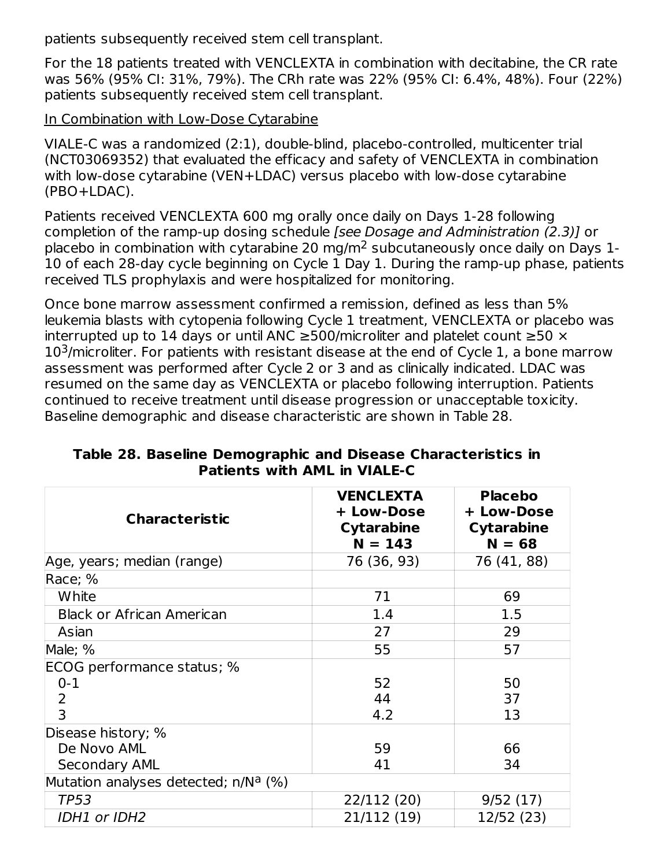patients subsequently received stem cell transplant.

For the 18 patients treated with VENCLEXTA in combination with decitabine, the CR rate was 56% (95% CI: 31%, 79%). The CRh rate was 22% (95% CI: 6.4%, 48%). Four (22%) patients subsequently received stem cell transplant.

#### In Combination with Low-Dose Cytarabine

VIALE-C was a randomized (2:1), double-blind, placebo-controlled, multicenter trial (NCT03069352) that evaluated the efficacy and safety of VENCLEXTA in combination with low-dose cytarabine (VEN+LDAC) versus placebo with low-dose cytarabine (PBO+LDAC).

Patients received VENCLEXTA 600 mg orally once daily on Days 1-28 following completion of the ramp-up dosing schedule [see Dosage and Administration (2.3)] or placebo in combination with cytarabine 20 mg/m<sup>2</sup> subcutaneously once daily on Days 1-10 of each 28-day cycle beginning on Cycle 1 Day 1. During the ramp-up phase, patients received TLS prophylaxis and were hospitalized for monitoring.

Once bone marrow assessment confirmed a remission, defined as less than 5% leukemia blasts with cytopenia following Cycle 1 treatment, VENCLEXTA or placebo was interrupted up to 14 days or until ANC  $\geq$ 500/microliter and platelet count  $\geq$ 50  $\times$  $10<sup>3</sup>$ /microliter. For patients with resistant disease at the end of Cycle 1, a bone marrow assessment was performed after Cycle 2 or 3 and as clinically indicated. LDAC was resumed on the same day as VENCLEXTA or placebo following interruption. Patients continued to receive treatment until disease progression or unacceptable toxicity. Baseline demographic and disease characteristic are shown in Table 28.

| <b>Characteristic</b>                            | <b>VENCLEXTA</b><br>+ Low-Dose<br><b>Cytarabine</b><br>$N = 143$ | <b>Placebo</b><br>+ Low-Dose<br><b>Cytarabine</b><br>$N = 68$ |
|--------------------------------------------------|------------------------------------------------------------------|---------------------------------------------------------------|
| Age, years; median (range)                       | 76 (36, 93)                                                      | 76 (41, 88)                                                   |
| Race; %                                          |                                                                  |                                                               |
| White                                            | 71                                                               | 69                                                            |
| <b>Black or African American</b>                 | 1.4                                                              | 1.5                                                           |
| Asian                                            | 27                                                               | 29                                                            |
| Male; %                                          | 55                                                               | 57                                                            |
| ECOG performance status; %                       |                                                                  |                                                               |
| $0 - 1$                                          | 52                                                               | 50                                                            |
| 2                                                | 44                                                               | 37                                                            |
| 3                                                | 4.2                                                              | 13                                                            |
| Disease history; %                               |                                                                  |                                                               |
| De Novo AML                                      | 59                                                               | 66                                                            |
| <b>Secondary AML</b>                             | 41                                                               | 34                                                            |
| Mutation analyses detected; n/N <sup>a</sup> (%) |                                                                  |                                                               |
| <b>TP53</b>                                      | 22/112 (20)                                                      | 9/52(17)                                                      |
| IDH1 or IDH2                                     | 21/112 (19)                                                      | 12/52 (23)                                                    |

**Table 28. Baseline Demographic and Disease Characteristics in Patients with AML in VIALE-C**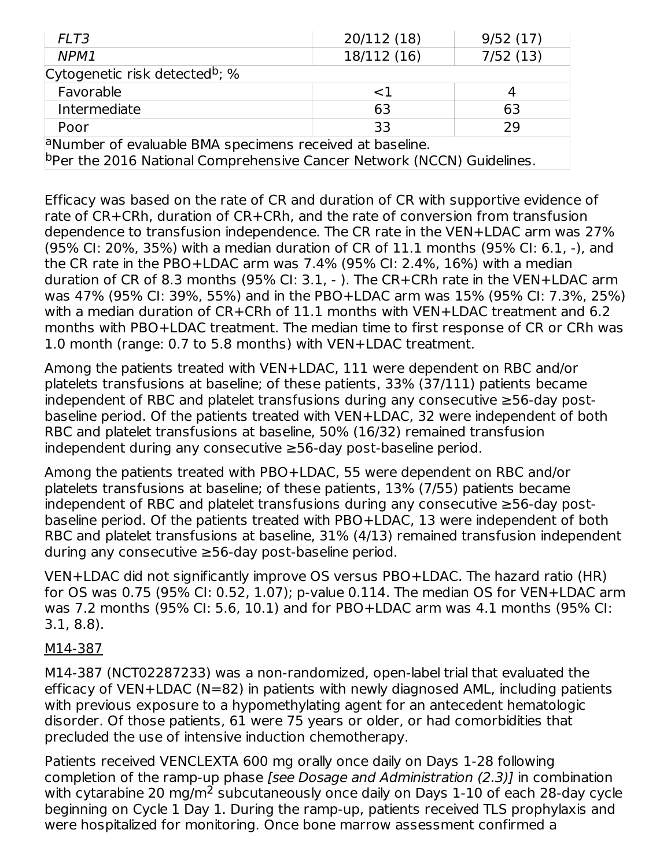| FLT3                                                                 | 20/112 (18) | 9/52(17) |  |  |  |  |
|----------------------------------------------------------------------|-------------|----------|--|--|--|--|
| NPM1                                                                 | 18/112 (16) | 7/52(13) |  |  |  |  |
| Cytogenetic risk detected <sup>b</sup> ; %                           |             |          |  |  |  |  |
| Favorable                                                            | $<$ 1       |          |  |  |  |  |
| Intermediate                                                         | 63          | 63       |  |  |  |  |
| Poor                                                                 | 33          | 29       |  |  |  |  |
| <sup>a</sup> Number of evaluable BMA specimens received at baseline. |             |          |  |  |  |  |

bper the 2016 National Comprehensive Cancer Network (NCCN) Guidelines.

Efficacy was based on the rate of CR and duration of CR with supportive evidence of rate of CR+CRh, duration of CR+CRh, and the rate of conversion from transfusion dependence to transfusion independence. The CR rate in the VEN+LDAC arm was 27% (95% CI: 20%, 35%) with a median duration of CR of 11.1 months (95% CI: 6.1, -), and the CR rate in the PBO+LDAC arm was 7.4% (95% CI: 2.4%, 16%) with a median duration of CR of 8.3 months (95% CI: 3.1, - ). The CR+CRh rate in the VEN+LDAC arm was 47% (95% CI: 39%, 55%) and in the PBO+LDAC arm was 15% (95% CI: 7.3%, 25%) with a median duration of CR+CRh of 11.1 months with VEN+LDAC treatment and 6.2 months with PBO+LDAC treatment. The median time to first response of CR or CRh was 1.0 month (range: 0.7 to 5.8 months) with VEN+LDAC treatment.

Among the patients treated with VEN+LDAC, 111 were dependent on RBC and/or platelets transfusions at baseline; of these patients, 33% (37/111) patients became independent of RBC and platelet transfusions during any consecutive ≥56-day postbaseline period. Of the patients treated with VEN+LDAC, 32 were independent of both RBC and platelet transfusions at baseline, 50% (16/32) remained transfusion independent during any consecutive ≥56-day post-baseline period.

Among the patients treated with PBO+LDAC, 55 were dependent on RBC and/or platelets transfusions at baseline; of these patients, 13% (7/55) patients became independent of RBC and platelet transfusions during any consecutive ≥56-day postbaseline period. Of the patients treated with PBO+LDAC, 13 were independent of both RBC and platelet transfusions at baseline, 31% (4/13) remained transfusion independent during any consecutive ≥56-day post-baseline period.

VEN+LDAC did not significantly improve OS versus PBO+LDAC. The hazard ratio (HR) for OS was 0.75 (95% CI: 0.52, 1.07); p-value 0.114. The median OS for VEN+LDAC arm was 7.2 months (95% CI: 5.6, 10.1) and for PBO+LDAC arm was 4.1 months (95% CI: 3.1, 8.8).

#### M14-387

M14-387 (NCT02287233) was a non-randomized, open-label trial that evaluated the efficacy of VEN+LDAC (N=82) in patients with newly diagnosed AML, including patients with previous exposure to a hypomethylating agent for an antecedent hematologic disorder. Of those patients, 61 were 75 years or older, or had comorbidities that precluded the use of intensive induction chemotherapy.

Patients received VENCLEXTA 600 mg orally once daily on Days 1-28 following completion of the ramp-up phase [see Dosage and Administration (2.3)] in combination with cytarabine 20 mg/m<sup>2</sup> subcutaneously once daily on Days 1-10 of each 28-day cycle beginning on Cycle 1 Day 1. During the ramp-up, patients received TLS prophylaxis and were hospitalized for monitoring. Once bone marrow assessment confirmed a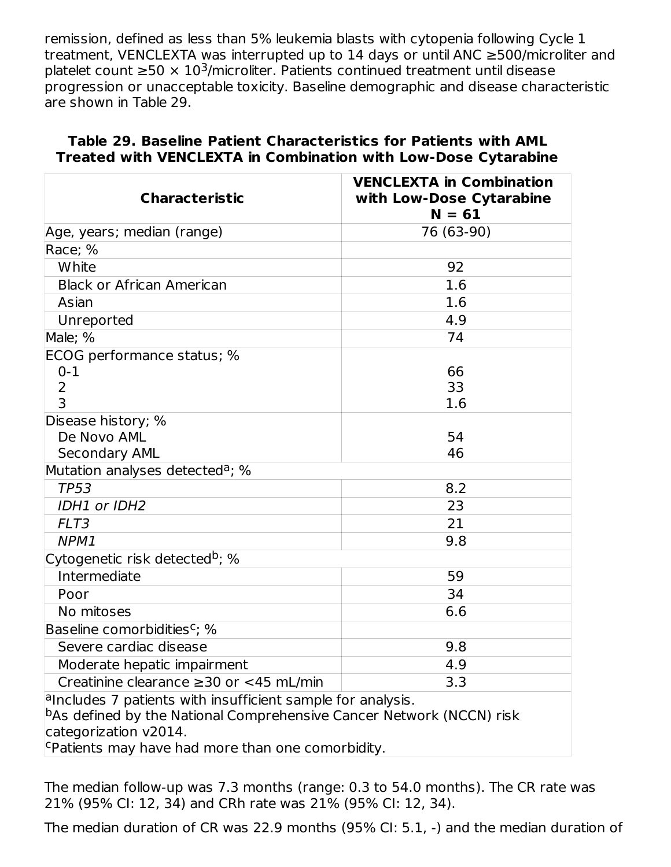remission, defined as less than 5% leukemia blasts with cytopenia following Cycle 1 treatment, VENCLEXTA was interrupted up to 14 days or until ANC ≥500/microliter and platelet count  $\geq 50 \times 10^3$ /microliter. Patients continued treatment until disease progression or unacceptable toxicity. Baseline demographic and disease characteristic are shown in Table 29.

| <b>Characteristic</b>                                                                                                                                                     | <b>VENCLEXTA in Combination</b><br>with Low-Dose Cytarabine<br>$N = 61$ |
|---------------------------------------------------------------------------------------------------------------------------------------------------------------------------|-------------------------------------------------------------------------|
| Age, years; median (range)                                                                                                                                                | 76 (63-90)                                                              |
| Race; %                                                                                                                                                                   |                                                                         |
| White                                                                                                                                                                     | 92                                                                      |
| <b>Black or African American</b>                                                                                                                                          | 1.6                                                                     |
| Asian                                                                                                                                                                     | 1.6                                                                     |
| Unreported                                                                                                                                                                | 4.9                                                                     |
| Male; %                                                                                                                                                                   | 74                                                                      |
| ECOG performance status; %                                                                                                                                                |                                                                         |
| $0 - 1$                                                                                                                                                                   | 66                                                                      |
| 2                                                                                                                                                                         | 33                                                                      |
| $\overline{3}$                                                                                                                                                            | 1.6                                                                     |
| Disease history; %                                                                                                                                                        |                                                                         |
| De Novo AML                                                                                                                                                               | 54                                                                      |
| Secondary AML                                                                                                                                                             | 46                                                                      |
| Mutation analyses detected <sup>a</sup> ; %                                                                                                                               |                                                                         |
| <b>TP53</b>                                                                                                                                                               | 8.2                                                                     |
| IDH1 or IDH2                                                                                                                                                              | 23                                                                      |
| FLT3                                                                                                                                                                      | 21                                                                      |
| NPM1                                                                                                                                                                      | 9.8                                                                     |
| Cytogenetic risk detected <sup>b</sup> ; %                                                                                                                                |                                                                         |
| Intermediate                                                                                                                                                              | 59                                                                      |
| Poor                                                                                                                                                                      | 34                                                                      |
| No mitoses                                                                                                                                                                | 6.6                                                                     |
| Baseline comorbidities <sup>c</sup> ; %                                                                                                                                   |                                                                         |
| Severe cardiac disease                                                                                                                                                    | 9.8                                                                     |
| Moderate hepatic impairment                                                                                                                                               | 4.9                                                                     |
| Creatinine clearance $\geq$ 30 or <45 mL/min                                                                                                                              | 3.3                                                                     |
| $a$ lncludes 7 patients with insufficient sample for analysis.<br>$\,$ $\,$ DAs defined by the National Comprehensive Cancer Network (NCCN) risk<br>categorization v2014. |                                                                         |
| Ferming Patients may have had more than one comorbidity.                                                                                                                  |                                                                         |

#### **Table 29. Baseline Patient Characteristics for Patients with AML Treated with VENCLEXTA in Combination with Low-Dose Cytarabine**

The median follow-up was 7.3 months (range: 0.3 to 54.0 months). The CR rate was 21% (95% CI: 12, 34) and CRh rate was 21% (95% CI: 12, 34).

The median duration of CR was 22.9 months (95% CI: 5.1, -) and the median duration of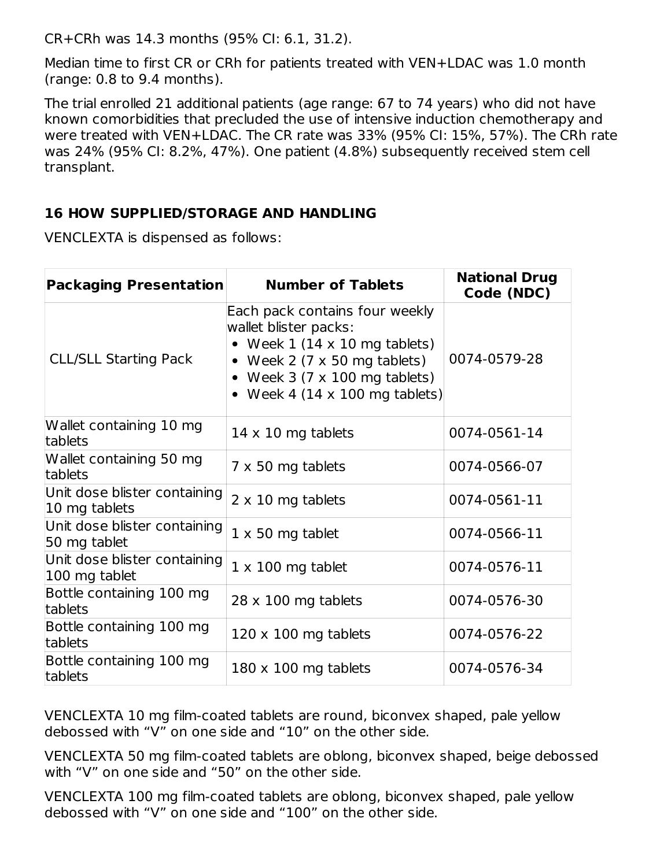CR+CRh was 14.3 months (95% CI: 6.1, 31.2).

Median time to first CR or CRh for patients treated with VEN+LDAC was 1.0 month (range: 0.8 to 9.4 months).

The trial enrolled 21 additional patients (age range: 67 to 74 years) who did not have known comorbidities that precluded the use of intensive induction chemotherapy and were treated with VEN+LDAC. The CR rate was 33% (95% CI: 15%, 57%). The CRh rate was 24% (95% CI: 8.2%, 47%). One patient (4.8%) subsequently received stem cell transplant.

#### **16 HOW SUPPLIED/STORAGE AND HANDLING**

VENCLEXTA is dispensed as follows:

| <b>Packaging Presentation</b>                 | <b>Number of Tablets</b>                                                                                                                                                                                                       | <b>National Drug</b><br>Code (NDC) |
|-----------------------------------------------|--------------------------------------------------------------------------------------------------------------------------------------------------------------------------------------------------------------------------------|------------------------------------|
| <b>CLL/SLL Starting Pack</b>                  | Each pack contains four weekly<br>wallet blister packs:<br>• Week $1(14 \times 10 \text{ mg tablets})$<br>• Week 2 (7 $\times$ 50 mg tablets)<br>• Week 3 (7 $\times$ 100 mg tablets)<br>• Week 4 (14 $\times$ 100 mg tablets) | 0074-0579-28                       |
| Wallet containing 10 mg<br>tablets            | $14 \times 10$ mg tablets                                                                                                                                                                                                      | 0074-0561-14                       |
| Wallet containing 50 mg<br>tablets            | $7 \times 50$ mg tablets                                                                                                                                                                                                       | 0074-0566-07                       |
| Unit dose blister containing<br>10 mg tablets | $2 \times 10$ mg tablets                                                                                                                                                                                                       | 0074-0561-11                       |
| Unit dose blister containing<br>50 mg tablet  | $1 \times 50$ mg tablet                                                                                                                                                                                                        | 0074-0566-11                       |
| Unit dose blister containing<br>100 mg tablet | $1 \times 100$ mg tablet                                                                                                                                                                                                       | 0074-0576-11                       |
| Bottle containing 100 mg<br>tablets           | $28 \times 100$ mg tablets                                                                                                                                                                                                     | 0074-0576-30                       |
| Bottle containing 100 mg<br>tablets           | $120 \times 100$ mg tablets                                                                                                                                                                                                    | 0074-0576-22                       |
| Bottle containing 100 mg<br>tablets           | $180 \times 100$ mg tablets                                                                                                                                                                                                    | 0074-0576-34                       |

VENCLEXTA 10 mg film-coated tablets are round, biconvex shaped, pale yellow debossed with "V" on one side and "10" on the other side.

VENCLEXTA 50 mg film-coated tablets are oblong, biconvex shaped, beige debossed with "V" on one side and "50" on the other side.

VENCLEXTA 100 mg film-coated tablets are oblong, biconvex shaped, pale yellow debossed with "V" on one side and "100" on the other side.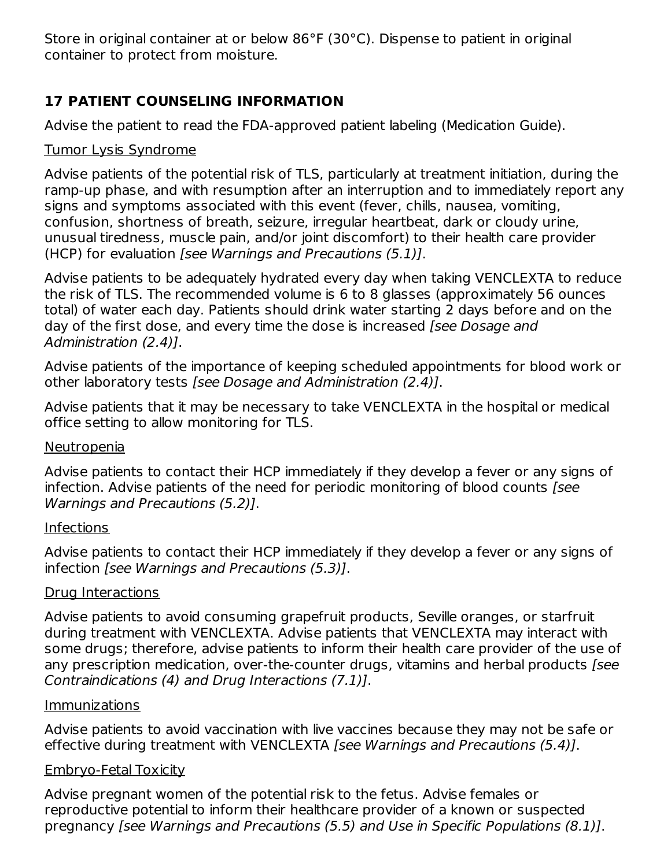Store in original container at or below 86°F (30°C). Dispense to patient in original container to protect from moisture.

# **17 PATIENT COUNSELING INFORMATION**

Advise the patient to read the FDA-approved patient labeling (Medication Guide).

# Tumor Lysis Syndrome

Advise patients of the potential risk of TLS, particularly at treatment initiation, during the ramp-up phase, and with resumption after an interruption and to immediately report any signs and symptoms associated with this event (fever, chills, nausea, vomiting, confusion, shortness of breath, seizure, irregular heartbeat, dark or cloudy urine, unusual tiredness, muscle pain, and/or joint discomfort) to their health care provider (HCP) for evaluation [see Warnings and Precautions (5.1)].

Advise patients to be adequately hydrated every day when taking VENCLEXTA to reduce the risk of TLS. The recommended volume is 6 to 8 glasses (approximately 56 ounces total) of water each day. Patients should drink water starting 2 days before and on the day of the first dose, and every time the dose is increased [see Dosage and Administration (2.4)].

Advise patients of the importance of keeping scheduled appointments for blood work or other laboratory tests [see Dosage and Administration (2.4)].

Advise patients that it may be necessary to take VENCLEXTA in the hospital or medical office setting to allow monitoring for TLS.

## Neutropenia

Advise patients to contact their HCP immediately if they develop a fever or any signs of infection. Advise patients of the need for periodic monitoring of blood counts [see Warnings and Precautions (5.2)].

## Infections

Advise patients to contact their HCP immediately if they develop a fever or any signs of infection [see Warnings and Precautions (5.3)].

## Drug Interactions

Advise patients to avoid consuming grapefruit products, Seville oranges, or starfruit during treatment with VENCLEXTA. Advise patients that VENCLEXTA may interact with some drugs; therefore, advise patients to inform their health care provider of the use of any prescription medication, over-the-counter drugs, vitamins and herbal products [see Contraindications (4) and Drug Interactions (7.1)].

## Immunizations

Advise patients to avoid vaccination with live vaccines because they may not be safe or effective during treatment with VENCLEXTA [see Warnings and Precautions (5.4)].

## Embryo-Fetal Toxicity

Advise pregnant women of the potential risk to the fetus. Advise females or reproductive potential to inform their healthcare provider of a known or suspected pregnancy [see Warnings and Precautions (5.5) and Use in Specific Populations (8.1)].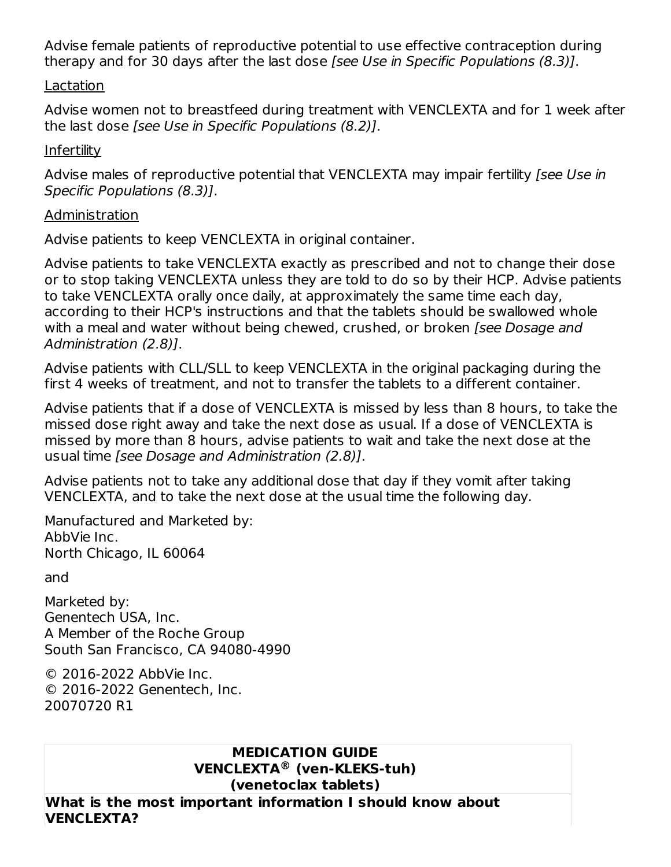Advise female patients of reproductive potential to use effective contraception during therapy and for 30 days after the last dose [see Use in Specific Populations (8.3)].

#### Lactation

Advise women not to breastfeed during treatment with VENCLEXTA and for 1 week after the last dose [see Use in Specific Populations (8.2)].

## **Infertility**

Advise males of reproductive potential that VENCLEXTA may impair fertility [see Use in Specific Populations (8.3)].

#### Administration

Advise patients to keep VENCLEXTA in original container.

Advise patients to take VENCLEXTA exactly as prescribed and not to change their dose or to stop taking VENCLEXTA unless they are told to do so by their HCP. Advise patients to take VENCLEXTA orally once daily, at approximately the same time each day, according to their HCP's instructions and that the tablets should be swallowed whole with a meal and water without being chewed, crushed, or broken [see Dosage and Administration (2.8)].

Advise patients with CLL/SLL to keep VENCLEXTA in the original packaging during the first 4 weeks of treatment, and not to transfer the tablets to a different container.

Advise patients that if a dose of VENCLEXTA is missed by less than 8 hours, to take the missed dose right away and take the next dose as usual. If a dose of VENCLEXTA is missed by more than 8 hours, advise patients to wait and take the next dose at the usual time [see Dosage and Administration (2.8)].

Advise patients not to take any additional dose that day if they vomit after taking VENCLEXTA, and to take the next dose at the usual time the following day.

Manufactured and Marketed by: AbbVie Inc. North Chicago, IL 60064

and

Marketed by: Genentech USA, Inc. A Member of the Roche Group South San Francisco, CA 94080-4990

© 2016-2022 AbbVie Inc. © 2016-2022 Genentech, Inc. 20070720 R1

#### **MEDICATION GUIDE VENCLEXTA (ven-KLEKS-tuh) ®(venetoclax tablets)**

**What is the most important information I should know about VENCLEXTA?**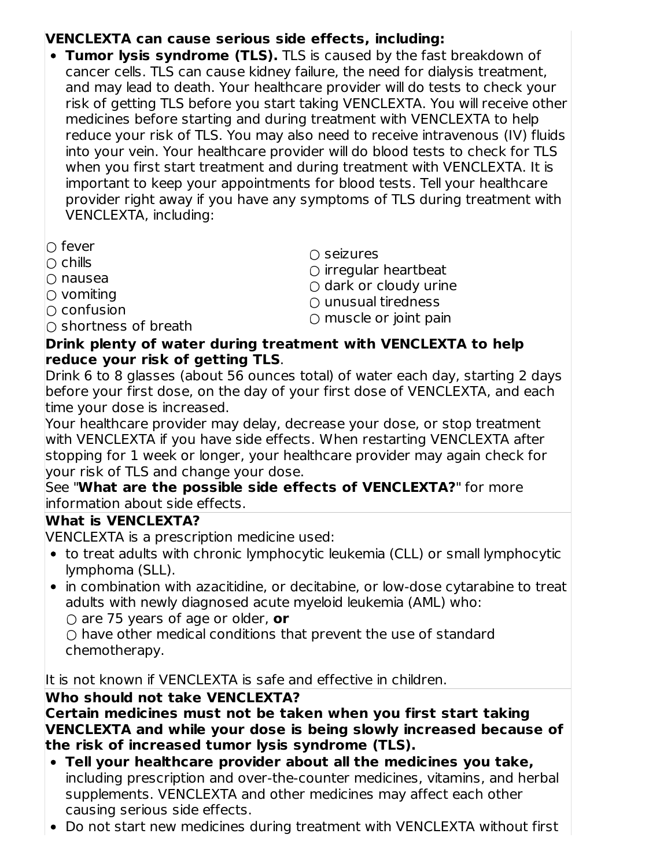# **VENCLEXTA can cause serious side effects, including:**

- **Tumor lysis syndrome (TLS).** TLS is caused by the fast breakdown of cancer cells. TLS can cause kidney failure, the need for dialysis treatment, and may lead to death. Your healthcare provider will do tests to check your risk of getting TLS before you start taking VENCLEXTA. You will receive other medicines before starting and during treatment with VENCLEXTA to help reduce your risk of TLS. You may also need to receive intravenous (IV) fluids into your vein. Your healthcare provider will do blood tests to check for TLS when you first start treatment and during treatment with VENCLEXTA. It is important to keep your appointments for blood tests. Tell your healthcare provider right away if you have any symptoms of TLS during treatment with VENCLEXTA, including:
- fever
- $\cap$  chills
- nausea
- $\circlearrowright$  vomiting
- $\cap$  confusion
- $\cap$  shortness of breath
- seizures
- $\circ$  irregular heartbeat
- $\bigcirc$  dark or cloudy urine
- $\cap$  unusual tiredness
- $\bigcirc$  muscle or joint pain

#### **Drink plenty of water during treatment with VENCLEXTA to help reduce your risk of getting TLS**.

Drink 6 to 8 glasses (about 56 ounces total) of water each day, starting 2 days before your first dose, on the day of your first dose of VENCLEXTA, and each time your dose is increased.

Your healthcare provider may delay, decrease your dose, or stop treatment with VENCLEXTA if you have side effects. When restarting VENCLEXTA after stopping for 1 week or longer, your healthcare provider may again check for your risk of TLS and change your dose.

See "**What are the possible side effects of VENCLEXTA?**" for more information about side effects.

## **What is VENCLEXTA?**

VENCLEXTA is a prescription medicine used:

- to treat adults with chronic lymphocytic leukemia (CLL) or small lymphocytic lymphoma (SLL).
- in combination with azacitidine, or decitabine, or low-dose cytarabine to treat adults with newly diagnosed acute myeloid leukemia (AML) who:

○ are 75 years of age or older, **or**

 $\circ$  have other medical conditions that prevent the use of standard chemotherapy.

It is not known if VENCLEXTA is safe and effective in children.

#### **Who should not take VENCLEXTA?**

**Certain medicines must not be taken when you first start taking VENCLEXTA and while your dose is being slowly increased because of the risk of increased tumor lysis syndrome (TLS).**

- **Tell your healthcare provider about all the medicines you take,** including prescription and over-the-counter medicines, vitamins, and herbal supplements. VENCLEXTA and other medicines may affect each other causing serious side effects.
- Do not start new medicines during treatment with VENCLEXTA without first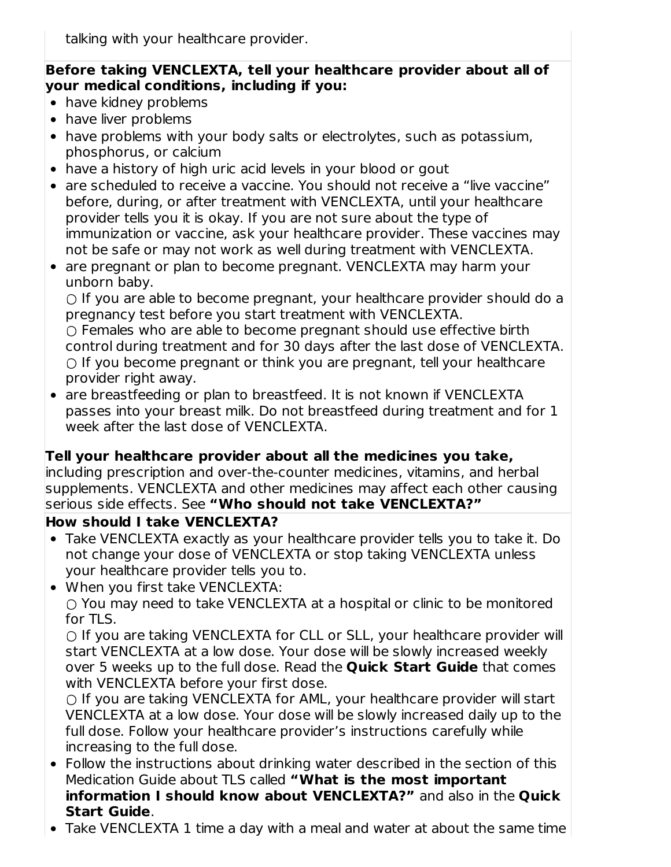talking with your healthcare provider.

#### **Before taking VENCLEXTA, tell your healthcare provider about all of your medical conditions, including if you:**

- have kidney problems
- have liver problems
- have problems with your body salts or electrolytes, such as potassium, phosphorus, or calcium
- have a history of high uric acid levels in your blood or gout
- are scheduled to receive a vaccine. You should not receive a "live vaccine" before, during, or after treatment with VENCLEXTA, until your healthcare provider tells you it is okay. If you are not sure about the type of immunization or vaccine, ask your healthcare provider. These vaccines may not be safe or may not work as well during treatment with VENCLEXTA.
- are pregnant or plan to become pregnant. VENCLEXTA may harm your unborn baby.

 $\circ$  If you are able to become pregnant, your healthcare provider should do a pregnancy test before you start treatment with VENCLEXTA.

○ Females who are able to become pregnant should use effective birth control during treatment and for 30 days after the last dose of VENCLEXTA.  $\circ$  If you become pregnant or think you are pregnant, tell your healthcare provider right away.

• are breastfeeding or plan to breastfeed. It is not known if VENCLEXTA passes into your breast milk. Do not breastfeed during treatment and for 1 week after the last dose of VENCLEXTA.

## **Tell your healthcare provider about all the medicines you take,**

including prescription and over-the-counter medicines, vitamins, and herbal supplements. VENCLEXTA and other medicines may affect each other causing serious side effects. See **"Who should not take VENCLEXTA?"**

## **How should I take VENCLEXTA?**

- Take VENCLEXTA exactly as your healthcare provider tells you to take it. Do not change your dose of VENCLEXTA or stop taking VENCLEXTA unless your healthcare provider tells you to.
- When you first take VENCLEXTA:  $\circ$  You may need to take VENCLEXTA at a hospital or clinic to be monitored for TLS.

○ If you are taking VENCLEXTA for CLL or SLL, your healthcare provider will start VENCLEXTA at a low dose. Your dose will be slowly increased weekly over 5 weeks up to the full dose. Read the **Quick Start Guide** that comes with VENCLEXTA before your first dose.

○ If you are taking VENCLEXTA for AML, your healthcare provider will start VENCLEXTA at a low dose. Your dose will be slowly increased daily up to the full dose. Follow your healthcare provider's instructions carefully while increasing to the full dose.

- Follow the instructions about drinking water described in the section of this Medication Guide about TLS called **"What is the most important information I should know about VENCLEXTA?"** and also in the **Quick Start Guide**.
- Take VENCLEXTA 1 time a day with a meal and water at about the same time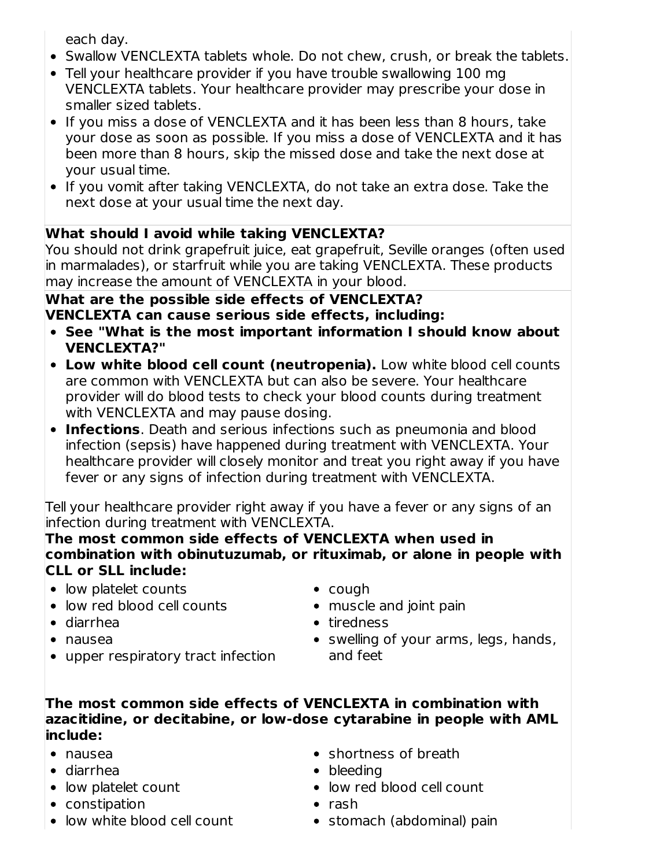each day.

- Swallow VENCLEXTA tablets whole. Do not chew, crush, or break the tablets.
- Tell your healthcare provider if you have trouble swallowing 100 mg VENCLEXTA tablets. Your healthcare provider may prescribe your dose in smaller sized tablets.
- If you miss a dose of VENCLEXTA and it has been less than 8 hours, take your dose as soon as possible. If you miss a dose of VENCLEXTA and it has been more than 8 hours, skip the missed dose and take the next dose at your usual time.
- If you vomit after taking VENCLEXTA, do not take an extra dose. Take the next dose at your usual time the next day.

# **What should I avoid while taking VENCLEXTA?**

You should not drink grapefruit juice, eat grapefruit, Seville oranges (often used in marmalades), or starfruit while you are taking VENCLEXTA. These products may increase the amount of VENCLEXTA in your blood.

#### **What are the possible side effects of VENCLEXTA? VENCLEXTA can cause serious side effects, including:**

- **See "What is the most important information I should know about VENCLEXTA?"**
- **Low white blood cell count (neutropenia).** Low white blood cell counts are common with VENCLEXTA but can also be severe. Your healthcare provider will do blood tests to check your blood counts during treatment with VENCLEXTA and may pause dosing.
- **Infections**. Death and serious infections such as pneumonia and blood infection (sepsis) have happened during treatment with VENCLEXTA. Your healthcare provider will closely monitor and treat you right away if you have fever or any signs of infection during treatment with VENCLEXTA.

Tell your healthcare provider right away if you have a fever or any signs of an infection during treatment with VENCLEXTA.

**The most common side effects of VENCLEXTA when used in combination with obinutuzumab, or rituximab, or alone in people with CLL or SLL include:**

- low platelet counts
- low red blood cell counts
- diarrhea
- nausea
- upper respiratory tract infection
- cough
- muscle and joint pain
- tiredness
- swelling of your arms, legs, hands, and feet

#### **The most common side effects of VENCLEXTA in combination with azacitidine, or decitabine, or low-dose cytarabine in people with AML include:**

- nausea
- diarrhea
- low platelet count
- constipation
- low white blood cell count
- shortness of breath
- bleeding
- low red blood cell count
- $\bullet$  rash
- stomach (abdominal) pain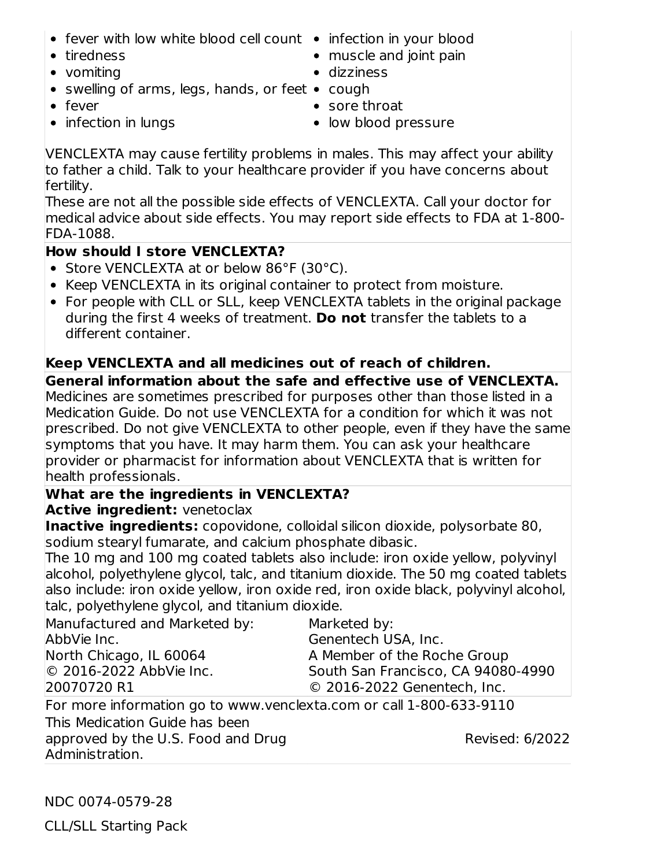- fever with low white blood cell count infection in your blood
- tiredness
- vomiting
- swelling of arms, legs, hands, or feet  $\bullet$  cough
- fever

• sore throat

dizziness

• infection in lungs

• low blood pressure

• muscle and joint pain

VENCLEXTA may cause fertility problems in males. This may affect your ability to father a child. Talk to your healthcare provider if you have concerns about fertility.

These are not all the possible side effects of VENCLEXTA. Call your doctor for medical advice about side effects. You may report side effects to FDA at 1-800- FDA-1088.

# **How should I store VENCLEXTA?**

- Store VENCLEXTA at or below 86°F (30°C).
- Keep VENCLEXTA in its original container to protect from moisture.
- For people with CLL or SLL, keep VENCLEXTA tablets in the original package during the first 4 weeks of treatment. **Do not** transfer the tablets to a different container.

# **Keep VENCLEXTA and all medicines out of reach of children.**

**General information about the safe and effective use of VENCLEXTA.** Medicines are sometimes prescribed for purposes other than those listed in a Medication Guide. Do not use VENCLEXTA for a condition for which it was not prescribed. Do not give VENCLEXTA to other people, even if they have the same symptoms that you have. It may harm them. You can ask your healthcare provider or pharmacist for information about VENCLEXTA that is written for health professionals.

## **What are the ingredients in VENCLEXTA?**

**Active ingredient:** venetoclax

**Inactive ingredients:** copovidone, colloidal silicon dioxide, polysorbate 80, sodium stearyl fumarate, and calcium phosphate dibasic.

The 10 mg and 100 mg coated tablets also include: iron oxide yellow, polyvinyl alcohol, polyethylene glycol, talc, and titanium dioxide. The 50 mg coated tablets also include: iron oxide yellow, iron oxide red, iron oxide black, polyvinyl alcohol, talc, polyethylene glycol, and titanium dioxide.

Manufactured and Marketed by: AbbVie Inc. North Chicago, IL 60064 © 2016-2022 AbbVie Inc. 20070720 R1 Marketed by: Genentech USA, Inc. A Member of the Roche Group South San Francisco, CA 94080-4990 © 2016-2022 Genentech, Inc.

For more information go to www.venclexta.com or call 1-800-633-9110 This Medication Guide has been approved by the U.S. Food and Drug Administration.

Revised: 6/2022

NDC 0074-0579-28

CLL/SLL Starting Pack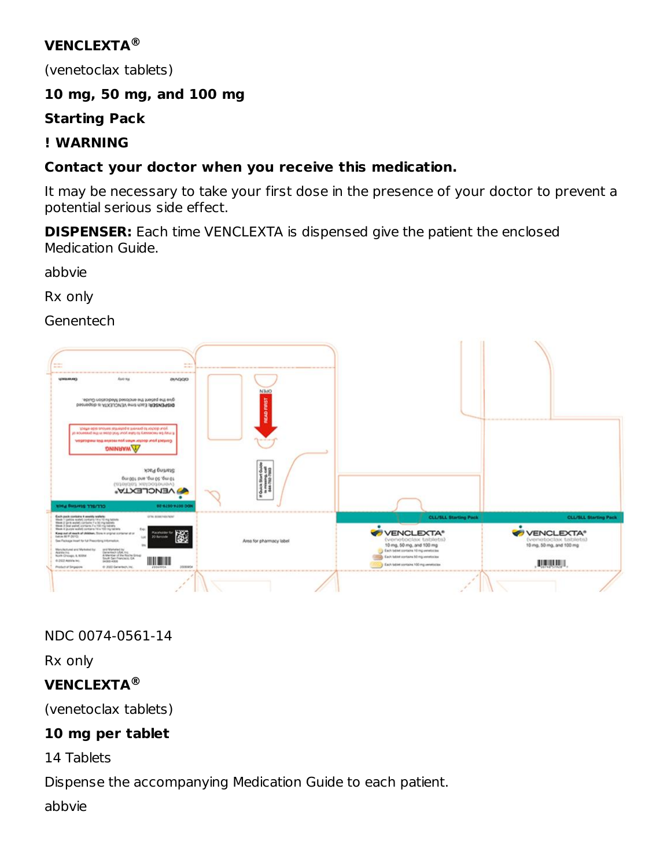# **VENCLEXTA ®**

(venetoclax tablets)

# **10 mg, 50 mg, and 100 mg**

**Starting Pack**

# **! WARNING**

# **Contact your doctor when you receive this medication.**

It may be necessary to take your first dose in the presence of your doctor to prevent a potential serious side effect.

**DISPENSER:** Each time VENCLEXTA is dispensed give the patient the enclosed Medication Guide.

abbvie

Rx only

Genentech



# NDC 0074-0561-14

Rx only

# **VENCLEXTA ®**

(venetoclax tablets)

# **10 mg per tablet**

14 Tablets

Dispense the accompanying Medication Guide to each patient.

abbvie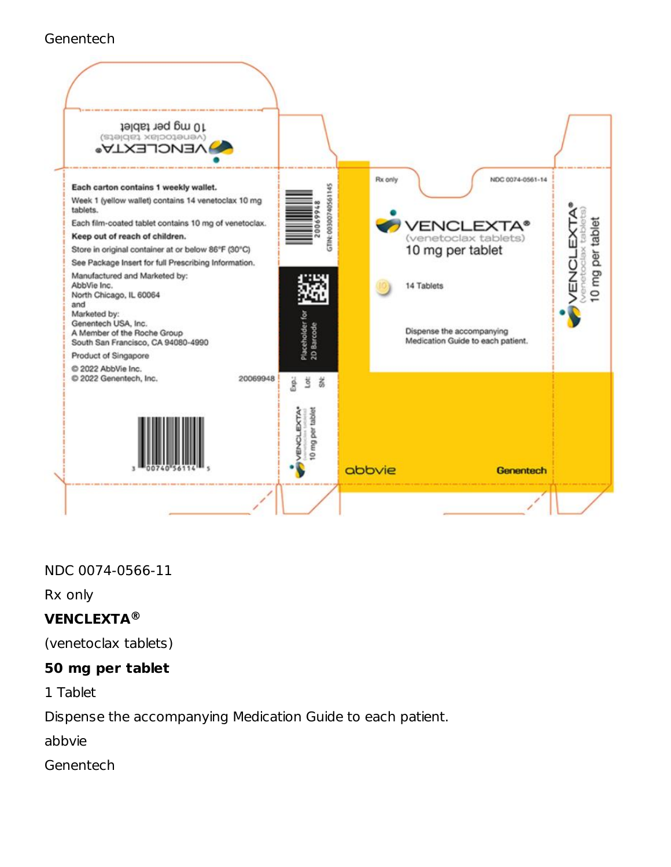#### **Genentech**



## NDC 0074-0566-11

Rx only

# **VENCLEXTA ®**

(venetoclax tablets)

# **50 mg per tablet**

1 Tablet

Dispense the accompanying Medication Guide to each patient.

abbvie

**Genentech**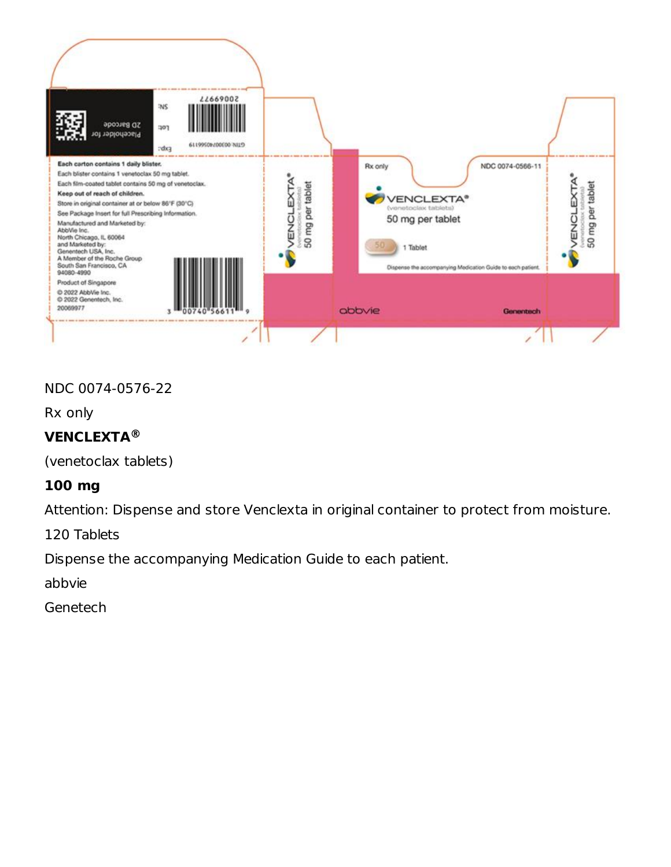

#### NDC 0074-0576-22

Rx only

# **VENCLEXTA ®**

(venetoclax tablets)

## **100 mg**

Attention: Dispense and store Venclexta in original container to protect from moisture.

120 Tablets

Dispense the accompanying Medication Guide to each patient.

abbvie

Genetech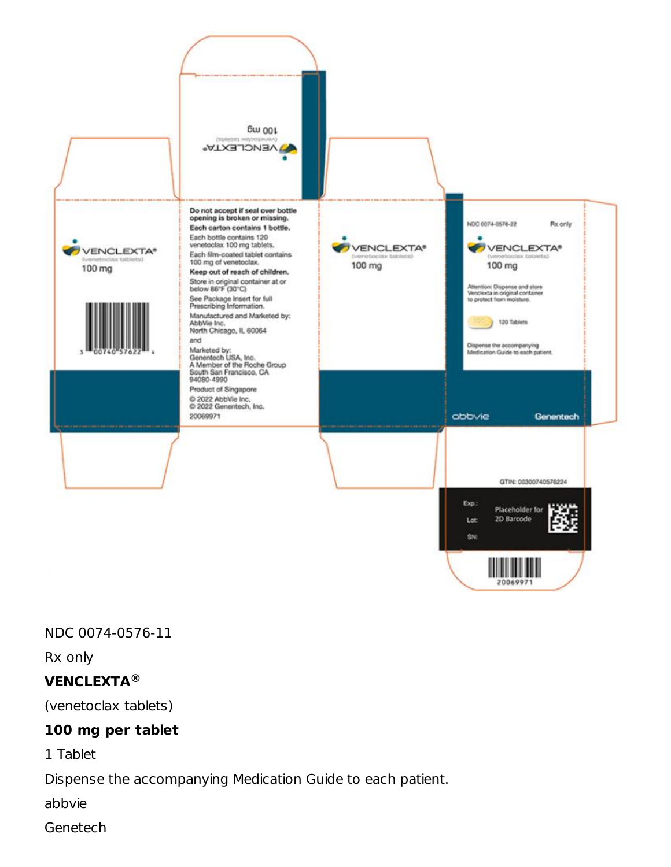

NDC 0074-0576-11

Rx only

#### **VENCLEXTA ®**

(venetoclax tablets)

#### **100 mg per tablet**

1 Tablet

Dispense the accompanying Medication Guide to each patient.

abbvie

Genetech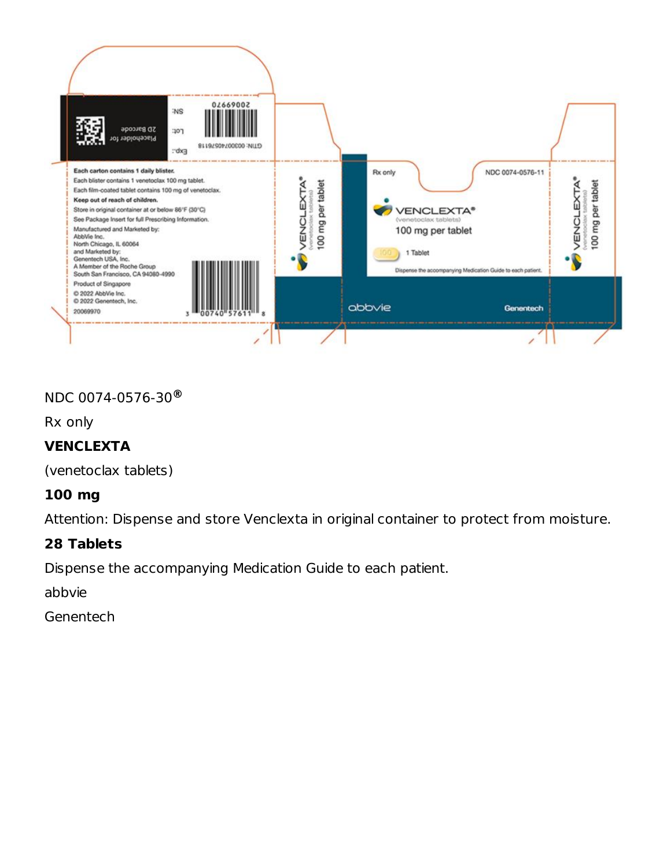

#### NDC 0074-0576-30 **®**

Rx only

## **VENCLEXTA**

(venetoclax tablets)

## **100 mg**

Attention: Dispense and store Venclexta in original container to protect from moisture.

#### **28 Tablets**

Dispense the accompanying Medication Guide to each patient.

abbvie

**Genentech**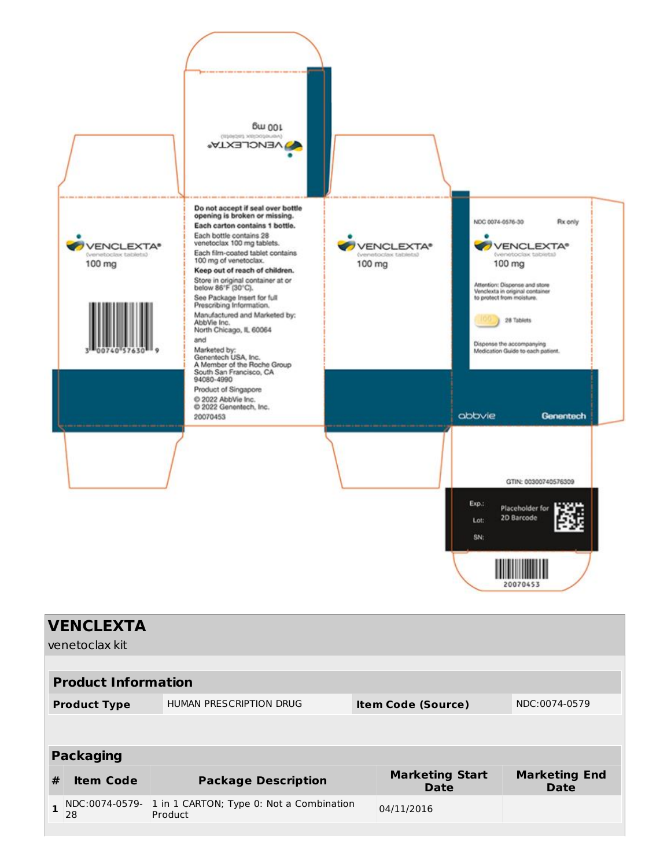

|   | <b>VENCLEXTA</b><br>venetoclax kit                                                                                         |                                                     |  |                                |                                     |  |  |  |
|---|----------------------------------------------------------------------------------------------------------------------------|-----------------------------------------------------|--|--------------------------------|-------------------------------------|--|--|--|
|   | <b>Product Information</b><br>HUMAN PRESCRIPTION DRUG<br>NDC:0074-0579<br><b>Item Code (Source)</b><br><b>Product Type</b> |                                                     |  |                                |                                     |  |  |  |
|   |                                                                                                                            |                                                     |  |                                |                                     |  |  |  |
|   | <b>Packaging</b>                                                                                                           |                                                     |  |                                |                                     |  |  |  |
| # | <b>Item Code</b>                                                                                                           | <b>Package Description</b>                          |  | <b>Marketing Start</b><br>Date | <b>Marketing End</b><br><b>Date</b> |  |  |  |
| 1 | NDC:0074-0579-<br>28                                                                                                       | 1 in 1 CARTON; Type 0: Not a Combination<br>Product |  | 04/11/2016                     |                                     |  |  |  |
|   |                                                                                                                            |                                                     |  |                                |                                     |  |  |  |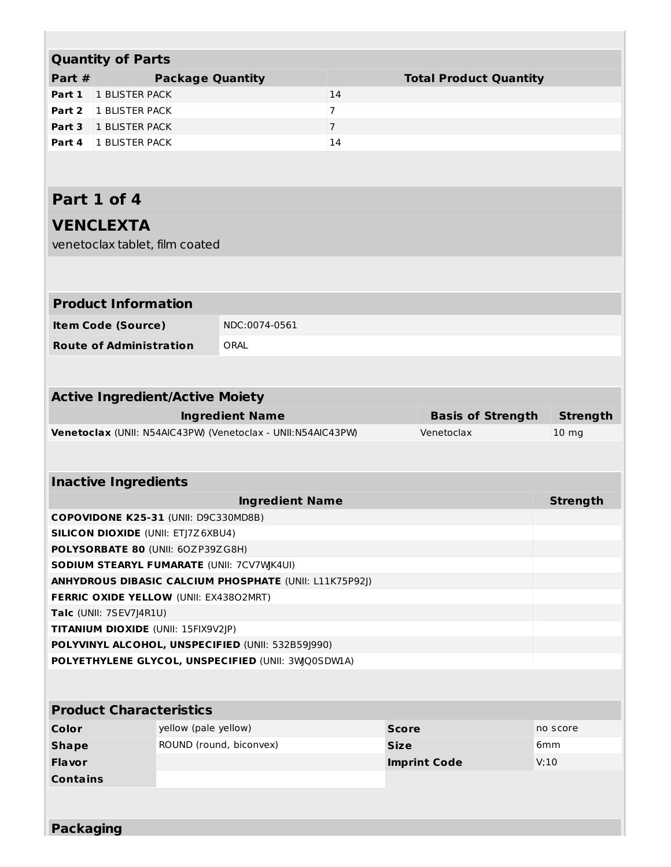|                 | <b>Quantity of Parts</b>                  |                         |                                                              |                |              |                               |                  |
|-----------------|-------------------------------------------|-------------------------|--------------------------------------------------------------|----------------|--------------|-------------------------------|------------------|
| Part #          |                                           | <b>Package Quantity</b> |                                                              |                |              | <b>Total Product Quantity</b> |                  |
| Part 1          | 1 BLISTER PACK                            |                         |                                                              | 14             |              |                               |                  |
| Part 2          | 1 BLISTER PACK                            |                         |                                                              | $\overline{7}$ |              |                               |                  |
|                 | Part 3 1 BLISTER PACK                     |                         |                                                              | $\overline{7}$ |              |                               |                  |
|                 | Part 4 1 BLISTER PACK                     |                         |                                                              | 14             |              |                               |                  |
|                 |                                           |                         |                                                              |                |              |                               |                  |
|                 |                                           |                         |                                                              |                |              |                               |                  |
|                 | Part 1 of 4                               |                         |                                                              |                |              |                               |                  |
|                 | <b>VENCLEXTA</b>                          |                         |                                                              |                |              |                               |                  |
|                 | venetoclax tablet, film coated            |                         |                                                              |                |              |                               |                  |
|                 |                                           |                         |                                                              |                |              |                               |                  |
|                 | <b>Product Information</b>                |                         |                                                              |                |              |                               |                  |
|                 | <b>Item Code (Source)</b>                 |                         | NDC:0074-0561                                                |                |              |                               |                  |
|                 | <b>Route of Administration</b>            |                         | ORAL                                                         |                |              |                               |                  |
|                 |                                           |                         |                                                              |                |              |                               |                  |
|                 |                                           |                         |                                                              |                |              |                               |                  |
|                 | <b>Active Ingredient/Active Moiety</b>    |                         |                                                              |                |              |                               |                  |
|                 |                                           |                         | <b>Ingredient Name</b>                                       |                |              | <b>Basis of Strength</b>      | <b>Strength</b>  |
|                 |                                           |                         | Venetoclax (UNII: N54AIC43PW) (Venetoclax - UNII:N54AIC43PW) |                |              | Venetoclax                    | 10 <sub>mg</sub> |
|                 |                                           |                         |                                                              |                |              |                               |                  |
|                 | <b>Inactive Ingredients</b>               |                         |                                                              |                |              |                               |                  |
|                 |                                           |                         | <b>Ingredient Name</b>                                       |                |              |                               | <b>Strength</b>  |
|                 | COPOVIDONE K25-31 (UNII: D9C330MD8B)      |                         |                                                              |                |              |                               |                  |
|                 | <b>SILICON DIOXIDE (UNII: ETJ7Z6XBU4)</b> |                         |                                                              |                |              |                               |                  |
|                 | POLYSORBATE 80 (UNII: 60ZP39ZG8H)         |                         |                                                              |                |              |                               |                  |
|                 |                                           |                         | SODIUM STEARYL FUMARATE (UNII: 7CV7WK4UI)                    |                |              |                               |                  |
|                 |                                           |                         | ANHYDROUS DIBASIC CALCIUM PHOSPHATE (UNII: L11K75P92J)       |                |              |                               |                  |
|                 | FERRIC OXIDE YELLOW (UNII: EX43802MRT)    |                         |                                                              |                |              |                               |                  |
|                 | Talc (UNII: 7SEV7J4R1U)                   |                         |                                                              |                |              |                               |                  |
|                 | TITANIUM DIOXIDE (UNII: 15FIX9V2JP)       |                         |                                                              |                |              |                               |                  |
|                 |                                           |                         | POLYVINYL ALCOHOL, UNSPECIFIED (UNII: 532B59J990)            |                |              |                               |                  |
|                 |                                           |                         | POLYETHYLENE GLYCOL, UNSPECIFIED (UNII: 3WQ0SDW1A)           |                |              |                               |                  |
|                 |                                           |                         |                                                              |                |              |                               |                  |
|                 | <b>Product Characteristics</b>            |                         |                                                              |                |              |                               |                  |
| Color           |                                           | yellow (pale yellow)    |                                                              |                | <b>Score</b> |                               | no score         |
| <b>Shape</b>    |                                           |                         | ROUND (round, biconvex)                                      |                | <b>Size</b>  |                               | 6mm              |
| <b>Flavor</b>   |                                           |                         |                                                              |                |              | <b>Imprint Code</b>           | V:10             |
| <b>Contains</b> |                                           |                         |                                                              |                |              |                               |                  |
|                 |                                           |                         |                                                              |                |              |                               |                  |
|                 |                                           |                         |                                                              |                |              |                               |                  |
|                 | <b>Packaging</b>                          |                         |                                                              |                |              |                               |                  |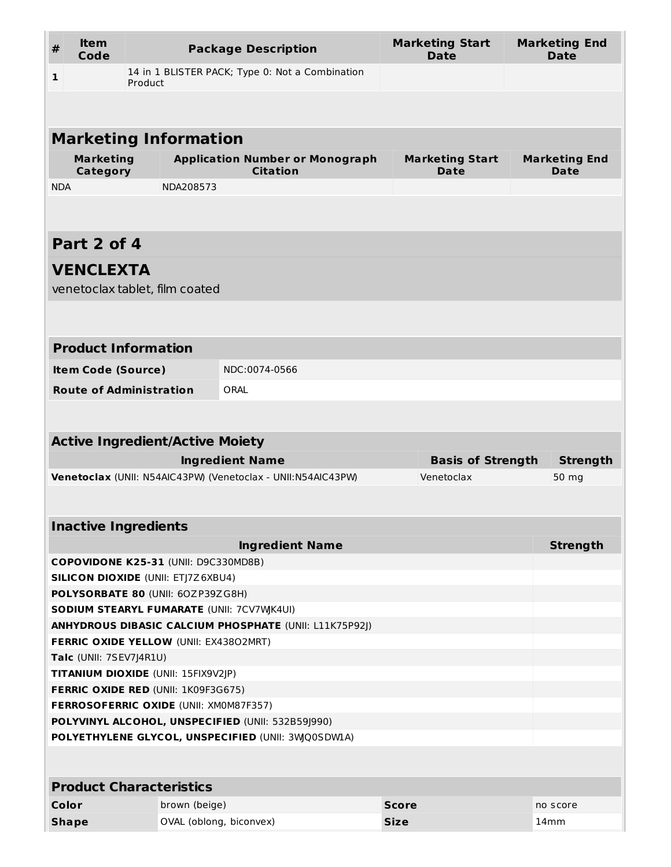| #            | <b>Item</b><br>Code                 |                                                                                   | <b>Package Description</b>                                    | <b>Marketing Start</b><br><b>Date</b> | <b>Marketing End</b><br><b>Date</b> |
|--------------|-------------------------------------|-----------------------------------------------------------------------------------|---------------------------------------------------------------|---------------------------------------|-------------------------------------|
| 1            |                                     | Product                                                                           | 14 in 1 BLISTER PACK; Type 0: Not a Combination               |                                       |                                     |
|              |                                     |                                                                                   |                                                               |                                       |                                     |
|              |                                     | <b>Marketing Information</b>                                                      |                                                               |                                       |                                     |
|              |                                     |                                                                                   |                                                               |                                       |                                     |
|              | <b>Marketing</b><br><b>Category</b> |                                                                                   | <b>Application Number or Monograph</b><br><b>Citation</b>     | <b>Marketing Start</b><br>Date        | <b>Marketing End</b><br>Date        |
| <b>NDA</b>   |                                     | NDA208573                                                                         |                                                               |                                       |                                     |
|              |                                     |                                                                                   |                                                               |                                       |                                     |
|              | Part 2 of 4                         |                                                                                   |                                                               |                                       |                                     |
|              | <b>VENCLEXTA</b>                    |                                                                                   |                                                               |                                       |                                     |
|              |                                     | venetoclax tablet, film coated                                                    |                                                               |                                       |                                     |
|              |                                     |                                                                                   |                                                               |                                       |                                     |
|              |                                     |                                                                                   |                                                               |                                       |                                     |
|              |                                     | <b>Product Information</b>                                                        |                                                               |                                       |                                     |
|              | <b>Item Code (Source)</b>           |                                                                                   | NDC:0074-0566                                                 |                                       |                                     |
|              |                                     | <b>Route of Administration</b>                                                    | ORAL                                                          |                                       |                                     |
|              |                                     |                                                                                   |                                                               |                                       |                                     |
|              |                                     | <b>Active Ingredient/Active Moiety</b>                                            |                                                               |                                       |                                     |
|              |                                     |                                                                                   | <b>Ingredient Name</b>                                        | <b>Basis of Strength</b>              | <b>Strength</b>                     |
|              |                                     |                                                                                   | Venetoclax (UNII: N54AIC43PW) (Venetoclax - UNII:N54AIC43PW)  | Venetoclax                            | 50 mg                               |
|              |                                     |                                                                                   |                                                               |                                       |                                     |
|              |                                     | <b>Inactive Ingredients</b>                                                       |                                                               |                                       |                                     |
|              |                                     |                                                                                   |                                                               |                                       |                                     |
|              |                                     |                                                                                   | <b>Ingredient Name</b>                                        |                                       | <b>Strength</b>                     |
|              |                                     | COPOVIDONE K25-31 (UNII: D9C330MD8B)<br><b>SILICON DIOXIDE (UNII: ETJ7Z6XBU4)</b> |                                                               |                                       |                                     |
|              |                                     | POLYSORBATE 80 (UNII: 60ZP39ZG8H)                                                 |                                                               |                                       |                                     |
|              |                                     | <b>SODIUM STEARYL FUMARATE (UNII: 7CV7WJK4UI)</b>                                 |                                                               |                                       |                                     |
|              |                                     |                                                                                   | <b>ANHYDROUS DIBASIC CALCIUM PHOSPHATE (UNII: L11K75P92J)</b> |                                       |                                     |
|              |                                     | FERRIC OXIDE YELLOW (UNII: EX43802MRT)                                            |                                                               |                                       |                                     |
|              | Talc (UNII: 7SEV7J4R1U)             |                                                                                   |                                                               |                                       |                                     |
|              |                                     | TITANIUM DIOXIDE (UNII: 15FIX9V2JP)                                               |                                                               |                                       |                                     |
|              |                                     | FERRIC OXIDE RED (UNII: 1K09F3G675)                                               |                                                               |                                       |                                     |
|              |                                     | FERROSOFERRIC OXIDE (UNII: XM0M87F357)                                            | POLYVINYL ALCOHOL, UNSPECIFIED (UNII: 532B59J990)             |                                       |                                     |
|              |                                     |                                                                                   | POLYETHYLENE GLYCOL, UNSPECIFIED (UNII: 3WQ0SDWIA)            |                                       |                                     |
|              |                                     |                                                                                   |                                                               |                                       |                                     |
|              |                                     |                                                                                   |                                                               |                                       |                                     |
|              |                                     | <b>Product Characteristics</b>                                                    |                                                               |                                       |                                     |
| <b>Color</b> |                                     | brown (beige)                                                                     |                                                               | <b>Score</b>                          | no score                            |
| <b>Shape</b> |                                     |                                                                                   | OVAL (oblong, biconvex)                                       | <b>Size</b>                           | 14mm                                |

.,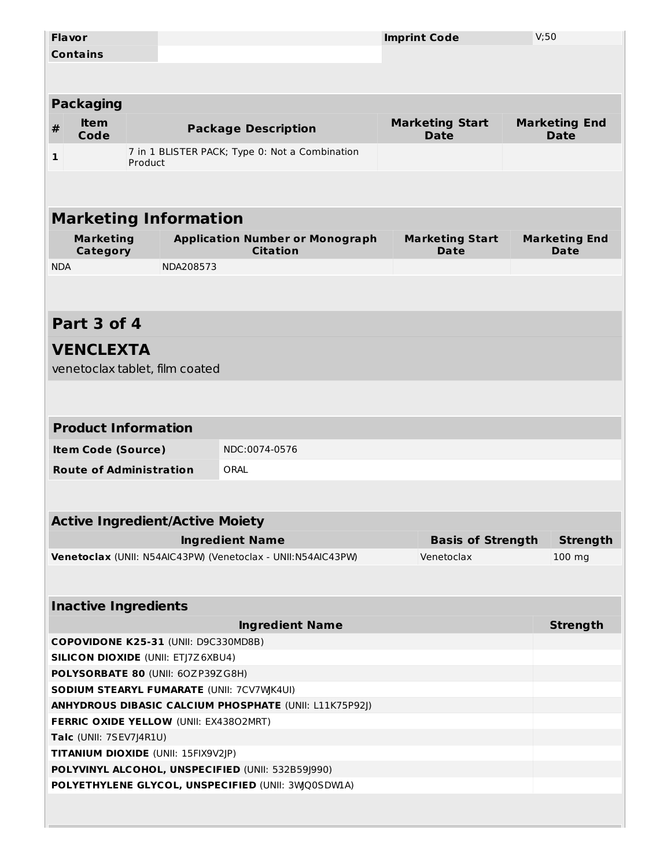|                 | <b>Flavor</b>                              |         |                                                |                                                              |  | <b>Imprint Code</b>                   | V;50 |                                     |  |
|-----------------|--------------------------------------------|---------|------------------------------------------------|--------------------------------------------------------------|--|---------------------------------------|------|-------------------------------------|--|
| <b>Contains</b> |                                            |         |                                                |                                                              |  |                                       |      |                                     |  |
|                 |                                            |         |                                                |                                                              |  |                                       |      |                                     |  |
|                 |                                            |         |                                                |                                                              |  |                                       |      |                                     |  |
|                 | <b>Packaging</b>                           |         |                                                |                                                              |  |                                       |      |                                     |  |
| $\pmb{\#}$      | <b>Item</b><br>Code                        |         |                                                | <b>Package Description</b>                                   |  | <b>Marketing Start</b><br><b>Date</b> |      | <b>Marketing End</b><br><b>Date</b> |  |
| 1               |                                            | Product | 7 in 1 BLISTER PACK; Type 0: Not a Combination |                                                              |  |                                       |      |                                     |  |
|                 |                                            |         |                                                |                                                              |  |                                       |      |                                     |  |
|                 |                                            |         | <b>Marketing Information</b>                   |                                                              |  |                                       |      |                                     |  |
|                 |                                            |         |                                                |                                                              |  |                                       |      |                                     |  |
|                 | <b>Marketing</b><br>Category               |         |                                                | <b>Application Number or Monograph</b><br><b>Citation</b>    |  | <b>Marketing Start</b><br>Date        |      | <b>Marketing End</b><br><b>Date</b> |  |
| <b>NDA</b>      |                                            |         | NDA208573                                      |                                                              |  |                                       |      |                                     |  |
|                 |                                            |         |                                                |                                                              |  |                                       |      |                                     |  |
|                 | Part 3 of 4                                |         |                                                |                                                              |  |                                       |      |                                     |  |
|                 |                                            |         |                                                |                                                              |  |                                       |      |                                     |  |
|                 | <b>VENCLEXTA</b>                           |         |                                                |                                                              |  |                                       |      |                                     |  |
|                 |                                            |         | venetoclax tablet, film coated                 |                                                              |  |                                       |      |                                     |  |
|                 |                                            |         |                                                |                                                              |  |                                       |      |                                     |  |
|                 |                                            |         |                                                |                                                              |  |                                       |      |                                     |  |
|                 | <b>Product Information</b>                 |         |                                                |                                                              |  |                                       |      |                                     |  |
|                 | <b>Item Code (Source)</b>                  |         |                                                | NDC:0074-0576                                                |  |                                       |      |                                     |  |
|                 | <b>Route of Administration</b>             |         |                                                | ORAL                                                         |  |                                       |      |                                     |  |
|                 |                                            |         |                                                |                                                              |  |                                       |      |                                     |  |
|                 |                                            |         |                                                |                                                              |  |                                       |      |                                     |  |
|                 |                                            |         | <b>Active Ingredient/Active Moiety</b>         |                                                              |  |                                       |      |                                     |  |
|                 |                                            |         |                                                | <b>Ingredient Name</b>                                       |  | <b>Basis of Strength</b>              |      | <b>Strength</b>                     |  |
|                 |                                            |         |                                                | Venetoclax (UNII: N54AIC43PW) (Venetoclax - UNII:N54AIC43PW) |  | Venetoclax                            |      | $100$ mg                            |  |
|                 |                                            |         |                                                |                                                              |  |                                       |      |                                     |  |
|                 | <b>Inactive Ingredients</b>                |         |                                                |                                                              |  |                                       |      |                                     |  |
|                 |                                            |         |                                                | <b>Ingredient Name</b>                                       |  |                                       |      | <b>Strength</b>                     |  |
|                 |                                            |         | COPOVIDONE K25-31 (UNII: D9C330MD8B)           |                                                              |  |                                       |      |                                     |  |
|                 |                                            |         | <b>SILICON DIOXIDE (UNII: ETJ7Z6XBU4)</b>      |                                                              |  |                                       |      |                                     |  |
|                 |                                            |         | POLYSORBATE 80 (UNII: 60ZP39ZG8H)              |                                                              |  |                                       |      |                                     |  |
|                 | SODIUM STEARYL FUMARATE (UNII: 7CV7WJK4UI) |         |                                                |                                                              |  |                                       |      |                                     |  |
|                 |                                            |         |                                                | ANHYDROUS DIBASIC CALCIUM PHOSPHATE (UNII: L11K75P92J)       |  |                                       |      |                                     |  |
|                 |                                            |         | FERRIC OXIDE YELLOW (UNII: EX43802MRT)         |                                                              |  |                                       |      |                                     |  |
|                 | Talc (UNII: 7SEV7J4R1U)                    |         |                                                |                                                              |  |                                       |      |                                     |  |
|                 |                                            |         | TITANIUM DIOXIDE (UNII: 15FIX9V2JP)            |                                                              |  |                                       |      |                                     |  |
|                 |                                            |         |                                                | POLYVINYL ALCOHOL, UNSPECIFIED (UNII: 532B59J990)            |  |                                       |      |                                     |  |
|                 |                                            |         |                                                | POLYETHYLENE GLYCOL, UNSPECIFIED (UNII: 3WQ0SDW1A)           |  |                                       |      |                                     |  |
|                 |                                            |         |                                                |                                                              |  |                                       |      |                                     |  |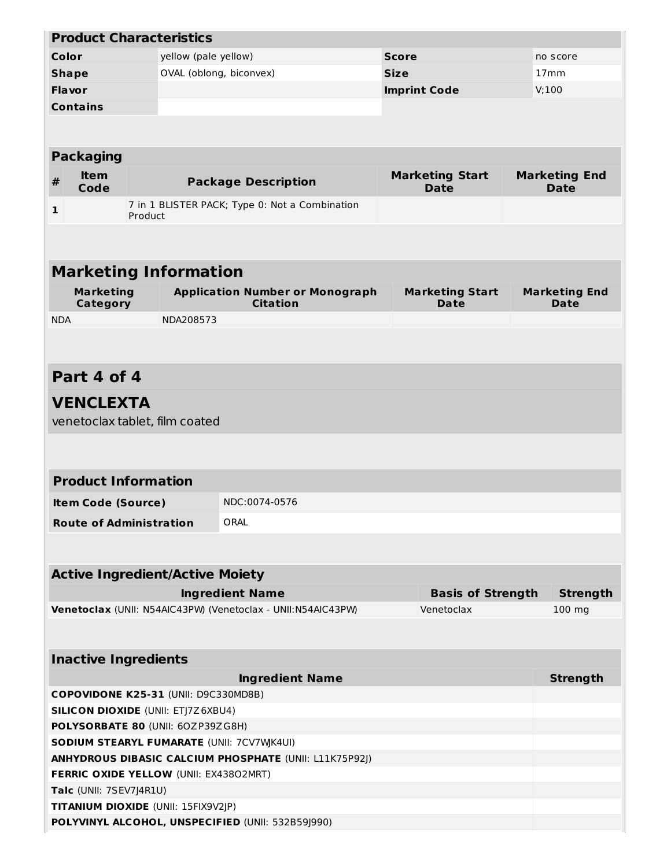|              |                                                   | <b>Product Characteristics</b>             |                                                               |                                       |  |                                     |  |
|--------------|---------------------------------------------------|--------------------------------------------|---------------------------------------------------------------|---------------------------------------|--|-------------------------------------|--|
| Color        |                                                   | no score                                   |                                                               |                                       |  |                                     |  |
| <b>Shape</b> |                                                   |                                            | OVAL (oblong, biconvex)                                       | <b>Size</b>                           |  | 17 <sub>mm</sub>                    |  |
| Flavor       |                                                   |                                            |                                                               | <b>Imprint Code</b>                   |  | V;100                               |  |
|              | <b>Contains</b>                                   |                                            |                                                               |                                       |  |                                     |  |
|              |                                                   |                                            |                                                               |                                       |  |                                     |  |
|              |                                                   |                                            |                                                               |                                       |  |                                     |  |
|              | <b>Packaging</b>                                  |                                            |                                                               |                                       |  |                                     |  |
| $\pmb{\#}$   | <b>Item</b><br>Code                               |                                            | <b>Package Description</b>                                    | <b>Marketing Start</b><br><b>Date</b> |  | <b>Marketing End</b><br><b>Date</b> |  |
| $\mathbf{1}$ |                                                   | Product                                    | 7 in 1 BLISTER PACK; Type 0: Not a Combination                |                                       |  |                                     |  |
|              |                                                   |                                            |                                                               |                                       |  |                                     |  |
|              |                                                   |                                            |                                                               |                                       |  |                                     |  |
|              |                                                   | <b>Marketing Information</b>               |                                                               |                                       |  |                                     |  |
|              | <b>Marketing</b>                                  |                                            | <b>Application Number or Monograph</b>                        |                                       |  | <b>Marketing End</b>                |  |
|              | <b>Category</b>                                   |                                            | <b>Citation</b>                                               | <b>Marketing Start</b><br>Date        |  | <b>Date</b>                         |  |
| <b>NDA</b>   |                                                   | NDA208573                                  |                                                               |                                       |  |                                     |  |
|              |                                                   |                                            |                                                               |                                       |  |                                     |  |
|              |                                                   |                                            |                                                               |                                       |  |                                     |  |
|              | Part 4 of 4                                       |                                            |                                                               |                                       |  |                                     |  |
|              |                                                   |                                            |                                                               |                                       |  |                                     |  |
|              | <b>VENCLEXTA</b>                                  |                                            |                                                               |                                       |  |                                     |  |
|              |                                                   | venetoclax tablet, film coated             |                                                               |                                       |  |                                     |  |
|              |                                                   |                                            |                                                               |                                       |  |                                     |  |
|              |                                                   |                                            |                                                               |                                       |  |                                     |  |
|              |                                                   | <b>Product Information</b>                 |                                                               |                                       |  |                                     |  |
|              | <b>Item Code (Source)</b>                         |                                            | NDC:0074-0576                                                 |                                       |  |                                     |  |
|              |                                                   | <b>Route of Administration</b>             | ORAL                                                          |                                       |  |                                     |  |
|              |                                                   |                                            |                                                               |                                       |  |                                     |  |
|              |                                                   |                                            |                                                               |                                       |  |                                     |  |
|              |                                                   | <b>Active Ingredient/Active Moiety</b>     |                                                               |                                       |  |                                     |  |
|              |                                                   |                                            | <b>Ingredient Name</b>                                        | <b>Basis of Strength</b>              |  | <b>Strength</b>                     |  |
|              |                                                   |                                            | Venetoclax (UNII: N54AIC43PW) (Venetoclax - UNII:N54AIC43PW)  | Venetoclax                            |  | 100 mg                              |  |
|              |                                                   |                                            |                                                               |                                       |  |                                     |  |
|              |                                                   |                                            |                                                               |                                       |  |                                     |  |
|              |                                                   | <b>Inactive Ingredients</b>                |                                                               |                                       |  |                                     |  |
|              |                                                   |                                            | <b>Ingredient Name</b>                                        |                                       |  | <b>Strength</b>                     |  |
|              |                                                   | COPOVIDONE K25-31 (UNII: D9C330MD8B)       |                                                               |                                       |  |                                     |  |
|              |                                                   | <b>SILICON DIOXIDE (UNII: ETJ7Z6XBU4)</b>  |                                                               |                                       |  |                                     |  |
|              |                                                   | POLYSORBATE 80 (UNII: 60ZP39ZG8H)          |                                                               |                                       |  |                                     |  |
|              |                                                   | SODIUM STEARYL FUMARATE (UNII: 7CV7WJK4UI) |                                                               |                                       |  |                                     |  |
|              |                                                   |                                            | <b>ANHYDROUS DIBASIC CALCIUM PHOSPHATE (UNII: L11K75P92J)</b> |                                       |  |                                     |  |
|              |                                                   | FERRIC OXIDE YELLOW (UNII: EX43802MRT)     |                                                               |                                       |  |                                     |  |
|              | Talc (UNII: 7SEV7J4R1U)                           | TITANIUM DIOXIDE (UNII: 15FIX9V2JP)        |                                                               |                                       |  |                                     |  |
|              |                                                   |                                            |                                                               |                                       |  |                                     |  |
|              | POLYVINYL ALCOHOL, UNSPECIFIED (UNII: 532B59J990) |                                            |                                                               |                                       |  |                                     |  |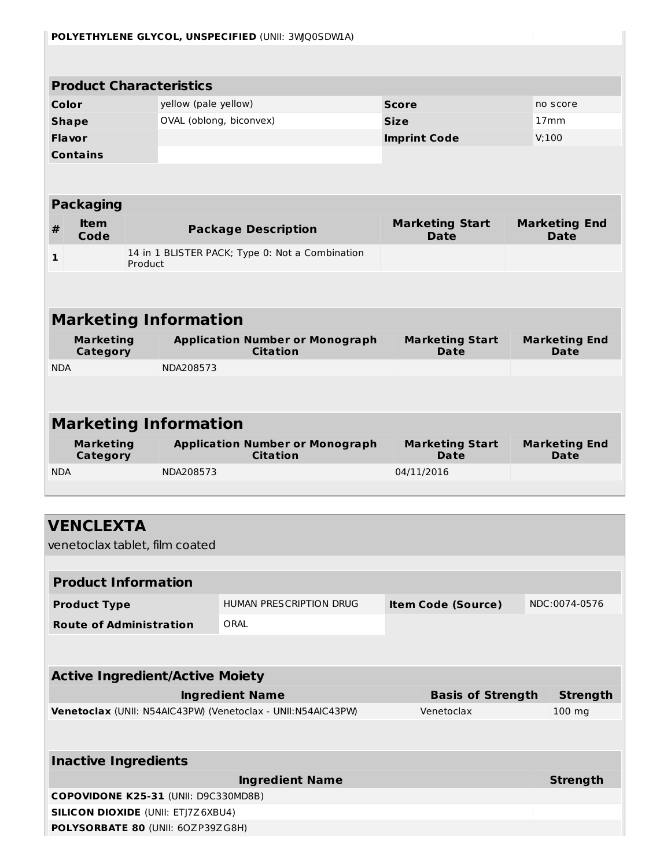|                              | POLYETHYLENE GLYCOL, UNSPECIFIED (UNII: 3WQ0SDWIA) |         |                                                                                   |                                                                                        |                     |                                        |       |                                     |  |
|------------------------------|----------------------------------------------------|---------|-----------------------------------------------------------------------------------|----------------------------------------------------------------------------------------|---------------------|----------------------------------------|-------|-------------------------------------|--|
|                              |                                                    |         |                                                                                   |                                                                                        |                     |                                        |       |                                     |  |
|                              | <b>Product Characteristics</b>                     |         |                                                                                   |                                                                                        |                     |                                        |       |                                     |  |
| Color                        |                                                    |         | yellow (pale yellow)                                                              |                                                                                        | <b>Score</b>        |                                        |       | no score                            |  |
|                              | <b>Shape</b>                                       |         | OVAL (oblong, biconvex)                                                           |                                                                                        | <b>Size</b>         |                                        |       | 17 <sub>mm</sub>                    |  |
| Flavor                       |                                                    |         |                                                                                   |                                                                                        | <b>Imprint Code</b> |                                        | V;100 |                                     |  |
|                              | <b>Contains</b>                                    |         |                                                                                   |                                                                                        |                     |                                        |       |                                     |  |
|                              |                                                    |         |                                                                                   |                                                                                        |                     |                                        |       |                                     |  |
|                              | <b>Packaging</b>                                   |         |                                                                                   |                                                                                        |                     |                                        |       |                                     |  |
| $\pmb{\#}$                   | <b>Item</b><br>Code                                |         |                                                                                   | <b>Package Description</b>                                                             |                     | <b>Marketing Start</b><br><b>Date</b>  |       | <b>Marketing End</b><br><b>Date</b> |  |
| $\mathbf{1}$                 |                                                    | Product |                                                                                   | 14 in 1 BLISTER PACK; Type 0: Not a Combination                                        |                     |                                        |       |                                     |  |
|                              |                                                    |         |                                                                                   |                                                                                        |                     |                                        |       |                                     |  |
|                              |                                                    |         | <b>Marketing Information</b>                                                      |                                                                                        |                     |                                        |       |                                     |  |
|                              | <b>Marketing</b>                                   |         |                                                                                   | <b>Application Number or Monograph</b>                                                 |                     | <b>Marketing Start</b>                 |       | <b>Marketing End</b>                |  |
|                              | <b>Category</b>                                    |         |                                                                                   | <b>Citation</b>                                                                        |                     | <b>Date</b>                            |       | <b>Date</b>                         |  |
| <b>NDA</b>                   |                                                    |         | NDA208573                                                                         |                                                                                        |                     |                                        |       |                                     |  |
|                              |                                                    |         |                                                                                   |                                                                                        |                     |                                        |       |                                     |  |
| <b>Marketing Information</b> |                                                    |         |                                                                                   |                                                                                        |                     |                                        |       |                                     |  |
|                              |                                                    |         |                                                                                   |                                                                                        |                     |                                        |       |                                     |  |
|                              | <b>Marketing</b><br>Category                       |         |                                                                                   | <b>Application Number or Monograph</b><br><b>Citation</b>                              |                     | <b>Marketing Start</b><br><b>Date</b>  |       | <b>Marketing End</b><br>Date        |  |
| <b>NDA</b>                   |                                                    |         | NDA208573                                                                         |                                                                                        |                     | 04/11/2016                             |       |                                     |  |
|                              |                                                    |         |                                                                                   |                                                                                        |                     |                                        |       |                                     |  |
|                              |                                                    |         |                                                                                   |                                                                                        |                     |                                        |       |                                     |  |
|                              | <b>VENCLEXTA</b>                                   |         |                                                                                   |                                                                                        |                     |                                        |       |                                     |  |
|                              |                                                    |         | venetoclax tablet, film coated                                                    |                                                                                        |                     |                                        |       |                                     |  |
|                              | <b>Product Information</b>                         |         |                                                                                   |                                                                                        |                     |                                        |       |                                     |  |
|                              | <b>Product Type</b>                                |         |                                                                                   | HUMAN PRESCRIPTION DRUG                                                                |                     | <b>Item Code (Source)</b>              |       | NDC:0074-0576                       |  |
|                              | <b>Route of Administration</b>                     |         |                                                                                   | ORAL                                                                                   |                     |                                        |       |                                     |  |
|                              |                                                    |         |                                                                                   |                                                                                        |                     |                                        |       |                                     |  |
|                              |                                                    |         |                                                                                   |                                                                                        |                     |                                        |       |                                     |  |
|                              |                                                    |         | <b>Active Ingredient/Active Moiety</b>                                            |                                                                                        |                     |                                        |       |                                     |  |
|                              |                                                    |         |                                                                                   | <b>Ingredient Name</b><br>Venetoclax (UNII: N54AIC43PW) (Venetoclax - UNII:N54AIC43PW) |                     | <b>Basis of Strength</b><br>Venetoclax |       | <b>Strength</b><br>$100$ mg         |  |
|                              |                                                    |         |                                                                                   |                                                                                        |                     |                                        |       |                                     |  |
|                              |                                                    |         |                                                                                   |                                                                                        |                     |                                        |       |                                     |  |
|                              | <b>Inactive Ingredients</b>                        |         |                                                                                   |                                                                                        |                     |                                        |       |                                     |  |
|                              |                                                    |         |                                                                                   | <b>Ingredient Name</b>                                                                 |                     |                                        |       | <b>Strength</b>                     |  |
|                              |                                                    |         | COPOVIDONE K25-31 (UNII: D9C330MD8B)<br><b>SILICON DIOXIDE (UNII: ETJ7Z6XBU4)</b> |                                                                                        |                     |                                        |       |                                     |  |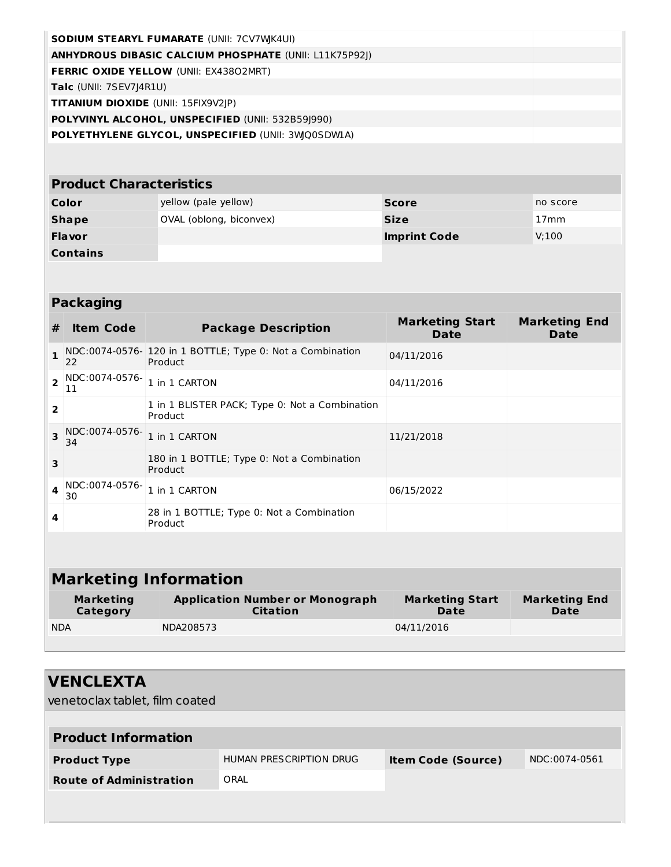| <b>SODIUM STEARYL FUMARATE (UNII: 7CV7WK4UI)</b>              |  |
|---------------------------------------------------------------|--|
| <b>ANHYDROUS DIBASIC CALCIUM PHOSPHATE (UNII: L11K75P92J)</b> |  |
| <b>FERRIC OXIDE YELLOW (UNII: EX43802MRT)</b>                 |  |
| <b>Talc</b> (UNII: $7SEV7 4R1U$ )                             |  |
| <b>TITANIUM DIOXIDE</b> (UNII: 15FIX9V2JP)                    |  |
| POLYVINYL ALCOHOL, UNSPECIFIED (UNII: 532B591990)             |  |
| POLYETHYLENE GLYCOL, UNSPECIFIED (UNII: 3WQ0SDW1A)            |  |

# **Product Characteristics**

| Color           | yellow (pale yellow)    | <b>Score</b>        | no score         |
|-----------------|-------------------------|---------------------|------------------|
| <b>Shape</b>    | OVAL (oblong, biconvex) | <b>Size</b>         | 17 <sub>mm</sub> |
| <b>Flavor</b>   |                         | <b>Imprint Code</b> | V:100            |
| <b>Contains</b> |                         |                     |                  |

| <b>Packaging</b>             |                              |                                                                      |                                |                              |  |  |
|------------------------------|------------------------------|----------------------------------------------------------------------|--------------------------------|------------------------------|--|--|
| #                            | <b>Item Code</b>             | <b>Package Description</b>                                           | <b>Marketing Start</b><br>Date | <b>Marketing End</b><br>Date |  |  |
| $\mathbf{1}$                 | 22                           | NDC:0074-0576- 120 in 1 BOTTLE; Type 0: Not a Combination<br>Product | 04/11/2016                     |                              |  |  |
| $\overline{\mathbf{2}}$      | NDC:0074-0576-<br>11         | 1 in 1 CARTON                                                        | 04/11/2016                     |                              |  |  |
| $\overline{2}$               |                              | 1 in 1 BLISTER PACK; Type 0: Not a Combination<br>Product            |                                |                              |  |  |
| 3                            | NDC:0074-0576-<br>34         | 1 in 1 CARTON                                                        | 11/21/2018                     |                              |  |  |
| 3                            |                              | 180 in 1 BOTTLE; Type 0: Not a Combination<br>Product                |                                |                              |  |  |
| 4                            | NDC:0074-0576-<br>30         | 1 in 1 CARTON                                                        | 06/15/2022                     |                              |  |  |
| 4                            |                              | 28 in 1 BOTTLE; Type 0: Not a Combination<br>Product                 |                                |                              |  |  |
|                              |                              |                                                                      |                                |                              |  |  |
| <b>Marketing Information</b> |                              |                                                                      |                                |                              |  |  |
|                              | <b>Marketing</b><br>Category | <b>Application Number or Monograph</b><br><b>Citation</b>            | <b>Marketing Start</b><br>Date | <b>Marketing End</b><br>Date |  |  |
| <b>NDA</b>                   |                              | NDA208573                                                            | 04/11/2016                     |                              |  |  |

| <b>VENCLEXTA</b><br>venetoclax tablet, film coated |                                |                           |               |  |  |
|----------------------------------------------------|--------------------------------|---------------------------|---------------|--|--|
| <b>Product Information</b>                         |                                |                           |               |  |  |
| <b>Product Type</b>                                | <b>HUMAN PRESCRIPTION DRUG</b> | <b>Item Code (Source)</b> | NDC:0074-0561 |  |  |
| <b>Route of Administration</b>                     | ORAL                           |                           |               |  |  |
|                                                    |                                |                           |               |  |  |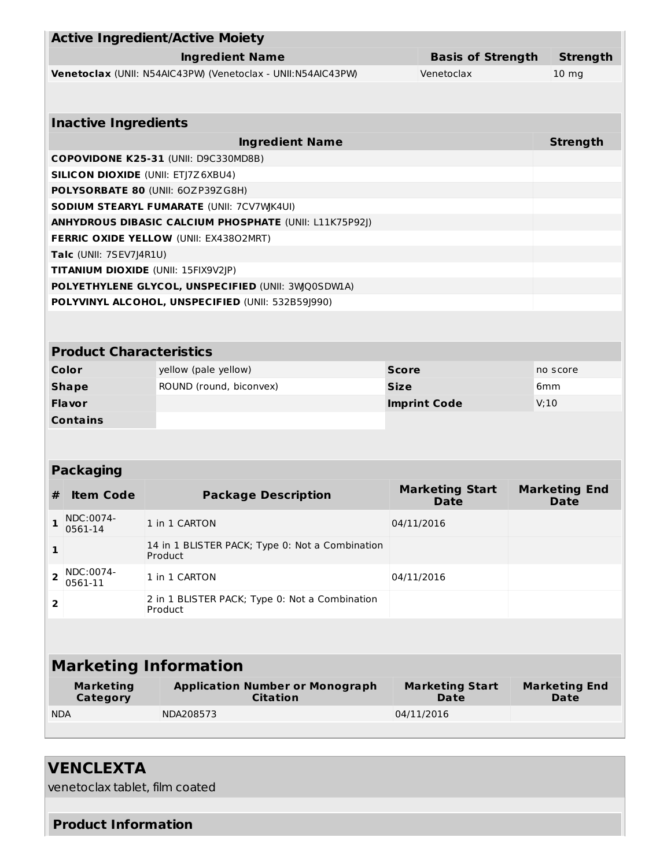|                                      | <b>Active Ingredient/Active Moiety</b>                        |                                |                                     |  |  |  |  |
|--------------------------------------|---------------------------------------------------------------|--------------------------------|-------------------------------------|--|--|--|--|
|                                      |                                                               |                                |                                     |  |  |  |  |
|                                      | <b>Ingredient Name</b>                                        | <b>Basis of Strength</b>       | <b>Strength</b>                     |  |  |  |  |
|                                      | Venetoclax (UNII: N54AIC43PW) (Venetoclax - UNII:N54AIC43PW)  | Venetoclax                     | 10 <sub>mg</sub>                    |  |  |  |  |
|                                      |                                                               |                                |                                     |  |  |  |  |
| <b>Inactive Ingredients</b>          |                                                               |                                |                                     |  |  |  |  |
|                                      | <b>Ingredient Name</b>                                        |                                | <b>Strength</b>                     |  |  |  |  |
|                                      | COPOVIDONE K25-31 (UNII: D9C330MD8B)                          |                                |                                     |  |  |  |  |
|                                      | <b>SILICON DIOXIDE (UNII: ETJ7Z6XBU4)</b>                     |                                |                                     |  |  |  |  |
|                                      | POLYSORBATE 80 (UNII: 60ZP39ZG8H)                             |                                |                                     |  |  |  |  |
|                                      | SODIUM STEARYL FUMARATE (UNII: 7CV7WJK4UI)                    |                                |                                     |  |  |  |  |
|                                      | <b>ANHYDROUS DIBASIC CALCIUM PHOSPHATE (UNII: L11K75P92J)</b> |                                |                                     |  |  |  |  |
|                                      | FERRIC OXIDE YELLOW (UNII: EX43802MRT)                        |                                |                                     |  |  |  |  |
| Talc (UNII: 7SEV7J4R1U)              |                                                               |                                |                                     |  |  |  |  |
|                                      | TITANIUM DIOXIDE (UNII: 15FIX9V2JP)                           |                                |                                     |  |  |  |  |
|                                      | POLYETHYLENE GLYCOL, UNSPECIFIED (UNII: 3WQ0SDWIA)            |                                |                                     |  |  |  |  |
|                                      | POLYVINYL ALCOHOL, UNSPECIFIED (UNII: 532B59J990)             |                                |                                     |  |  |  |  |
|                                      |                                                               |                                |                                     |  |  |  |  |
| <b>Product Characteristics</b>       |                                                               |                                |                                     |  |  |  |  |
| Color                                | yellow (pale yellow)                                          | <b>Score</b>                   | no score                            |  |  |  |  |
| <b>Shape</b>                         | ROUND (round, biconvex)                                       | <b>Size</b>                    | 6 <sub>mm</sub>                     |  |  |  |  |
| Flavor                               |                                                               | <b>Imprint Code</b>            | V:10                                |  |  |  |  |
| <b>Contains</b>                      |                                                               |                                |                                     |  |  |  |  |
|                                      |                                                               |                                |                                     |  |  |  |  |
|                                      |                                                               |                                |                                     |  |  |  |  |
| <b>Packaging</b>                     |                                                               |                                |                                     |  |  |  |  |
| <b>Item Code</b><br>#                | <b>Package Description</b>                                    | <b>Marketing Start</b><br>Date | <b>Marketing End</b><br><b>Date</b> |  |  |  |  |
| NDC:0074-<br>1<br>0561-14            | 1 in 1 CARTON                                                 | 04/11/2016                     |                                     |  |  |  |  |
| $\mathbf{1}$                         | 14 in 1 BLISTER PACK; Type 0: Not a Combination<br>Product    |                                |                                     |  |  |  |  |
| NDC:0074-<br>$\overline{\mathbf{2}}$ | 1 in 1 CARTON                                                 | 04/11/2016                     |                                     |  |  |  |  |
| 0561-11                              |                                                               |                                |                                     |  |  |  |  |
| 2                                    | 2 in 1 BLISTER PACK; Type 0: Not a Combination<br>Product     |                                |                                     |  |  |  |  |
|                                      |                                                               |                                |                                     |  |  |  |  |
|                                      |                                                               |                                |                                     |  |  |  |  |
| <b>Marketing Information</b>         |                                                               |                                |                                     |  |  |  |  |
| <b>Marketing</b>                     | <b>Application Number or Monograph</b>                        | <b>Marketing Start</b>         | <b>Marketing End</b>                |  |  |  |  |
| Category                             | <b>Citation</b>                                               | <b>Date</b>                    | <b>Date</b>                         |  |  |  |  |
| <b>NDA</b>                           | NDA208573                                                     | 04/11/2016                     |                                     |  |  |  |  |
|                                      |                                                               |                                |                                     |  |  |  |  |

# **VENCLEXTA**

venetoclax tablet, film coated

#### **Product Information**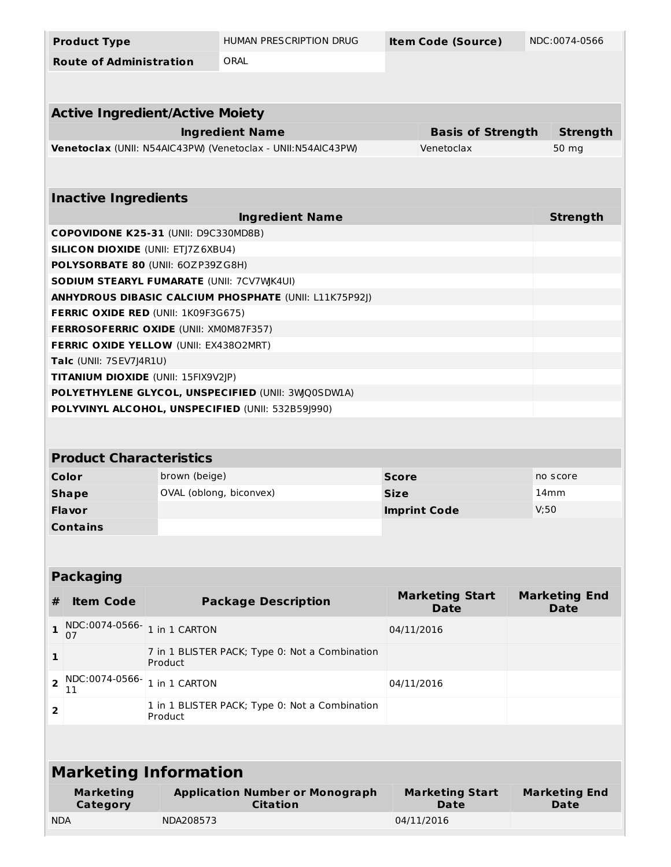| <b>Product Type</b>                                               |               | HUMAN PRESCRIPTION DRUG                                      | <b>Item Code (Source)</b> |                                       | NDC:0074-0566                |                                     |  |
|-------------------------------------------------------------------|---------------|--------------------------------------------------------------|---------------------------|---------------------------------------|------------------------------|-------------------------------------|--|
| <b>Route of Administration</b>                                    |               | ORAL                                                         |                           |                                       |                              |                                     |  |
|                                                                   |               |                                                              |                           |                                       |                              |                                     |  |
| <b>Active Ingredient/Active Moiety</b>                            |               |                                                              |                           |                                       |                              |                                     |  |
|                                                                   |               | <b>Ingredient Name</b>                                       |                           | <b>Basis of Strength</b>              |                              | <b>Strength</b>                     |  |
|                                                                   |               | Venetoclax (UNII: N54AIC43PW) (Venetoclax - UNII:N54AIC43PW) |                           | Venetoclax                            |                              | 50 mg                               |  |
|                                                                   |               |                                                              |                           |                                       |                              |                                     |  |
| <b>Inactive Ingredients</b>                                       |               |                                                              |                           |                                       |                              |                                     |  |
|                                                                   |               | <b>Ingredient Name</b>                                       |                           |                                       |                              | <b>Strength</b>                     |  |
| COPOVIDONE K25-31 (UNII: D9C330MD8B)                              |               |                                                              |                           |                                       |                              |                                     |  |
| <b>SILICON DIOXIDE (UNII: ETJ7Z6XBU4)</b>                         |               |                                                              |                           |                                       |                              |                                     |  |
| POLYSORBATE 80 (UNII: 60ZP39ZG8H)                                 |               |                                                              |                           |                                       |                              |                                     |  |
| SODIUM STEARYL FUMARATE (UNII: 7CV7WJK4UI)                        |               |                                                              |                           |                                       |                              |                                     |  |
|                                                                   |               | ANHYDROUS DIBASIC CALCIUM PHOSPHATE (UNII: L11K75P92J)       |                           |                                       |                              |                                     |  |
| <b>FERRIC OXIDE RED (UNII: 1K09F3G675)</b>                        |               |                                                              |                           |                                       |                              |                                     |  |
| FERROSOFERRIC OXIDE (UNII: XM0M87F357)                            |               |                                                              |                           |                                       |                              |                                     |  |
| FERRIC OXIDE YELLOW (UNII: EX43802MRT)<br>Talc (UNII: 7SEV7J4R1U) |               |                                                              |                           |                                       |                              |                                     |  |
| TITANIUM DIOXIDE (UNII: 15FIX9V2JP)                               |               |                                                              |                           |                                       |                              |                                     |  |
|                                                                   |               | POLYETHYLENE GLYCOL, UNSPECIFIED (UNII: 3WQ0SDWLA)           |                           |                                       |                              |                                     |  |
|                                                                   |               | POLYVINYL ALCOHOL, UNSPECIFIED (UNII: 532B59J990)            |                           |                                       |                              |                                     |  |
|                                                                   |               |                                                              |                           |                                       |                              |                                     |  |
|                                                                   |               |                                                              |                           |                                       |                              |                                     |  |
| <b>Product Characteristics</b>                                    |               |                                                              |                           |                                       |                              |                                     |  |
| Color                                                             |               | brown (beige)                                                |                           | <b>Score</b>                          | no score                     |                                     |  |
| <b>Shape</b>                                                      |               | OVAL (oblong, biconvex)                                      | <b>Size</b>               |                                       |                              | 14 <sub>mm</sub>                    |  |
| Flavor                                                            |               |                                                              |                           | <b>Imprint Code</b>                   | V:50                         |                                     |  |
| <b>Contains</b>                                                   |               |                                                              |                           |                                       |                              |                                     |  |
|                                                                   |               |                                                              |                           |                                       |                              |                                     |  |
|                                                                   |               |                                                              |                           |                                       |                              |                                     |  |
| <b>Packaging</b>                                                  |               |                                                              |                           |                                       |                              |                                     |  |
| <b>Item Code</b><br>#                                             |               | <b>Package Description</b>                                   |                           | <b>Marketing Start</b><br><b>Date</b> |                              | <b>Marketing End</b><br><b>Date</b> |  |
| NDC:0074-0566-<br>$\mathbf{1}$<br>07                              | 1 in 1 CARTON |                                                              |                           | 04/11/2016                            |                              |                                     |  |
| 1                                                                 | Product       | 7 in 1 BLISTER PACK; Type 0: Not a Combination               |                           |                                       |                              |                                     |  |
| NDC:0074-0566-<br>$\overline{\mathbf{c}}$<br>11                   | 1 in 1 CARTON |                                                              |                           | 04/11/2016                            |                              |                                     |  |
| 2                                                                 | Product       | 1 in 1 BLISTER PACK; Type 0: Not a Combination               |                           |                                       |                              |                                     |  |
|                                                                   |               |                                                              |                           |                                       |                              |                                     |  |
| <b>Marketing Information</b>                                      |               |                                                              |                           |                                       |                              |                                     |  |
|                                                                   |               |                                                              |                           |                                       |                              |                                     |  |
| <b>Marketing</b><br><b>Category</b>                               |               | <b>Application Number or Monograph</b><br><b>Citation</b>    |                           | <b>Marketing Start</b><br>Date        | <b>Marketing End</b><br>Date |                                     |  |
| <b>NDA</b>                                                        | NDA208573     |                                                              |                           | 04/11/2016                            |                              |                                     |  |
|                                                                   |               |                                                              |                           |                                       |                              |                                     |  |